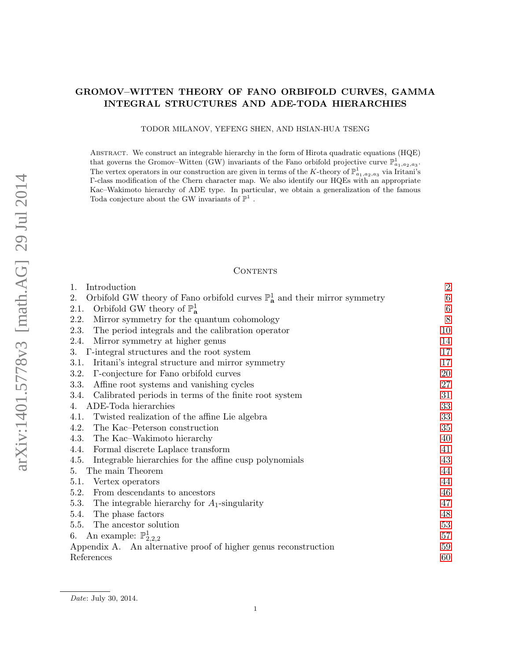## GROMOV–WITTEN THEORY OF FANO ORBIFOLD CURVES, GAMMA INTEGRAL STRUCTURES AND ADE-TODA HIERARCHIES

TODOR MILANOV, YEFENG SHEN, AND HSIAN-HUA TSENG

Abstract. We construct an integrable hierarchy in the form of Hirota quadratic equations (HQE) that governs the Gromov–Witten (GW) invariants of the Fano orbifold projective curve  $\mathbb{P}^1_{a_1,a_2,a_3}$ . The vertex operators in our construction are given in terms of the K-theory of  $\mathbb{P}^1_{a_1,a_2,a_3}$  via Iritani's Γ-class modification of the Chern character map. We also identify our HQEs with an appropriate Kac–Wakimoto hierarchy of ADE type. In particular, we obtain a generalization of the famous Toda conjecture about the GW invariants of  $\mathbb{P}^1$ .

## **CONTENTS**

| 1.<br>Introduction                                                                                     | $\boldsymbol{2}$ |
|--------------------------------------------------------------------------------------------------------|------------------|
| Orbifold GW theory of Fano orbifold curves $\mathbb{P}^1_{\mathbf{a}}$ and their mirror symmetry<br>2. | $\,6\,$          |
| Orbifold GW theory of $\mathbb{P}^1_{\mathbf{a}}$<br>2.1.                                              | $\,6\,$          |
| Mirror symmetry for the quantum cohomology<br>2.2.                                                     | 8                |
| The period integrals and the calibration operator<br>2.3.                                              | 10               |
| Mirror symmetry at higher genus<br>2.4.                                                                | 14               |
| T-integral structures and the root system<br>3.                                                        | 17               |
| Iritani's integral structure and mirror symmetry<br>3.1.                                               | 17               |
| T-conjecture for Fano orbifold curves<br>3.2.                                                          | 20               |
| 3.3.<br>Affine root systems and vanishing cycles                                                       | 27               |
| Calibrated periods in terms of the finite root system<br>3.4.                                          | 31               |
| ADE-Toda hierarchies<br>4.                                                                             | 33               |
| Twisted realization of the affine Lie algebra<br>4.1.                                                  | 33               |
| 4.2.<br>The Kac–Peterson construction                                                                  | 35               |
| 4.3.<br>The Kac–Wakimoto hierarchy                                                                     | 40               |
| Formal discrete Laplace transform<br>4.4.                                                              | 41               |
| Integrable hierarchies for the affine cusp polynomials<br>4.5.                                         | 43               |
| The main Theorem<br>5.                                                                                 | 44               |
| 5.1.<br>Vertex operators                                                                               | 44               |
| From descendants to ancestors<br>5.2.                                                                  | 46               |
| 5.3.<br>The integrable hierarchy for $A_1$ -singularity                                                | 47               |
| 5.4.<br>The phase factors                                                                              | 48               |
| The ancestor solution<br>5.5.                                                                          | 53               |
| An example: $\mathbb{P}^1_{2,2,2}$<br>6.                                                               | 57               |
| Appendix A. An alternative proof of higher genus reconstruction                                        | 59               |
| References                                                                                             | 60               |

Date: July 30, 2014.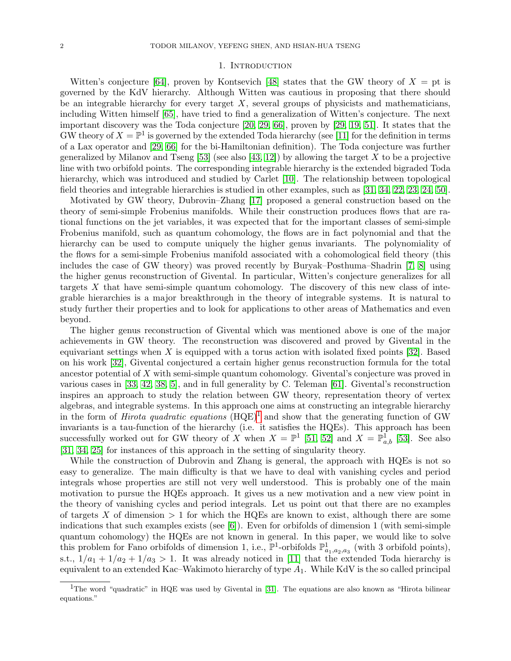#### 1. INTRODUCTION

<span id="page-1-0"></span>Witten's conjecture [\[64\]](#page-61-0), proven by Kontsevich [\[48\]](#page-61-1) states that the GW theory of  $X = pt$  is governed by the KdV hierarchy. Although Witten was cautious in proposing that there should be an integrable hierarchy for every target  $X$ , several groups of physicists and mathematicians, including Witten himself [\[65\]](#page-61-2), have tried to find a generalization of Witten's conjecture. The next important discovery was the Toda conjecture [\[20,](#page-60-0) [29,](#page-60-1) [66\]](#page-61-3), proven by [\[29,](#page-60-1) [19,](#page-60-2) [51\]](#page-61-4). It states that the GW theory of  $X = \mathbb{P}^1$  is governed by the extended Toda hierarchy (see [\[11\]](#page-59-1) for the definition in terms of a Lax operator and [\[29,](#page-60-1) [66\]](#page-61-3) for the bi-Hamiltonian definition). The Toda conjecture was further generalized by Milanov and Tseng [\[53\]](#page-61-5) (see also [\[43,](#page-60-3) [12\]](#page-59-2)) by allowing the target X to be a projective line with two orbifold points. The corresponding integrable hierarchy is the extended bigraded Toda hierarchy, which was introduced and studied by Carlet [\[10\]](#page-59-3). The relationship between topological field theories and integrable hierarchies is studied in other examples, such as [\[31,](#page-60-4) [34,](#page-60-5) [22,](#page-60-6) [23,](#page-60-7) [24,](#page-60-8) [50\]](#page-61-6).

Motivated by GW theory, Dubrovin–Zhang [\[17\]](#page-60-9) proposed a general construction based on the theory of semi-simple Frobenius manifolds. While their construction produces flows that are rational functions on the jet variables, it was expected that for the important classes of semi-simple Frobenius manifold, such as quantum cohomology, the flows are in fact polynomial and that the hierarchy can be used to compute uniquely the higher genus invariants. The polynomiality of the flows for a semi-simple Frobenius manifold associated with a cohomological field theory (this includes the case of GW theory) was proved recently by Buryak–Posthuma–Shadrin [\[7,](#page-59-4) [8\]](#page-59-5) using the higher genus reconstruction of Givental. In particular, Witten's conjecture generalizes for all targets  $X$  that have semi-simple quantum cohomology. The discovery of this new class of integrable hierarchies is a major breakthrough in the theory of integrable systems. It is natural to study further their properties and to look for applications to other areas of Mathematics and even beyond.

The higher genus reconstruction of Givental which was mentioned above is one of the major achievements in GW theory. The reconstruction was discovered and proved by Givental in the equivariant settings when X is equipped with a torus action with isolated fixed points  $[32]$ . Based on his work [\[32\]](#page-60-10), Givental conjectured a certain higher genus reconstruction formula for the total ancestor potential of X with semi-simple quantum cohomology. Givental's conjecture was proved in various cases in [\[33,](#page-60-11) [42,](#page-60-12) [38,](#page-60-13) [5\]](#page-59-6), and in full generality by C. Teleman [\[61\]](#page-61-7). Givental's reconstruction inspires an approach to study the relation between GW theory, representation theory of vertex algebras, and integrable systems. In this approach one aims at constructing an integrable hierarchy in the form of *Hirota quadratic equations*  $(HQE)^{1}$  $(HQE)^{1}$  $(HQE)^{1}$  and show that the generating function of GW invariants is a tau-function of the hierarchy (i.e. it satisfies the HQEs). This approach has been successfully worked out for GW theory of X when  $X = \mathbb{P}^1$  [\[51,](#page-61-4) [52\]](#page-61-8) and  $X = \mathbb{P}^1_{a,b}$  [\[53\]](#page-61-5). See also [\[31,](#page-60-4) [34,](#page-60-5) [25\]](#page-60-14) for instances of this approach in the setting of singularity theory.

While the construction of Dubrovin and Zhang is general, the approach with HQEs is not so easy to generalize. The main difficulty is that we have to deal with vanishing cycles and period integrals whose properties are still not very well understood. This is probably one of the main motivation to pursue the HQEs approach. It gives us a new motivation and a new view point in the theory of vanishing cycles and period integrals. Let us point out that there are no examples of targets X of dimension  $> 1$  for which the HQEs are known to exist, although there are some indications that such examples exists (see  $[6]$ ). Even for orbifolds of dimension 1 (with semi-simple quantum cohomology) the HQEs are not known in general. In this paper, we would like to solve this problem for Fano orbifolds of dimension 1, i.e.,  $\mathbb{P}^1$ -orbifolds  $\mathbb{P}^1_{a_1,a_2,a_3}$  (with 3 orbifold points), s.t.,  $1/a_1 + 1/a_2 + 1/a_3 > 1$ . It was already noticed in [\[11\]](#page-59-1) that the extended Toda hierarchy is equivalent to an extended Kac–Wakimoto hierarchy of type  $A_1$ . While KdV is the so called principal

<span id="page-1-1"></span><sup>&</sup>lt;sup>1</sup>The word "quadratic" in HQE was used by Givental in [\[31\]](#page-60-4). The equations are also known as "Hirota bilinear equations."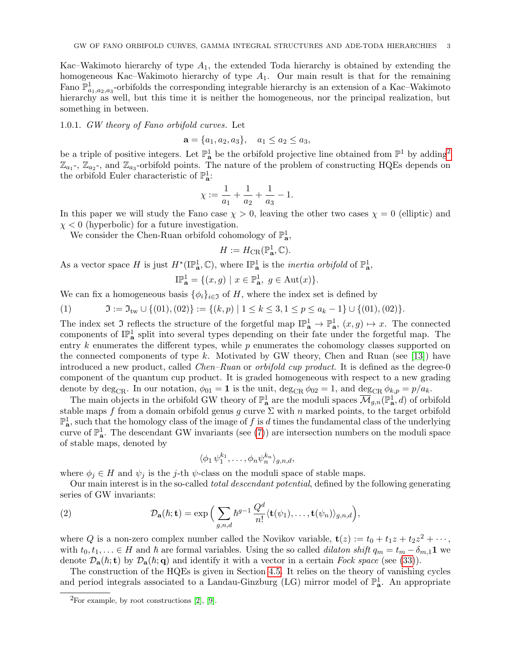Kac–Wakimoto hierarchy of type  $A_1$ , the extended Toda hierarchy is obtained by extending the homogeneous Kac–Wakimoto hierarchy of type  $A_1$ . Our main result is that for the remaining Fano  $\mathbb{P}^1_{a_1,a_2,a_3}$ -orbifolds the corresponding integrable hierarchy is an extension of a Kac–Wakimoto hierarchy as well, but this time it is neither the homogeneous, nor the principal realization, but something in between.

1.0.1. GW theory of Fano orbifold curves. Let

$$
\mathbf{a} = \{a_1, a_2, a_3\}, \quad a_1 \le a_2 \le a_3,
$$

be a triple of positive integers. Let  $\mathbb{P}^1_{\mathbf{a}}$  be the orbifold projective line obtained from  $\mathbb{P}^1$  by adding<sup>[2](#page-2-0)</sup>  $\mathbb{Z}_{a_1}$ ,  $\mathbb{Z}_{a_2}$ , and  $\mathbb{Z}_{a_3}$ -orbifold points. The nature of the problem of constructing HQEs depends on the orbifold Euler characteristic of  $\mathbb{P}^1_{\mathbf{a}}$ :

$$
\chi := \frac{1}{a_1} + \frac{1}{a_2} + \frac{1}{a_3} - 1.
$$

In this paper we will study the Fano case  $\chi > 0$ , leaving the other two cases  $\chi = 0$  (elliptic) and  $\chi$  < 0 (hyperbolic) for a future investigation.

We consider the Chen-Ruan orbifold cohomology of  $\mathbb{P}^1_{\mathbf{a}}$ ,

$$
H := H_{\mathrm{CR}}(\mathbb{P}^1_{\mathbf{a}}, \mathbb{C}).
$$

As a vector space H is just  $H^*(\mathbb{IP}_a^1,\mathbb{C})$ , where  $\mathbb{IP}_a^1$  is the *inertia orbifold* of  $\mathbb{P}_a^1$ ,

$$
\mathcal{IP}_{\mathbf{a}}^1 = \{ (x, g) \mid x \in \mathbb{P}_{\mathbf{a}}^1, g \in \text{Aut}(x) \}.
$$

We can fix a homogeneous basis  $\{\phi_i\}_{i\in\mathfrak{I}}$  of H, where the index set is defined by

<span id="page-2-2"></span>(1) 
$$
\mathfrak{I} := \mathfrak{I}_{\text{tw}} \cup \{(01), (02)\} := \{(k, p) \mid 1 \leq k \leq 3, 1 \leq p \leq a_k - 1\} \cup \{(01), (02)\}.
$$

The index set  $\mathfrak I$  reflects the structure of the forgetful map  $\mathbb{IP}^1_{\mathbf{a}} \to \mathbb{P}^1_{\mathbf{a}}$ ,  $(x, g) \mapsto x$ . The connected components of  $\mathbb{P}^1_{\mathbf{a}}$  split into several types depending on their fate under the forgetful map. The entry  $k$  enumerates the different types, while  $p$  enumerates the cohomology classes supported on the connected components of type k. Motivated by GW theory, Chen and Ruan (see [\[13\]](#page-59-8)) have introduced a new product, called *Chen–Ruan* or *orbifold cup product*. It is defined as the degree-0 component of the quantum cup product. It is graded homogeneous with respect to a new grading denote by deg<sub>CR</sub>. In our notation,  $\phi_{01} = 1$  is the unit, deg<sub>CR</sub>  $\phi_{02} = 1$ , and deg<sub>CR</sub>  $\phi_{k,p} = p/a_k$ .

The main objects in the orbifold GW theory of  $\mathbb{P}^1_{\mathbf{a}}$  are the moduli spaces  $\overline{\mathcal{M}}_{g,n}(\mathbb{P}^1_{\mathbf{a}},d)$  of orbifold stable maps f from a domain orbifold genus g curve  $\Sigma$  with n marked points, to the target orbifold  $\mathbb{P}^1_{\mathbf{a}}$ , such that the homology class of the image of f is d times the fundamental class of the underlying curve of  $\mathbb{P}^1_{\mathbf{a}}$ . The descendant GW invariants (see [\(7\)](#page-6-0)) are intersection numbers on the moduli space of stable maps, denoted by

<span id="page-2-1"></span>
$$
\langle \phi_1 \,\psi_1^{k_1}, \ldots, \phi_n \psi_n^{k_n} \rangle_{g,n,d},
$$

where  $\phi_j \in H$  and  $\psi_j$  is the j-th  $\psi$ -class on the moduli space of stable maps.

Our main interest is in the so-called total descendant potential, defined by the following generating series of GW invariants:

(2) 
$$
\mathcal{D}_{\mathbf{a}}(\hbar; \mathbf{t}) = \exp\Big(\sum_{g,n,d} \hbar^{g-1} \frac{Q^d}{n!} \langle \mathbf{t}(\psi_1), \ldots, \mathbf{t}(\psi_n) \rangle_{g,n,d}\Big),
$$

where Q is a non-zero complex number called the Novikov variable,  $\mathbf{t}(z) := t_0 + t_1 z + t_2 z^2 + \cdots$ , with  $t_0, t_1, \ldots \in H$  and  $\hbar$  are formal variables. Using the so called *dilaton shift*  $q_m = t_m - \delta_{m,1} \mathbf{1}$  we denote  $\mathcal{D}_a(\hbar; t)$  by  $\mathcal{D}_a(\hbar; q)$  and identify it with a vector in a certain Fock space (see [\(33\)](#page-14-0)).

The construction of the HQEs is given in Section [4.5.](#page-42-0) It relies on the theory of vanishing cycles and period integrals associated to a Landau-Ginzburg (LG) mirror model of  $\mathbb{P}^1_{\mathbf{a}}$ . An appropriate

<span id="page-2-0"></span> ${}^{2}$ For example, by root constructions [\[2\]](#page-59-9), [\[9\]](#page-59-10).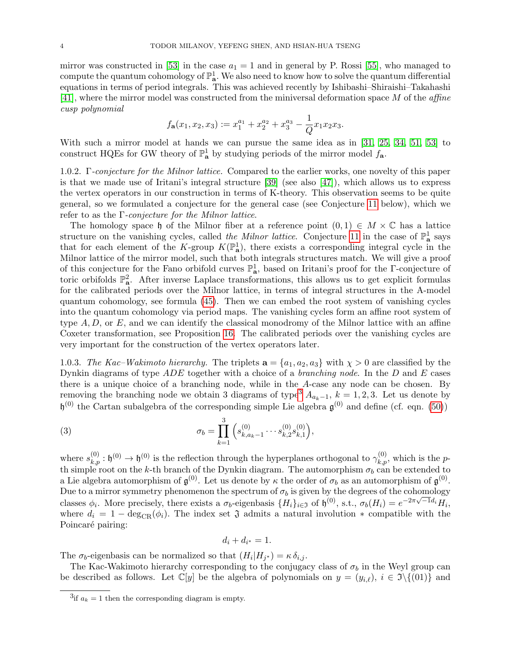mirror was constructed in [\[53\]](#page-61-5) in the case  $a_1 = 1$  and in general by P. Rossi [\[55\]](#page-61-9), who managed to compute the quantum cohomology of  $\mathbb{P}^1_{\bf a}$ . We also need to know how to solve the quantum differential equations in terms of period integrals. This was achieved recently by Ishibashi–Shiraishi–Takahashi [\[41\]](#page-60-15), where the mirror model was constructed from the miniversal deformation space M of the affine cusp polynomial

$$
f_{\mathbf{a}}(x_1, x_2, x_3) := x_1^{a_1} + x_2^{a_2} + x_3^{a_3} - \frac{1}{Q} x_1 x_2 x_3.
$$

With such a mirror model at hands we can pursue the same idea as in [\[31,](#page-60-4) [25,](#page-60-14) [34,](#page-60-5) [51,](#page-61-4) [53\]](#page-61-5) to construct HQEs for GW theory of  $\mathbb{P}^1_{\mathbf{a}}$  by studying periods of the mirror model  $f_{\mathbf{a}}$ .

1.0.2. Γ-conjecture for the Milnor lattice. Compared to the earlier works, one novelty of this paper is that we made use of Iritani's integral structure [\[39\]](#page-60-16) (see also [\[47\]](#page-60-17)), which allows us to express the vertex operators in our construction in terms of K-theory. This observation seems to be quite general, so we formulated a conjecture for the general case (see Conjecture [11](#page-17-0) below), which we refer to as the  $\Gamma$ -conjecture for the Milnor lattice.

The homology space h of the Milnor fiber at a reference point  $(0, 1) \in M \times \mathbb{C}$  has a lattice structure on the vanishing cycles, called *the Milnor lattice*. Conjecture [11](#page-17-0) in the case of  $\mathbb{P}^1_{\mathbf{a}}$  says that for each element of the K-group  $K(\mathbb{P}^1_{\mathbf{a}})$ , there exists a corresponding integral cycle in the Milnor lattice of the mirror model, such that both integrals structures match. We will give a proof of this conjecture for the Fano orbifold curves  $\mathbb{P}^1_{\mathbf{a}}$ , based on Iritani's proof for the Γ-conjecture of toric orbifolds  $\mathbb{P}^2_{\mathbf{a}}$ . After inverse Laplace transformations, this allows us to get explicit formulas for the calibrated periods over the Milnor lattice, in terms of integral structures in the A-model quantum cohomology, see formula [\(45\)](#page-26-1). Then we can embed the root system of vanishing cycles into the quantum cohomology via period maps. The vanishing cycles form an affine root system of type  $A, D$ , or  $E$ , and we can identify the classical monodromy of the Milnor lattice with an affine Coxeter transformation, see Proposition [16.](#page-26-2) The calibrated periods over the vanishing cycles are very important for the construction of the vertex operators later.

<span id="page-3-2"></span>1.0.3. The Kac–Wakimoto hierarchy. The triplets  $\mathbf{a} = \{a_1, a_2, a_3\}$  with  $\chi > 0$  are classified by the Dynkin diagrams of type  $ADE$  together with a choice of a *branching node*. In the  $D$  and  $E$  cases there is a unique choice of a branching node, while in the A-case any node can be chosen. By removing the branching node we obtain [3](#page-3-0) diagrams of type<sup>3</sup>  $A_{a_k-1}$ ,  $k = 1, 2, 3$ . Let us denote by  $\mathfrak{h}^{(0)}$  the Cartan subalgebra of the corresponding simple Lie algebra  $\mathfrak{g}^{(0)}$  and define (cf. eqn. [\(50\)](#page-29-0))

(3) 
$$
\sigma_b = \prod_{k=1}^3 \left( s_{k,a_k-1}^{(0)} \cdots s_{k,2}^{(0)} s_{k,1}^{(0)} \right),
$$

where  $s_{k,p}^{(0)}: \mathfrak{h}^{(0)} \to \mathfrak{h}^{(0)}$  is the reflection through the hyperplanes orthogonal to  $\gamma_{k,p}^{(0)}$ , which is the pth simple root on the k-th branch of the Dynkin diagram. The automorphism  $\sigma_b$  can be extended to a Lie algebra automorphism of  $\mathfrak{g}^{(0)}$ . Let us denote by  $\kappa$  the order of  $\sigma_b$  as an automorphism of  $\mathfrak{g}^{(0)}$ . Due to a mirror symmetry phenomenon the spectrum of  $\sigma_b$  is given by the degrees of the cohomology classes  $\phi_i$ . More precisely, there exists a  $\sigma_b$ -eigenbasis  $\{H_i\}_{i\in\mathfrak{I}}$  of  $\mathfrak{h}^{(0)}$ , s.t.,  $\sigma_b(H_i) = e^{-2\pi\sqrt{-1}d_i}H_i$ , where  $d_i = 1 - \deg_{CR}(\phi_i)$ . The index set  $\mathfrak J$  admits a natural involution  $*$  compatible with the Poincaré pairing:

<span id="page-3-1"></span>
$$
d_i + d_{i^*} = 1.
$$

The  $\sigma_b$ -eigenbasis can be normalized so that  $(H_i|H_{j^*}) = \kappa \delta_{i,j}$ .

The Kac-Wakimoto hierarchy corresponding to the conjugacy class of  $\sigma_b$  in the Weyl group can be described as follows. Let  $\mathbb{C}[y]$  be the algebra of polynomials on  $y = (y_{i,\ell}), i \in \mathfrak{I}\setminus\{(01)\}\)$  and

<span id="page-3-0"></span><sup>&</sup>lt;sup>3</sup>if  $a_k = 1$  then the corresponding diagram is empty.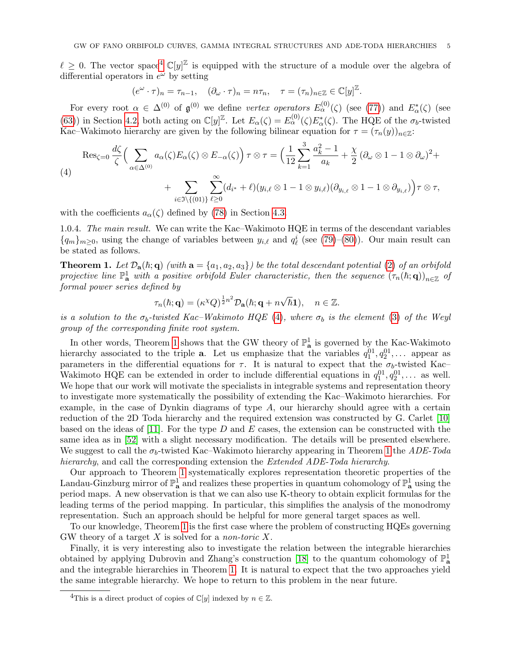$\ell \geq 0$ . The vector space<sup>[4](#page-4-0)</sup>  $\mathbb{C}[y]^{\mathbb{Z}}$  is equipped with the structure of a module over the algebra of differential operators in  $e^{\omega}$  by setting

$$
(e^{\omega} \cdot \tau)_n = \tau_{n-1}, \quad (\partial_{\omega} \cdot \tau)_n = n\tau_n, \quad \tau = (\tau_n)_{n \in \mathbb{Z}} \in \mathbb{C}[y]^{\mathbb{Z}}.
$$

For every root  $\alpha \in \Delta^{(0)}$  of  $\mathfrak{g}^{(0)}$  we define vertex operators  $E_{\alpha}^{(0)}(\zeta)$  (see [\(77\)](#page-38-0)) and  $E_{\alpha}^*(\zeta)$  (see [\(63\)](#page-35-0)) in Section [4.2,](#page-34-0) both acting on  $\mathbb{C}[y]^{\mathbb{Z}}$ . Let  $E_{\alpha}(\zeta) = E_{\alpha}^{(0)}(\zeta)E_{\alpha}^{*}(\zeta)$ . The HQE of the  $\sigma_{b}$ -twisted Kac–Wakimoto hierarchy are given by the following bilinear equation for  $\tau = (\tau_n(y))_{n \in \mathbb{Z}}$ :

<span id="page-4-1"></span>(4)  
\n
$$
\operatorname{Res}_{\zeta=0} \frac{d\zeta}{\zeta} \Big( \sum_{\alpha \in \Delta^{(0)}} a_{\alpha}(\zeta) E_{\alpha}(\zeta) \otimes E_{-\alpha}(\zeta) \Big) \tau \otimes \tau = \Big( \frac{1}{12} \sum_{k=1}^{3} \frac{a_k^2 - 1}{a_k} + \frac{\chi}{2} \left( \partial_{\omega} \otimes 1 - 1 \otimes \partial_{\omega} \right)^2 + \\ + \sum_{i \in \mathfrak{I} \setminus \{ (01) \}} \sum_{\ell \geq 0}^{\infty} (d_{i^*} + \ell) (y_{i,\ell} \otimes 1 - 1 \otimes y_{i,\ell}) (\partial_{y_{i,\ell}} \otimes 1 - 1 \otimes \partial_{y_{i,\ell}}) \Big) \tau \otimes \tau,
$$

with the coefficients  $a_{\alpha}(\zeta)$  defined by [\(78\)](#page-39-1) in Section [4.3.](#page-39-0)

1.0.4. The main result. We can write the Kac–Wakimoto HQE in terms of the descendant variables  ${q_m}_{m\geq 0}$ , using the change of variables between  $y_{i,\ell}$  and  $q_\ell^i$  (see [\(79\)](#page-40-1)–[\(80\)](#page-40-1)). Our main result can be stated as follows.

<span id="page-4-2"></span>**Theorem 1.** Let  $\mathcal{D}_a(h; q)$  (with  $a = \{a_1, a_2, a_3\}$ ) be the total descendant potential [\(2\)](#page-2-1) of an orbifold projective line  $\mathbb{P}^1_{\mathbf{a}}$  with a positive orbifold Euler characteristic, then the sequence  $(\tau_n(\hbar; \mathbf{q}))_{n \in \mathbb{Z}}$  of formal power series defined by

$$
\tau_n(\hbar;{\bf q})=(\kappa^{\chi}Q)^{\frac{1}{2}n^2}\mathcal{D}_{{\bf a}}(\hbar;{\bf q}+n\sqrt{\hbar}{\bf 1}),\quad n\in\mathbb{Z}.
$$

is a solution to the  $\sigma_b$ -twisted Kac–Wakimoto HQE [\(4\)](#page-4-1), where  $\sigma_b$  is the element [\(3\)](#page-3-1) of the Weyl group of the corresponding finite root system.

In other words, Theorem [1](#page-4-2) shows that the GW theory of  $\mathbb{P}^1_{\mathbf{a}}$  is governed by the Kac-Wakimoto hierarchy associated to the triple **a**. Let us emphasize that the variables  $q_1^{01}, q_2^{01}, \ldots$  appear as parameters in the differential equations for  $\tau$ . It is natural to expect that the  $\sigma_b$ -twisted Kac– Wakimoto HQE can be extended in order to include differential equations in  $q_1^{01}, q_2^{01}, \ldots$  as well. We hope that our work will motivate the specialists in integrable systems and representation theory to investigate more systematically the possibility of extending the Kac–Wakimoto hierarchies. For example, in the case of Dynkin diagrams of type A, our hierarchy should agree with a certain reduction of the 2D Toda hierarchy and the required extension was constructed by G. Carlet [\[10\]](#page-59-3) based on the ideas of [\[11\]](#page-59-1). For the type D and E cases, the extension can be constructed with the same idea as in [\[52\]](#page-61-8) with a slight necessary modification. The details will be presented elsewhere. We suggest to call the  $\sigma_b$ -twisted Kac–Wakimoto hierarchy appearing in Theorem [1](#page-4-2) the ADE-Toda hierarchy, and call the corresponding extension the Extended ADE-Toda hierarchy.

Our approach to Theorem [1](#page-4-2) systematically explores representation theoretic properties of the Landau-Ginzburg mirror of  $\mathbb{P}^1_{\bf{a}}$  and realizes these properties in quantum cohomology of  $\mathbb{P}^1_{\bf{a}}$  using the period maps. A new observation is that we can also use K-theory to obtain explicit formulas for the leading terms of the period mapping. In particular, this simplifies the analysis of the monodromy representation. Such an approach should be helpful for more general target spaces as well.

To our knowledge, Theorem [1](#page-4-2) is the first case where the problem of constructing HQEs governing GW theory of a target X is solved for a *non-toric* X.

Finally, it is very interesting also to investigate the relation between the integrable hierarchies obtained by applying Dubrovin and Zhang's construction [\[18\]](#page-60-18) to the quantum cohomology of  $\mathbb{P}^1_{\mathbf{a}}$ and the integrable hierarchies in Theorem [1.](#page-4-2) It is natural to expect that the two approaches yield the same integrable hierarchy. We hope to return to this problem in the near future.

<span id="page-4-0"></span><sup>&</sup>lt;sup>4</sup>This is a direct product of copies of  $\mathbb{C}[y]$  indexed by  $n \in \mathbb{Z}$ .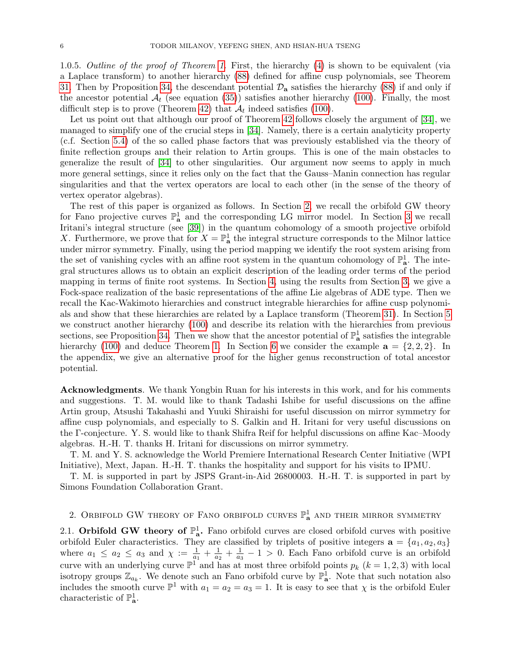1.0.5. Outline of the proof of Theorem [1.](#page-4-2) First, the hierarchy [\(4\)](#page-4-1) is shown to be equivalent (via a Laplace transform) to another hierarchy [\(88\)](#page-42-1) defined for affine cusp polynomials, see Theorem [31.](#page-43-2) Then by Proposition [34,](#page-46-1) the descendant potential  $\mathcal{D}_a$  satisfies the hierarchy [\(88\)](#page-42-1) if and only if the ancestor potential  $\mathcal{A}_t$  (see equation [\(35\)](#page-14-1)) satisfies another hierarchy [\(100\)](#page-45-1). Finally, the most difficult step is to prove (Theorem [42\)](#page-52-1) that  $\mathcal{A}_t$  indeed satisfies [\(100\)](#page-45-1).

Let us point out that although our proof of Theorem [42](#page-52-1) follows closely the argument of [\[34\]](#page-60-5), we managed to simplify one of the crucial steps in [\[34\]](#page-60-5). Namely, there is a certain analyticity property (c.f. Section [5.4\)](#page-47-0) of the so called phase factors that was previously established via the theory of finite reflection groups and their relation to Artin groups. This is one of the main obstacles to generalize the result of [\[34\]](#page-60-5) to other singularities. Our argument now seems to apply in much more general settings, since it relies only on the fact that the Gauss–Manin connection has regular singularities and that the vertex operators are local to each other (in the sense of the theory of vertex operator algebras).

The rest of this paper is organized as follows. In Section [2,](#page-5-0) we recall the orbifold GW theory for Fano projective curves  $\mathbb{P}^1_{\mathbf{a}}$  and the corresponding LG mirror model. In Section [3](#page-16-0) we recall Iritani's integral structure (see [\[39\]](#page-60-16)) in the quantum cohomology of a smooth projective orbifold X. Furthermore, we prove that for  $X = \mathbb{P}^1_{\mathbf{a}}$  the integral structure corresponds to the Milnor lattice under mirror symmetry. Finally, using the period mapping we identify the root system arising from the set of vanishing cycles with an affine root system in the quantum cohomology of  $\mathbb{P}^1_{\mathbf{a}}$ . The integral structures allows us to obtain an explicit description of the leading order terms of the period mapping in terms of finite root systems. In Section [4,](#page-32-0) using the results from Section [3,](#page-16-0) we give a Fock-space realization of the basic representations of the affine Lie algebras of ADE type. Then we recall the Kac-Wakimoto hierarchies and construct integrable hierarchies for affine cusp polynomials and show that these hierarchies are related by a Laplace transform (Theorem [31\)](#page-43-2). In Section [5](#page-43-0) we construct another hierarchy [\(100\)](#page-45-1) and describe its relation with the hierarchies from previous sections, see Proposition [34.](#page-46-1) Then we show that the ancestor potential of  $\mathbb{P}^1_{\mathbf{a}}$  satisfies the integrable hierarchy [\(100\)](#page-45-1) and deduce Theorem [1.](#page-4-2) In Section [6](#page-56-0) we consider the example  $\mathbf{a} = \{2, 2, 2\}$ . In the appendix, we give an alternative proof for the higher genus reconstruction of total ancestor potential.

Acknowledgments. We thank Yongbin Ruan for his interests in this work, and for his comments and suggestions. T. M. would like to thank Tadashi Ishibe for useful discussions on the affine Artin group, Atsushi Takahashi and Yuuki Shiraishi for useful discussion on mirror symmetry for affine cusp polynomials, and especially to S. Galkin and H. Iritani for very useful discussions on the Γ-conjecture. Y. S. would like to thank Shifra Reif for helpful discussions on affine Kac–Moody algebras. H.-H. T. thanks H. Iritani for discussions on mirror symmetry.

T. M. and Y. S. acknowledge the World Premiere International Research Center Initiative (WPI Initiative), Mext, Japan. H.-H. T. thanks the hospitality and support for his visits to IPMU.

T. M. is supported in part by JSPS Grant-in-Aid 26800003. H.-H. T. is supported in part by Simons Foundation Collaboration Grant.

<span id="page-5-0"></span>2. Orbifold GW theory of Fano orbifold curves  $\mathbb{P}^1_{\mathbf{a}}$  and their mirror symmetry

<span id="page-5-1"></span>2.1. Orbifold GW theory of  $\mathbb{P}^1_{\mathbf{a}}$ . Fano orbifold curves are closed orbifold curves with positive orbifold Euler characteristics. They are classified by triplets of positive integers  $\mathbf{a} = \{a_1, a_2, a_3\}$ where  $a_1 \le a_2 \le a_3$  and  $\chi := \frac{1}{a_1} + \frac{1}{a_2}$  $\frac{1}{a_2} + \frac{1}{a_3}$  $\frac{1}{a_3} - 1 > 0$ . Each Fano orbifold curve is an orbifold curve with an underlying curve  $\mathbb{P}^1$  and has at most three orbifold points  $p_k$   $(k = 1, 2, 3)$  with local isotropy groups  $\mathbb{Z}_{a_k}$ . We denote such an Fano orbifold curve by  $\mathbb{P}^1_{\mathbf{a}}$ . Note that such notation also includes the smooth curve  $\mathbb{P}^1$  with  $a_1 = a_2 = a_3 = 1$ . It is easy to see that  $\chi$  is the orbifold Euler characteristic of  $\mathbb{P}^1_{\mathbf{a}}$ .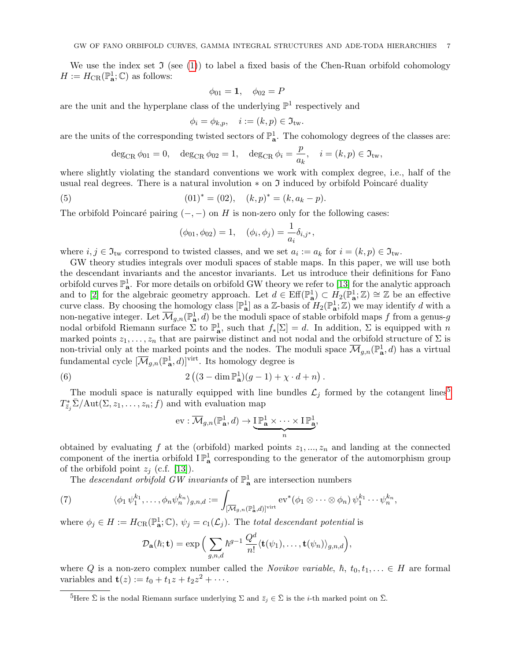We use the index set  $\Im$  (see [\(1\)](#page-2-2)) to label a fixed basis of the Chen-Ruan orbifold cohomology  $H := H_{\text{CR}}(\mathbb{P}^1_{\mathbf{a}};\mathbb{C})$  as follows:

$$
\phi_{01} = 1, \quad \phi_{02} = P
$$

are the unit and the hyperplane class of the underlying  $\mathbb{P}^1$  respectively and

$$
\phi_i = \phi_{k,p}, \quad i := (k, p) \in \mathfrak{I}_{\mathrm{tw}}.
$$

are the units of the corresponding twisted sectors of  $\mathbb{P}^1_{\mathbf{a}}$ . The cohomology degrees of the classes are:

$$
\deg_{\mathrm{CR}} \phi_{01} = 0, \quad \deg_{\mathrm{CR}} \phi_{02} = 1, \quad \deg_{\mathrm{CR}} \phi_i = \frac{p}{a_k}, \quad i = (k, p) \in \mathfrak{I}_{\mathrm{tw}},
$$

where slightly violating the standard conventions we work with complex degree, i.e., half of the usual real degrees. There is a natural involution  $*$  on  $\mathfrak I$  induced by orbifold Poincaré duality

(5) 
$$
(01)^* = (02), \quad (k, p)^* = (k, a_k - p).
$$

The orbifold Poincaré pairing  $(-, -)$  on H is non-zero only for the following cases:

$$
(\phi_{01}, \phi_{02}) = 1, \quad (\phi_i, \phi_j) = \frac{1}{a_i} \delta_{i,j^*},
$$

where  $i, j \in \mathfrak{I}_{\text{tw}}$  correspond to twisted classes, and we set  $a_i := a_k$  for  $i = (k, p) \in \mathfrak{I}_{\text{tw}}$ .

GW theory studies integrals over moduli spaces of stable maps. In this paper, we will use both the descendant invariants and the ancestor invariants. Let us introduce their definitions for Fano orbifold curves  $\mathbb{P}^1_{\bf a}$ . For more details on orbifold GW theory we refer to [\[13\]](#page-59-8) for the analytic approach and to [\[2\]](#page-59-9) for the algebraic geometry approach. Let  $d \in \text{Eff}(\mathbb{P}^1_a) \subset H_2(\mathbb{P}^1_a; \mathbb{Z}) \cong \mathbb{Z}$  be an effective curve class. By choosing the homology class  $[\mathbb{P}^1_\mathbf{a}]$  as a Z-basis of  $H_2(\mathbb{P}^1_\mathbf{a}; \mathbb{Z})$  we may identify d with a non-negative integer. Let  $\overline{\mathcal{M}}_{g,n}(\mathbb{P}_{\mathbf{a}}^1,d)$  be the moduli space of stable orbifold maps f from a genus-g nodal orbifold Riemann surface  $\Sigma$  to  $\mathbb{P}^1_{\mathbf{a}}$ , such that  $f_*[\Sigma] = d$ . In addition,  $\Sigma$  is equipped with n marked points  $z_1, \ldots, z_n$  that are pairwise distinct and not nodal and the orbifold structure of  $\Sigma$  is non-trivial only at the marked points and the nodes. The moduli space  $\overline{\mathcal{M}}_{g,n}(\mathbb{P}^1_{\mathbf{a}},d)$  has a virtual fundamental cycle  $[\overline{\mathcal{M}}_{g,n}(\mathbb{P}^1_{\mathbf{a}},d)]^{\text{virt}}$ . Its homology degree is

(6) 
$$
2 ((3 - \dim \mathbb{P}_{\mathbf{a}}^1)(g-1) + \chi \cdot d + n).
$$

The moduli space is naturally equipped with line bundles  $\mathcal{L}_j$  formed by the cotangent lines<sup>[5](#page-6-1)</sup>  $T_{\bar{z}_j}^* \bar{\Sigma}/\text{Aut}(\Sigma, z_1, \ldots, z_n; f)$  and with evaluation map

<span id="page-6-2"></span>
$$
\text{ev}: \overline{\mathcal{M}}_{g,n}(\mathbb{P}^1_{\mathbf{a}},d) \to \underbrace{\mathbf{I} \mathbb{P}^1_{\mathbf{a}} \times \cdots \times \mathbf{I} \mathbb{P}^1_{\mathbf{a}}}_{n},
$$

obtained by evaluating f at the (orbifold) marked points  $z_1, ..., z_n$  and landing at the connected component of the inertia orbifold  $I\mathbb{P}^1_{\mathbf{a}}$  corresponding to the generator of the automorphism group of the orbifold point  $z_j$  (c.f. [\[13\]](#page-59-8)).

<span id="page-6-0"></span>The *descendant orbifold GW invariants* of  $\mathbb{P}^1_{\mathbf{a}}$  are intersection numbers

(7) 
$$
\langle \phi_1 \psi_1^{k_1}, \dots, \phi_n \psi_n^{k_n} \rangle_{g,n,d} := \int_{\left[\overline{\mathcal{M}}_{g,n}(\mathbb{P}^1_{\mathbf{a}},d)\right]^{\text{virt}}} \mathrm{ev}^*(\phi_1 \otimes \cdots \otimes \phi_n) \psi_1^{k_1} \cdots \psi_n^{k_n},
$$

where  $\phi_j \in H := H_{CR}(\mathbb{P}^1_{\mathbf{a}};\mathbb{C}), \psi_j = c_1(\mathcal{L}_j)$ . The total descendant potential is

$$
\mathcal{D}_\mathbf{a}(\hbar; \mathbf{t}) = \exp\Big(\sum_{g,n,d}\hbar^{g-1}\,\frac{Q^d}{n!}\langle \mathbf{t}(\psi_1),\ldots,\mathbf{t}(\psi_n)\rangle_{g,n,d}\Big),
$$

where Q is a non-zero complex number called the Novikov variable,  $\hbar$ ,  $t_0, t_1, \ldots \in H$  are formal variables and  $\mathbf{t}(z) := t_0 + t_1 z + t_2 z^2 + \cdots$ .

<span id="page-6-1"></span><sup>&</sup>lt;sup>5</sup>Here  $\bar{\Sigma}$  is the nodal Riemann surface underlying  $\Sigma$  and  $\bar{z}_i \in \bar{\Sigma}$  is the *i*-th marked point on  $\bar{\Sigma}$ .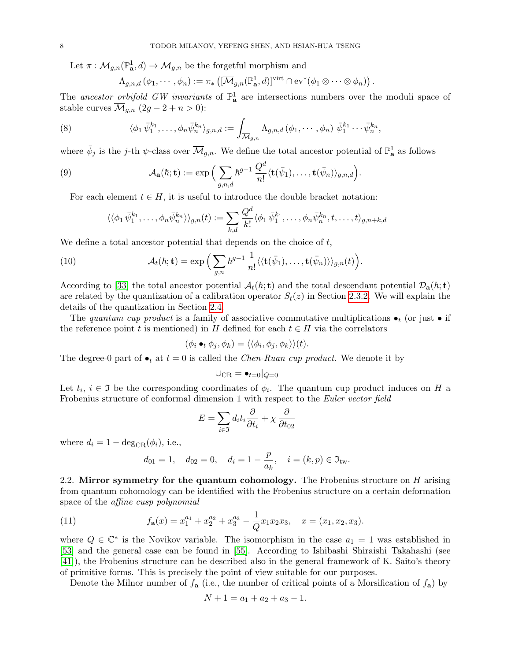Let  $\pi : \overline{\mathcal{M}}_{g,n}(\mathbb{P}^1_{\bf{a}},d) \to \overline{\mathcal{M}}_{g,n}$  be the forgetful morphism and

<span id="page-7-2"></span>
$$
\Lambda_{g,n,d}(\phi_1,\cdots,\phi_n):=\pi_*\left([\overline{\mathcal{M}}_{g,n}(\mathbb{P}_{\mathbf{a}}^1,d)]^{\mathrm{virt}}\cap \mathrm{ev}^*(\phi_1\otimes\cdots\otimes\phi_n)\right).
$$

The ancestor orbifold GW invariants of  $\mathbb{P}^1_{\mathbf{a}}$  are intersections numbers over the moduli space of stable curves  $\overline{\mathcal{M}}_{q,n}$   $(2g - 2 + n > 0)$ :

(8) 
$$
\langle \phi_1 \,\overline{\psi}_1^{k_1}, \ldots, \phi_n \,\overline{\psi}_n^{k_n} \rangle_{g,n,d} := \int_{\overline{\mathcal{M}}_{g,n}} \Lambda_{g,n,d}(\phi_1, \cdots, \phi_n) \,\overline{\psi}_1^{k_1} \cdots \overline{\psi}_n^{k_n},
$$

where  $\bar{\psi}_j$  is the j-th  $\psi$ -class over  $\overline{\mathcal{M}}_{g,n}$ . We define the total ancestor potential of  $\mathbb{P}^1_{\mathbf{a}}$  as follows

(9) 
$$
\mathcal{A}_{\mathbf{a}}(\hbar; \mathbf{t}) := \exp\Big(\sum_{g,n,d} \hbar^{g-1} \frac{Q^d}{n!} \langle \mathbf{t}(\bar{\psi}_1), \ldots, \mathbf{t}(\bar{\psi}_n) \rangle_{g,n,d}\Big).
$$

For each element  $t \in H$ , it is useful to introduce the double bracket notation:

<span id="page-7-1"></span>
$$
\langle \langle \phi_1 \,\overline{\psi}_1^{k_1}, \ldots, \phi_n \overline{\psi}_n^{k_n} \rangle \rangle_{g,n}(t) := \sum_{k,d} \frac{Q^d}{k!} \langle \phi_1 \,\overline{\psi}_1^{k_1}, \ldots, \phi_n \overline{\psi}_n^{k_n}, t, \ldots, t \rangle_{g,n+k,d}
$$

We define a total ancestor potential that depends on the choice of  $t$ ,

(10) 
$$
\mathcal{A}_t(\hbar; \mathbf{t}) = \exp\Big(\sum_{g,n} \hbar^{g-1} \frac{1}{n!} \langle \langle \mathbf{t}(\bar{\psi}_1), \ldots, \mathbf{t}(\bar{\psi}_n) \rangle \rangle_{g,n}(t)\Big).
$$

According to [\[33\]](#page-60-11) the total ancestor potential  $A_t(h; t)$  and the total descendant potential  $\mathcal{D}_a(h; t)$ are related by the quantization of a calibration operator  $S_t(z)$  in Section [2.3.2.](#page-12-0) We will explain the details of the quantization in Section [2.4.](#page-13-0)

The quantum cup product is a family of associative commutative multiplications  $\bullet_t$  (or just  $\bullet$  if the reference point t is mentioned) in H defined for each  $t \in H$  via the correlators

$$
(\phi_i \bullet_t \phi_j, \phi_k) = \langle \langle \phi_i, \phi_j, \phi_k \rangle \rangle (t).
$$

The degree-0 part of  $\bullet_t$  at  $t = 0$  is called the *Chen-Ruan cup product*. We denote it by

$$
\cup_{\mathrm{CR}} = \bullet_{t=0}|_{Q=0}
$$

Let  $t_i$ ,  $i \in \mathfrak{I}$  be the corresponding coordinates of  $\phi_i$ . The quantum cup product induces on H a Frobenius structure of conformal dimension 1 with respect to the Euler vector field

$$
E = \sum_{i \in \mathfrak{I}} d_i t_i \frac{\partial}{\partial t_i} + \chi \frac{\partial}{\partial t_{02}}
$$

where  $d_i = 1 - \deg_{CR}(\phi_i)$ , i.e.,

$$
d_{01} = 1
$$
,  $d_{02} = 0$ ,  $d_i = 1 - \frac{p}{a_k}$ ,  $i = (k, p) \in \mathfrak{I}_{\text{tw}}$ .

<span id="page-7-0"></span>2.2. Mirror symmetry for the quantum cohomology. The Frobenius structure on  $H$  arising from quantum cohomology can be identified with the Frobenius structure on a certain deformation space of the affine cusp polynomial

(11) 
$$
f_{\mathbf{a}}(x) = x_1^{a_1} + x_2^{a_2} + x_3^{a_3} - \frac{1}{Q} x_1 x_2 x_3, \quad x = (x_1, x_2, x_3).
$$

where  $Q \in \mathbb{C}^*$  is the Novikov variable. The isomorphism in the case  $a_1 = 1$  was established in [\[53\]](#page-61-5) and the general case can be found in [\[55\]](#page-61-9). According to Ishibashi–Shiraishi–Takahashi (see [\[41\]](#page-60-15)), the Frobenius structure can be described also in the general framework of K. Saito's theory of primitive forms. This is precisely the point of view suitable for our purposes.

Denote the Milnor number of  $f_a$  (i.e., the number of critical points of a Morsification of  $f_a$ ) by

$$
N + 1 = a_1 + a_2 + a_3 - 1.
$$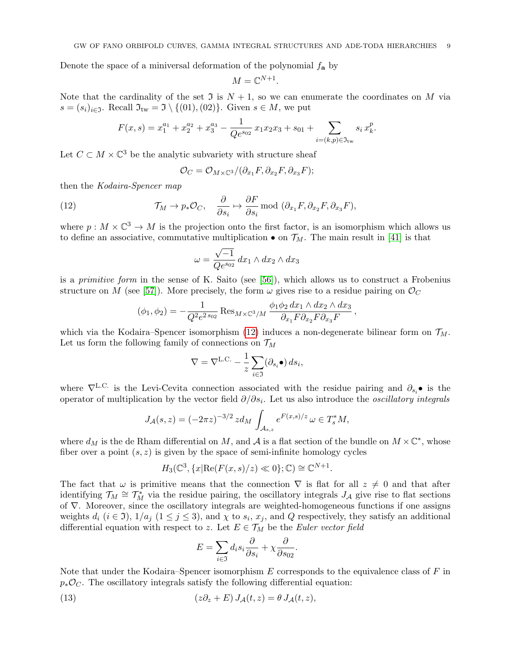Denote the space of a miniversal deformation of the polynomial  $f_{\mathbf{a}}$  by

$$
M=\mathbb{C}^{N+1}.
$$

Note that the cardinality of the set  $\mathfrak I$  is  $N+1$ , so we can enumerate the coordinates on M via  $s = (s_i)_{i \in \mathfrak{I}}$ . Recall  $\mathfrak{I}_{\text{tw}} = \mathfrak{I} \setminus \{(01), (02)\}$ . Given  $s \in M$ , we put

$$
F(x,s) = x_1^{a_1} + x_2^{a_2} + x_3^{a_3} - \frac{1}{Qe^{s_{02}}} x_1 x_2 x_3 + s_{01} + \sum_{i=(k,p)\in\mathfrak{I}_{\text{tw}}} s_i x_k^p.
$$

Let  $C \subset M \times \mathbb{C}^3$  be the analytic subvariety with structure sheaf

<span id="page-8-0"></span>
$$
\mathcal{O}_C=\mathcal{O}_{M\times\mathbb{C}^3}/(\partial_{x_1}F,\partial_{x_2}F,\partial_{x_3}F);
$$

then the Kodaira-Spencer map

(12) 
$$
\mathcal{T}_M \to p_*\mathcal{O}_C, \quad \frac{\partial}{\partial s_i} \mapsto \frac{\partial F}{\partial s_i} \text{ mod } (\partial_{x_1} F, \partial_{x_2} F, \partial_{x_3} F),
$$

where  $p: M \times \mathbb{C}^3 \to M$  is the projection onto the first factor, is an isomorphism which allows us to define an associative, commutative multiplication  $\bullet$  on  $\mathcal{T}_M$ . The main result in [\[41\]](#page-60-15) is that

$$
\omega = \frac{\sqrt{-1}}{Qe^{s_{02}}} dx_1 \wedge dx_2 \wedge dx_3
$$

is a primitive form in the sense of K. Saito (see [\[56\]](#page-61-10)), which allows us to construct a Frobenius structure on M (see [\[57\]](#page-61-11)). More precisely, the form  $\omega$  gives rise to a residue pairing on  $\mathcal{O}_C$ 

,

$$
(\phi_1, \phi_2) = -\frac{1}{Q^2 e^{2s_{02}}} \operatorname{Res}_{M \times \mathbb{C}^3/M} \frac{\phi_1 \phi_2 dx_1 \wedge dx_2 \wedge dx_3}{\partial_{x_1} F \partial_{x_2} F \partial_{x_3} F}
$$

which via the Kodaira–Spencer isomorphism [\(12\)](#page-8-0) induces a non-degenerate bilinear form on  $\mathcal{T}_M$ . Let us form the following family of connections on  $\mathcal{T}_M$ 

$$
\nabla = \nabla^{\mathcal{L}.\mathcal{C}} - \frac{1}{z} \sum_{i \in \mathfrak{I}} (\partial_{s_i} \bullet) ds_i,
$$

where  $\nabla^{\text{L.C.}}$  is the Levi-Cevita connection associated with the residue pairing and  $\partial_{s_i}$  is the operator of multiplication by the vector field  $\partial/\partial s_i$ . Let us also introduce the *oscillatory integrals* 

$$
J_{\mathcal{A}}(s,z) = (-2\pi z)^{-3/2} z d_M \int_{\mathcal{A}_{s,z}} e^{F(x,s)/z} \, \omega \in T_s^* M,
$$

where  $d_M$  is the de Rham differential on M, and A is a flat section of the bundle on  $M \times \mathbb{C}^*$ , whose fiber over a point  $(s, z)$  is given by the space of semi-infinite homology cycles

$$
H_3(\mathbb{C}^3, \{x | \text{Re}(F(x, s)/z) \ll 0\}; \mathbb{C}) \cong \mathbb{C}^{N+1}.
$$

The fact that  $\omega$  is primitive means that the connection  $\nabla$  is flat for all  $z \neq 0$  and that after identifying  $\mathcal{T}_M \cong \mathcal{T}_M^*$  via the residue pairing, the oscillatory integrals  $J_A$  give rise to flat sections of ∇. Moreover, since the oscillatory integrals are weighted-homogeneous functions if one assigns weights  $d_i$   $(i \in \mathcal{I})$ ,  $1/a_j$   $(1 \leq j \leq 3)$ , and  $\chi$  to  $s_i$ ,  $x_j$ , and  $Q$  respectively, they satisfy an additional differential equation with respect to z. Let  $E \in \mathcal{T}_M$  be the Euler vector field

<span id="page-8-1"></span>
$$
E = \sum_{i \in \mathfrak{I}} d_i s_i \frac{\partial}{\partial s_i} + \chi \frac{\partial}{\partial s_{02}}.
$$

Note that under the Kodaira–Spencer isomorphism  $E$  corresponds to the equivalence class of  $F$  in  $p_*\mathcal{O}_C$ . The oscillatory integrals satisfy the following differential equation:

(13) 
$$
(z\partial_z + E) J_A(t, z) = \theta J_A(t, z),
$$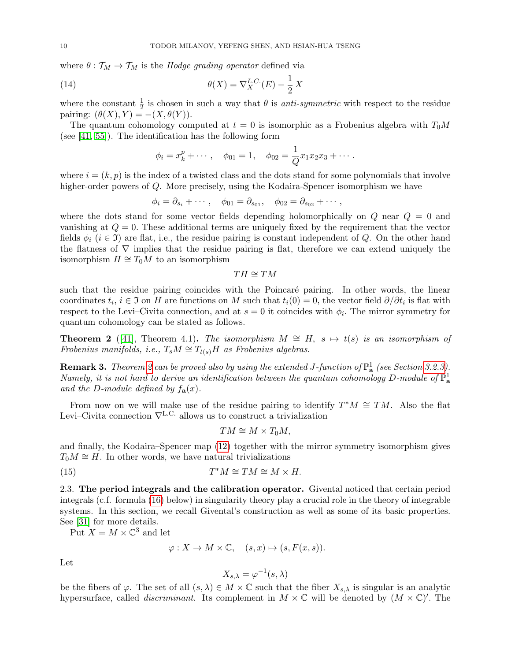where  $\theta : \mathcal{T}_M \to \mathcal{T}_M$  is the *Hodge grading operator* defined via

(14) 
$$
\theta(X) = \nabla_X^{L.C.}(E) - \frac{1}{2}X
$$

where the constant  $\frac{1}{2}$  is chosen in such a way that  $\theta$  is *anti-symmetric* with respect to the residue pairing:  $(\theta(X), Y) = -(X, \theta(Y)).$ 

The quantum cohomology computed at  $t = 0$  is isomorphic as a Frobenius algebra with  $T_0M$ (see [\[41,](#page-60-15) [55\]](#page-61-9)). The identification has the following form

<span id="page-9-3"></span>
$$
\phi_i = x_k^p + \cdots
$$
,  $\phi_{01} = 1$ ,  $\phi_{02} = \frac{1}{Q} x_1 x_2 x_3 + \cdots$ .

where  $i = (k, p)$  is the index of a twisted class and the dots stand for some polynomials that involve higher-order powers of Q. More precisely, using the Kodaira-Spencer isomorphism we have

$$
\phi_i = \partial_{s_i} + \cdots, \quad \phi_{01} = \partial_{s_{01}}, \quad \phi_{02} = \partial_{s_{02}} + \cdots,
$$

where the dots stand for some vector fields depending holomorphically on  $Q$  near  $Q = 0$  and vanishing at  $Q = 0$ . These additional terms are uniquely fixed by the requirement that the vector fields  $\phi_i$  ( $i \in \mathfrak{I}$ ) are flat, i.e., the residue pairing is constant independent of Q. On the other hand the flatness of  $\nabla$  implies that the residue pairing is flat, therefore we can extend uniquely the isomorphism  $H \cong T_0M$  to an isomorphism

 $TH \cong TM$ 

such that the residue pairing coincides with the Poincaré pairing. In other words, the linear coordinates  $t_i, i \in \mathfrak{I}$  on H are functions on M such that  $t_i(0) = 0$ , the vector field  $\partial/\partial t_i$  is flat with respect to the Levi–Civita connection, and at  $s = 0$  it coincides with  $\phi_i$ . The mirror symmetry for quantum cohomology can be stated as follows.

<span id="page-9-1"></span>**Theorem 2** ([\[41\]](#page-60-15), Theorem 4.1). The isomorphism  $M \cong H$ ,  $s \mapsto t(s)$  is an isomorphism of Frobenius manifolds, i.e.,  $T_sM \cong T_{t(s)}H$  as Frobenius algebras.

**Remark 3.** Theorem [2](#page-9-1) can be proved also by using the extended J-function of  $\mathbb{P}^1_{\mathbf{a}}$  (see Section [3.2.3\)](#page-21-0). Namely, it is not hard to derive an identification between the quantum cohomology D-module of  $\mathbb{P}^1_{\mathbf{a}}$ and the D-module defined by  $f_{\mathbf{a}}(x)$ .

From now on we will make use of the residue pairing to identify  $T^*M \cong TM$ . Also the flat Levi–Civita connection  $\nabla^{\text{L.C.}}$  allows us to construct a trivialization

<span id="page-9-2"></span>
$$
TM \cong M \times T_0M,
$$

and finally, the Kodaira–Spencer map [\(12\)](#page-8-0) together with the mirror symmetry isomorphism gives  $T_0M \cong H$ . In other words, we have natural trivializations

(15) 
$$
T^*M \cong TM \cong M \times H.
$$

<span id="page-9-0"></span>2.3. The period integrals and the calibration operator. Givental noticed that certain period integrals (c.f. formula [\(16\)](#page-10-0) below) in singularity theory play a crucial role in the theory of integrable systems. In this section, we recall Givental's construction as well as some of its basic properties. See [\[31\]](#page-60-4) for more details.

Put  $X = M \times \mathbb{C}^3$  and let

$$
\varphi: X \to M \times \mathbb{C}, \quad (s, x) \mapsto (s, F(x, s)).
$$

Let

$$
X_{s,\lambda} = \varphi^{-1}(s,\lambda)
$$

be the fibers of  $\varphi$ . The set of all  $(s, \lambda) \in M \times \mathbb{C}$  such that the fiber  $X_{s,\lambda}$  is singular is an analytic hypersurface, called *discriminant*. Its complement in  $M \times \mathbb{C}$  will be denoted by  $(M \times \mathbb{C})'$ . The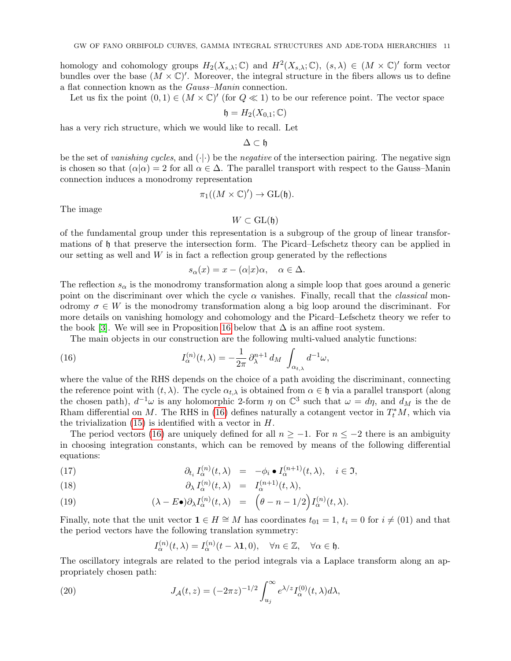homology and cohomology groups  $H_2(X_{s,\lambda}; \mathbb{C})$  and  $H^2(X_{s,\lambda}; \mathbb{C})$ ,  $(s, \lambda) \in (M \times \mathbb{C})'$  form vector bundles over the base  $(M \times \mathbb{C})'$ . Moreover, the integral structure in the fibers allows us to define a flat connection known as the Gauss–Manin connection.

Let us fix the point  $(0,1) \in (M \times \mathbb{C})'$  (for  $Q \ll 1$ ) to be our reference point. The vector space

$$
\mathfrak{h}=H_2(X_{0,1};\mathbb{C})
$$

has a very rich structure, which we would like to recall. Let

$$
\Delta\subset\mathfrak{h}
$$

be the set of vanishing cycles, and  $(\cdot|\cdot)$  be the negative of the intersection pairing. The negative sign is chosen so that  $(\alpha|\alpha) = 2$  for all  $\alpha \in \Delta$ . The parallel transport with respect to the Gauss–Manin connection induces a monodromy representation

$$
\pi_1((M\times\mathbb{C})')\to\mathrm{GL}(\mathfrak{h}).
$$

The image

## $W \subset GL(\mathfrak{h})$

of the fundamental group under this representation is a subgroup of the group of linear transformations of h that preserve the intersection form. The Picard–Lefschetz theory can be applied in our setting as well and  $W$  is in fact a reflection group generated by the reflections

<span id="page-10-0"></span>
$$
s_{\alpha}(x) = x - (\alpha|x)\alpha, \quad \alpha \in \Delta.
$$

The reflection  $s_{\alpha}$  is the monodromy transformation along a simple loop that goes around a generic point on the discriminant over which the cycle  $\alpha$  vanishes. Finally, recall that the *classical* monodromy  $\sigma \in W$  is the monodromy transformation along a big loop around the discriminant. For more details on vanishing homology and cohomology and the Picard–Lefschetz theory we refer to the book [\[3\]](#page-59-11). We will see in Proposition [16](#page-26-2) below that  $\Delta$  is an affine root system.

The main objects in our construction are the following multi-valued analytic functions:

(16) 
$$
I_{\alpha}^{(n)}(t,\lambda) = -\frac{1}{2\pi} \partial_{\lambda}^{n+1} d_M \int_{\alpha_{t,\lambda}} d^{-1}\omega,
$$

where the value of the RHS depends on the choice of a path avoiding the discriminant, connecting the reference point with  $(t, \lambda)$ . The cycle  $\alpha_{t,\lambda}$  is obtained from  $\alpha \in \mathfrak{h}$  via a parallel transport (along the chosen path),  $d^{-1}\omega$  is any holomorphic 2-form  $\eta$  on  $\mathbb{C}^3$  such that  $\omega = d\eta$ , and  $d_M$  is the de Rham differential on M. The RHS in [\(16\)](#page-10-0) defines naturally a cotangent vector in  $T_t^*M$ , which via the trivialization  $(15)$  is identified with a vector in  $H$ .

The period vectors [\(16\)](#page-10-0) are uniquely defined for all  $n \ge -1$ . For  $n \le -2$  there is an ambiguity in choosing integration constants, which can be removed by means of the following differential equations:

(17) 
$$
\partial_{t_i} I_{\alpha}^{(n)}(t,\lambda) = -\phi_i \bullet I_{\alpha}^{(n+1)}(t,\lambda), \quad i \in \mathfrak{I},
$$

(18) 
$$
\partial_{\lambda} I_{\alpha}^{(n)}(t,\lambda) = I_{\alpha}^{(n+1)}(t,\lambda),
$$

(19) 
$$
(\lambda - E\bullet)\partial_{\lambda}I_{\alpha}^{(n)}(t,\lambda) = \left(\theta - n - 1/2\right)I_{\alpha}^{(n)}(t,\lambda).
$$

Finally, note that the unit vector  $\mathbf{1} \in H \cong M$  has coordinates  $t_{01} = 1$ ,  $t_i = 0$  for  $i \neq (01)$  and that the period vectors have the following translation symmetry:

<span id="page-10-1"></span>
$$
I_{\alpha}^{(n)}(t,\lambda) = I_{\alpha}^{(n)}(t-\lambda \mathbf{1},0), \quad \forall n \in \mathbb{Z}, \quad \forall \alpha \in \mathfrak{h}.
$$

The oscillatory integrals are related to the period integrals via a Laplace transform along an appropriately chosen path:

(20) 
$$
J_{\mathcal{A}}(t,z) = (-2\pi z)^{-1/2} \int_{u_j}^{\infty} e^{\lambda/z} I_{\alpha}^{(0)}(t,\lambda) d\lambda,
$$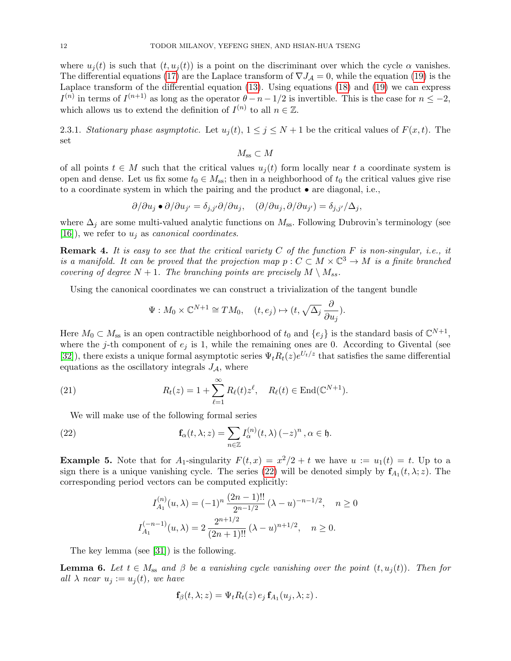where  $u_i(t)$  is such that  $(t, u_i(t))$  is a point on the discriminant over which the cycle  $\alpha$  vanishes. The differential equations [\(17\)](#page-10-1) are the Laplace transform of  $\nabla J_A = 0$ , while the equation [\(19\)](#page-10-1) is the Laplace transform of the differential equation [\(13\)](#page-8-1). Using equations [\(18\)](#page-10-1) and [\(19\)](#page-10-1) we can express  $I^{(n)}$  in terms of  $I^{(n+1)}$  as long as the operator  $\theta - n - 1/2$  is invertible. This is the case for  $n \leq -2$ , which allows us to extend the definition of  $I^{(n)}$  to all  $n \in \mathbb{Z}$ .

<span id="page-11-2"></span>2.3.1. Stationary phase asymptotic. Let  $u_j(t)$ ,  $1 \leq j \leq N+1$  be the critical values of  $F(x, t)$ . The set

 $M_{ss} \subset M$ 

of all points  $t \in M$  such that the critical values  $u_i(t)$  form locally near t a coordinate system is open and dense. Let us fix some  $t_0 \in M_{ss}$ ; then in a neighborhood of  $t_0$  the critical values give rise to a coordinate system in which the pairing and the product • are diagonal, i.e.,

$$
\partial/\partial u_j \bullet \partial/\partial u_{j'} = \delta_{j,j'}\partial/\partial u_j, \quad (\partial/\partial u_j, \partial/\partial u_{j'}) = \delta_{j,j'}/\Delta_j,
$$

where  $\Delta_j$  are some multi-valued analytic functions on  $M_{ss}$ . Following Dubrovin's terminology (see [\[16\]](#page-60-19)), we refer to  $u_j$  as *canonical coordinates*.

**Remark 4.** It is easy to see that the critical variety  $C$  of the function  $F$  is non-singular, i.e., it is a manifold. It can be proved that the projection map  $p: C \subset M \times \mathbb{C}^3 \to M$  is a finite branched covering of degree  $N + 1$ . The branching points are precisely  $M \setminus M_{ss}$ .

Using the canonical coordinates we can construct a trivialization of the tangent bundle

$$
\Psi: M_0 \times \mathbb{C}^{N+1} \cong TM_0, \quad (t, e_j) \mapsto (t, \sqrt{\Delta_j} \frac{\partial}{\partial u_j}).
$$

Here  $M_0 \subset M_{ss}$  is an open contractible neighborhood of  $t_0$  and  $\{e_j\}$  is the standard basis of  $\mathbb{C}^{N+1}$ , where the j-th component of  $e_i$  is 1, while the remaining ones are 0. According to Givental (see [\[32\]](#page-60-10)), there exists a unique formal asymptotic series  $\Psi_t R_t(z) e^{U_t/z}$  that satisfies the same differential equations as the oscillatory integrals  $J_A$ , where

(21) 
$$
R_t(z) = 1 + \sum_{\ell=1}^{\infty} R_{\ell}(t) z^{\ell}, \quad R_{\ell}(t) \in \text{End}(\mathbb{C}^{N+1}).
$$

We will make use of the following formal series

(22) 
$$
\mathbf{f}_{\alpha}(t,\lambda;z) = \sum_{n\in\mathbb{Z}} I_{\alpha}^{(n)}(t,\lambda) (-z)^{n}, \alpha \in \mathfrak{h}.
$$

**Example 5.** Note that for  $A_1$ -singularity  $F(t, x) = x^2/2 + t$  we have  $u := u_1(t) = t$ . Up to a sign there is a unique vanishing cycle. The series [\(22\)](#page-11-0) will be denoted simply by  $f_{A_1}(t, \lambda; z)$ . The corresponding period vectors can be computed explicitly:

<span id="page-11-0"></span>
$$
I_{A_1}^{(n)}(u,\lambda) = (-1)^n \frac{(2n-1)!!}{2^{n-1/2}} (\lambda - u)^{-n-1/2}, \quad n \ge 0
$$
  

$$
I_{A_1}^{(-n-1)}(u,\lambda) = 2 \frac{2^{n+1/2}}{(2n+1)!!} (\lambda - u)^{n+1/2}, \quad n \ge 0.
$$

The key lemma (see [\[31\]](#page-60-4)) is the following.

<span id="page-11-1"></span>**Lemma 6.** Let  $t \in M_{ss}$  and  $\beta$  be a vanishing cycle vanishing over the point  $(t, u_i(t))$ . Then for all  $\lambda$  near  $u_j := u_j(t)$ , we have

$$
\mathbf{f}_{\beta}(t,\lambda;z)=\Psi_t R_t(z) \, e_j \, \mathbf{f}_{A_1}(u_j,\lambda;z) \, .
$$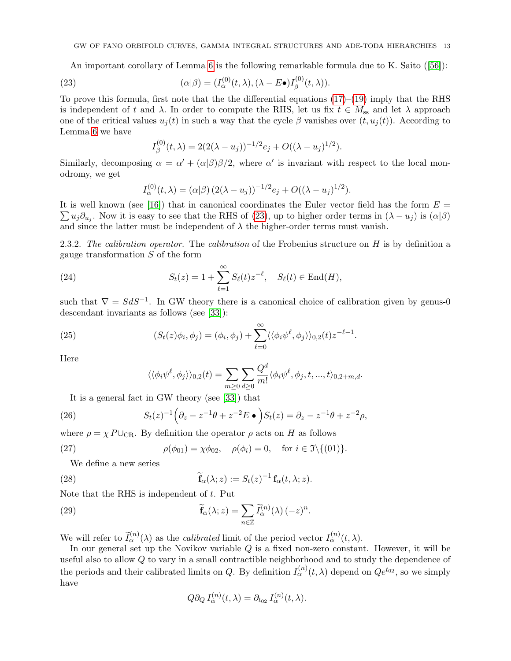An important corollary of Lemma [6](#page-11-1) is the following remarkable formula due to K. Saito([\[56\]](#page-61-10)):

(23) 
$$
(\alpha|\beta) = (I_{\alpha}^{(0)}(t,\lambda), (\lambda - E\bullet)I_{\beta}^{(0)}(t,\lambda)).
$$

To prove this formula, first note that the the differential equations  $(17)$ – $(19)$  imply that the RHS is independent of t and  $\lambda$ . In order to compute the RHS, let us fix  $t \in M_{ss}$  and let  $\lambda$  approach one of the critical values  $u_i(t)$  in such a way that the cycle  $\beta$  vanishes over  $(t, u_j(t))$ . According to Lemma [6](#page-11-1) we have

<span id="page-12-1"></span>
$$
I_{\beta}^{(0)}(t,\lambda) = 2(2(\lambda - u_j))^{-1/2}e_j + O((\lambda - u_j)^{1/2}).
$$

Similarly, decomposing  $\alpha = \alpha' + (\alpha|\beta)\beta/2$ , where  $\alpha'$  is invariant with respect to the local monodromy, we get

<span id="page-12-3"></span>
$$
I_{\alpha}^{(0)}(t,\lambda) = (\alpha|\beta) (2(\lambda - u_j))^{-1/2} e_j + O((\lambda - u_j)^{1/2}).
$$

 $\sum u_j \partial_{u_j}$ . Now it is easy to see that the RHS of [\(23\)](#page-12-1), up to higher order terms in  $(\lambda - u_j)$  is  $(\alpha | \beta)$ It is well known (see [\[16\]](#page-60-19)) that in canonical coordinates the Euler vector field has the form  $E =$ and since the latter must be independent of  $\lambda$  the higher-order terms must vanish.

<span id="page-12-0"></span>2.3.2. The calibration operator. The calibration of the Frobenius structure on  $H$  is by definition a gauge transformation S of the form

(24) 
$$
S_t(z) = 1 + \sum_{\ell=1}^{\infty} S_{\ell}(t) z^{-\ell}, \quad S_{\ell}(t) \in \text{End}(H),
$$

such that  $\nabla = S dS^{-1}$ . In GW theory there is a canonical choice of calibration given by genus-0 descendant invariants as follows (see [\[33\]](#page-60-11)):

(25) 
$$
(S_t(z)\phi_i,\phi_j)=(\phi_i,\phi_j)+\sum_{\ell=0}^{\infty}\langle\langle\phi_i\psi^{\ell},\phi_j\rangle\rangle_{0,2}(t)z^{-\ell-1}.
$$

Here

<span id="page-12-5"></span><span id="page-12-4"></span><span id="page-12-2"></span>
$$
\langle \langle \phi_i \psi^\ell, \phi_j \rangle \rangle_{0,2}(t) = \sum_{m \ge 0} \sum_{d \ge 0} \frac{Q^d}{m!} \langle \phi_i \psi^\ell, \phi_j, t, ..., t \rangle_{0,2+m,d}.
$$

It is a general fact in GW theory (see [\[33\]](#page-60-11)) that

(26) 
$$
S_t(z)^{-1} \left( \partial_z - z^{-1} \theta + z^{-2} E \bullet \right) S_t(z) = \partial_z - z^{-1} \theta + z^{-2} \rho,
$$

where  $\rho = \chi P \cup_{\text{CR}}$ . By definition the operator  $\rho$  acts on H as follows

(27) 
$$
\rho(\phi_{01}) = \chi \phi_{02}, \quad \rho(\phi_i) = 0, \quad \text{for } i \in \mathfrak{I} \setminus \{(01)\}.
$$

We define a new series

(28) 
$$
\widetilde{\mathbf{f}}_{\alpha}(\lambda; z) := S_t(z)^{-1} \mathbf{f}_{\alpha}(t, \lambda; z).
$$

Note that the RHS is independent of  $t$ . Put

(29) 
$$
\widetilde{\mathbf{f}}_{\alpha}(\lambda; z) = \sum_{n \in \mathbb{Z}} \widetilde{I}_{\alpha}^{(n)}(\lambda) (-z)^{n}.
$$

We will refer to  $\tilde{I}_{\alpha}^{(n)}(\lambda)$  as the *calibrated* limit of the period vector  $I_{\alpha}^{(n)}(t,\lambda)$ .

In our general set up the Novikov variable Q is a fixed non-zero constant. However, it will be useful also to allow Q to vary in a small contractible neighborhood and to study the dependence of the periods and their calibrated limits on Q. By definition  $I_{\alpha}^{(n)}(t,\lambda)$  depend on  $Qe^{t_{02}}$ , so we simply have

<span id="page-12-6"></span>
$$
Q\partial_Q I_{\alpha}^{(n)}(t,\lambda) = \partial_{t_{02}} I_{\alpha}^{(n)}(t,\lambda).
$$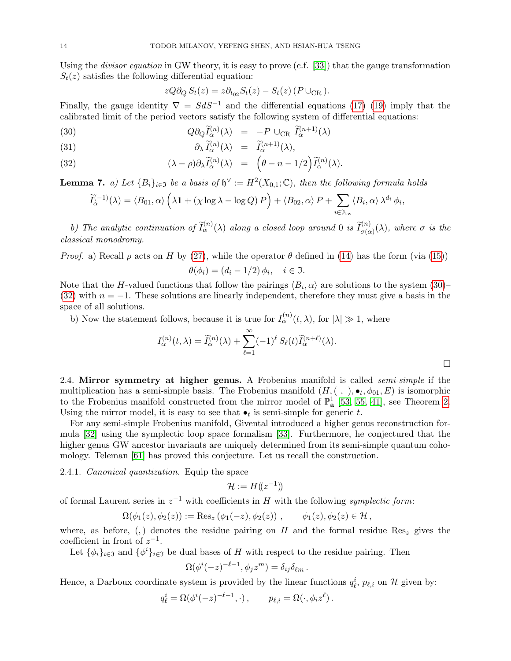Using the *divisor equation* in GW theory, it is easy to prove (c.f. [\[33\]](#page-60-11)) that the gauge transformation  $S_t(z)$  satisfies the following differential equation:

<span id="page-13-1"></span>
$$
zQ\partial_Q S_t(z) = z\partial_{t_{02}} S_t(z) - S_t(z) (P \cup_{\text{CR}}).
$$

Finally, the gauge identity  $\nabla = S dS^{-1}$  and the differential equations [\(17\)](#page-10-1)–[\(19\)](#page-10-1) imply that the calibrated limit of the period vectors satisfy the following system of differential equations:

(30) 
$$
Q\partial_Q \tilde{I}_{\alpha}^{(n)}(\lambda) = -P \cup_{\text{CR}} \tilde{I}_{\alpha}^{(n+1)}(\lambda)
$$

(31) 
$$
\partial_{\lambda} \widetilde{I}_{\alpha}^{(n)}(\lambda) = \widetilde{I}_{\alpha}^{(n+1)}(\lambda),
$$

(32) 
$$
(\lambda - \rho)\partial_{\lambda}\widetilde{I}_{\alpha}^{(n)}(\lambda) = \left(\theta - n - 1/2\right)\widetilde{I}_{\alpha}^{(n)}(\lambda).
$$

<span id="page-13-2"></span>**Lemma 7.** a) Let  ${B_i}_{i \in \mathfrak{I}}$  be a basis of  $\mathfrak{h}^{\vee} := H^2(X_{0,1}; \mathbb{C})$ , then the following formula holds

$$
\widetilde{I}_{\alpha}^{(-1)}(\lambda) = \langle B_{01}, \alpha \rangle \left( \lambda \mathbf{1} + (\chi \log \lambda - \log Q) P \right) + \langle B_{02}, \alpha \rangle P + \sum_{i \in \mathfrak{I}_{\text{tw}}} \langle B_i, \alpha \rangle \lambda^{d_i} \phi_i
$$

b) The analytic continuation of  $\tilde{I}_{\alpha}^{(n)}(\lambda)$  along a closed loop around 0 is  $\tilde{I}_{\sigma(\alpha)}^{(n)}(\lambda)$ , where  $\sigma$  is the classical monodromy.

*Proof.* a) Recall  $\rho$  acts on H by [\(27\)](#page-12-2), while the operator  $\theta$  defined in [\(14\)](#page-9-3) has the form (via [\(15\)](#page-9-2))

$$
\theta(\phi_i) = (d_i - 1/2) \phi_i, \quad i \in \mathfrak{I}.
$$

Note that the H-valued functions that follow the pairings  $\langle B_i, \alpha \rangle$  are solutions to the system [\(30\)](#page-13-1)– [\(32\)](#page-13-1) with  $n = -1$ . These solutions are linearly independent, therefore they must give a basis in the space of all solutions.

b) Now the statement follows, because it is true for  $I_{\alpha}^{(n)}(t,\lambda)$ , for  $|\lambda| \gg 1$ , where

$$
I_{\alpha}^{(n)}(t,\lambda) = \widetilde{I}_{\alpha}^{(n)}(\lambda) + \sum_{\ell=1}^{\infty} (-1)^{\ell} S_{\ell}(t) \widetilde{I}_{\alpha}^{(n+\ell)}(\lambda).
$$

,

<span id="page-13-0"></span>2.4. Mirror symmetry at higher genus. A Frobenius manifold is called *semi-simple* if the multiplication has a semi-simple basis. The Frobenius manifold  $(H, ( , ), \bullet_t, \phi_{01}, E)$  is isomorphic to the Frobenius manifold constructed from the mirror model of  $\mathbb{P}^1_{a}$  [\[53,](#page-61-5) [55,](#page-61-9) [41\]](#page-60-15), see Theorem [2.](#page-9-1) Using the mirror model, it is easy to see that  $\bullet_t$  is semi-simple for generic t.

For any semi-simple Frobenius manifold, Givental introduced a higher genus reconstruction formula [\[32\]](#page-60-10) using the symplectic loop space formalism [\[33\]](#page-60-11). Furthermore, he conjectured that the higher genus GW ancestor invariants are uniquely determined from its semi-simple quantum cohomology. Teleman [\[61\]](#page-61-7) has proved this conjecture. Let us recall the construction.

<span id="page-13-3"></span>2.4.1. Canonical quantization. Equip the space

$$
\mathcal{H}:=H(\!(z^{-1})\!)
$$

of formal Laurent series in  $z^{-1}$  with coefficients in H with the following symplectic form:

$$
\Omega(\phi_1(z), \phi_2(z)) := \text{Res}_z (\phi_1(-z), \phi_2(z)), \quad \phi_1(z), \phi_2(z) \in \mathcal{H},
$$

where, as before, (,) denotes the residue pairing on H and the formal residue Res<sub>z</sub> gives the coefficient in front of  $z^{-1}$ .

Let  $\{\phi_i\}_{i\in\mathfrak{I}}$  and  $\{\phi^i\}_{i\in\mathfrak{I}}$  be dual bases of H with respect to the residue pairing. Then

$$
\Omega(\phi^i(-z)^{-\ell-1}, \phi_j z^m) = \delta_{ij}\delta_{\ell m}.
$$

Hence, a Darboux coordinate system is provided by the linear functions  $q_{\ell}^{i}$ ,  $p_{\ell,i}$  on  $\mathcal{H}$  given by:

$$
q_{\ell}^{i} = \Omega(\phi^{i}(-z)^{-\ell-1}, \cdot), \qquad p_{\ell,i} = \Omega(\cdot, \phi_{i} z^{\ell}).
$$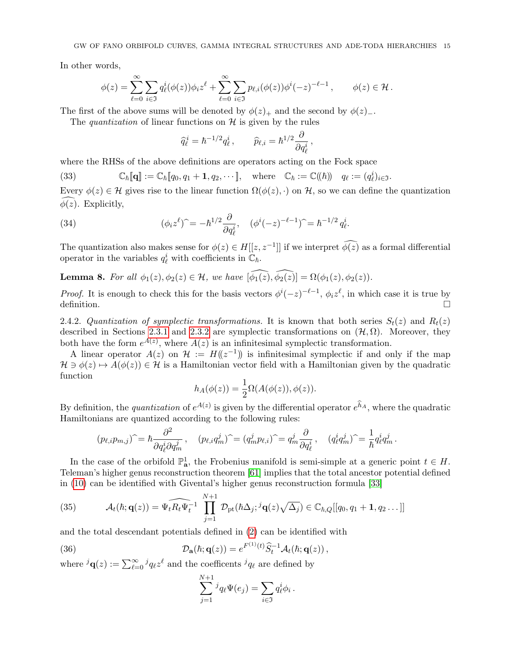In other words,

$$
\phi(z) = \sum_{\ell=0}^{\infty} \sum_{i \in \mathfrak{I}} q_{\ell}^{i}(\phi(z)) \phi_{i} z^{\ell} + \sum_{\ell=0}^{\infty} \sum_{i \in \mathfrak{I}} p_{\ell,i}(\phi(z)) \phi^{i}(-z)^{-\ell-1}, \qquad \phi(z) \in \mathcal{H}.
$$

The first of the above sums will be denoted by  $\phi(z)_+$  and the second by  $\phi(z)_-$ .

The quantization of linear functions on  $\mathcal H$  is given by the rules

$$
\widehat{q}_{\ell}^{\,i}=\hbar^{-1/2}q_{\ell}^{\,i}\,,\qquad \widehat{p}_{\ell,i}=\hbar^{1/2}\frac{\partial}{\partial q_{\ell}^{\,i}}\,,
$$

where the RHSs of the above definitions are operators acting on the Fock space

<span id="page-14-0"></span>(33) 
$$
\mathbb{C}_{\hbar}[\mathbf{q}] := \mathbb{C}_{\hbar}[q_0, q_1 + \mathbf{1}, q_2, \cdots], \text{ where } \mathbb{C}_{\hbar} := \mathbb{C}((\hbar)) \quad q_{\ell} := (q_{\ell}^{i})_{i \in \mathfrak{I}}.
$$

Every  $\phi(z) \in \mathcal{H}$  gives rise to the linear function  $\Omega(\phi(z), \cdot)$  on  $\mathcal{H}$ , so we can define the quantization  $\phi(z)$ . Explicitly,

(34) 
$$
(\phi_i z^{\ell})^{\widehat{}} = -\hbar^{1/2} \frac{\partial}{\partial q_{\ell}^i}, \quad (\phi^i (-z)^{-\ell-1})^{\widehat{}} = \hbar^{-1/2} q_{\ell}^i.
$$

The quantization also makes sense for  $\phi(z) \in H[[z, z^{-1}]]$  if we interpret  $\phi(z)$  as a formal differential operator in the variables  $q_{\ell}^{i}$  with coefficients in  $\mathbb{C}_{\hbar}$ .

**Lemma 8.** For all  $\phi_1(z), \phi_2(z) \in \mathcal{H}$ , we have  $[\widehat{\phi_1(z)}, \widehat{\phi_2(z)}] = \Omega(\phi_1(z), \phi_2(z)).$ 

*Proof.* It is enough to check this for the basis vectors  $\phi^{i}(-z)^{-\ell-1}$ ,  $\phi_i z^{\ell}$ , in which case it is true by definition.

2.4.2. Quantization of symplectic transformations. It is known that both series  $S_t(z)$  and  $R_t(z)$ described in Sections [2.3.1](#page-11-2) and [2.3.2](#page-12-0) are symplectic transformations on  $(\mathcal{H}, \Omega)$ . Moreover, they both have the form  $e^{A(z)}$ , where  $A(z)$  is an infinitesimal symplectic transformation.

A linear operator  $A(z)$  on  $\mathcal{H} := H((z^{-1}))$  is infinitesimal symplectic if and only if the map  $\mathcal{H} \ni \phi(z) \mapsto A(\phi(z)) \in \mathcal{H}$  is a Hamiltonian vector field with a Hamiltonian given by the quadratic function

$$
h_A(\phi(z)) = \frac{1}{2}\Omega(A(\phi(z)), \phi(z)).
$$

By definition, the *quantization* of  $e^{A(z)}$  is given by the differential operator  $e^{h_A}$ , where the quadratic Hamiltonians are quantized according to the following rules:

$$
(p_{\ell,i}p_{m,j})\hat{} = \hbar \frac{\partial^2}{\partial q_{\ell}^i \partial q_m^j}, \quad (p_{\ell,i}q_m^j)\hat{} = (q_m^jp_{\ell,i})\hat{} = q_m^j\frac{\partial}{\partial q_{\ell}^i}, \quad (q_{\ell}^iq_m^j)\hat{} = \frac{1}{\hbar}q_{\ell}^iq_m^j.
$$

In the case of the orbifold  $\mathbb{P}^1_{\mathbf{a}}$ , the Frobenius manifold is semi-simple at a generic point  $t \in H$ . Teleman's higher genus reconstruction theorem [\[61\]](#page-61-7) implies that the total ancestor potential defined in [\(10\)](#page-7-1) can be identified with Givental's higher genus reconstruction formula [\[33\]](#page-60-11)

<span id="page-14-1"></span>(35) 
$$
\mathcal{A}_t(\hbar; \mathbf{q}(z)) = \widehat{\Psi_t R_t \Psi_t^{-1}} \prod_{j=1}^{N+1} \mathcal{D}_{\mathrm{pt}}(\hbar \Delta_j; {}^j \mathbf{q}(z) \sqrt{\Delta_j}) \in \mathbb{C}_{\hbar, Q}[[q_0, q_1 + 1, q_2 \dots]]
$$

and the total descendant potentials defined in [\(2\)](#page-2-1) can be identified with

(36) 
$$
\mathcal{D}_{\mathbf{a}}(\hbar; \mathbf{q}(z)) = e^{F^{(1)}(t)} \widehat{S}_t^{-1} \mathcal{A}_t(\hbar; \mathbf{q}(z)),
$$

where  ${}^{j}$ **q**(*z*) :=  $\sum_{\ell=0}^{\infty} {}^{j}q_{\ell}z^{\ell}$  and the coefficents  ${}^{j}q_{\ell}$  are defined by

<span id="page-14-2"></span>
$$
\sum_{j=1}^{N+1} {}^{j}q_{\ell}\Psi(e_j) = \sum_{i\in\Im} q_{\ell}^{i}\phi_i.
$$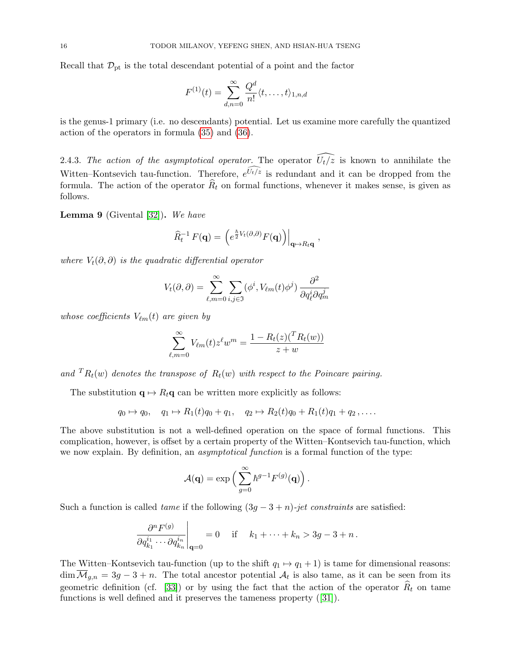Recall that  $\mathcal{D}_{\text{pt}}$  is the total descendant potential of a point and the factor

$$
F^{(1)}(t) = \sum_{d,n=0}^{\infty} \frac{Q^d}{n!} \langle t, \ldots, t \rangle_{1,n,d}
$$

is the genus-1 primary (i.e. no descendants) potential. Let us examine more carefully the quantized action of the operators in formula [\(35\)](#page-14-1) and [\(36\)](#page-14-2).

2.4.3. The action of the asymptotical operator. The operator  $\widehat{U_t/z}$  is known to annihilate the Witten–Kontsevich tau-function. Therefore,  $e^{\widehat{U_t/z}}$  is redundant and it can be dropped from the formula. The action of the operator  $\widehat{R}_t$  on formal functions, whenever it makes sense, is given as follows.

<span id="page-15-0"></span>**Lemma 9** (Givental  $[32]$ ). We have

$$
\widehat{R}_t^{-1} F(\mathbf{q}) = \left. \left( e^{\frac{\hbar}{2} V_t(\partial,\partial)} F(\mathbf{q}) \right) \right|_{\mathbf{q} \mapsto R_t \mathbf{q}},
$$

where  $V_t(\partial, \partial)$  is the quadratic differential operator

$$
V_t(\partial, \partial) = \sum_{\ell,m=0}^{\infty} \sum_{i,j \in \mathfrak{I}} (\phi^i, V_{\ell m}(t) \phi^j) \frac{\partial^2}{\partial q_{\ell}^i \partial q_m^j}
$$

whose coefficients  $V_{\ell m}(t)$  are given by

$$
\sum_{\ell,m=0}^{\infty} V_{\ell m}(t) z^{\ell} w^m = \frac{1 - R_t(z) ({}^T R_t(w))}{z + w}
$$

and  ${}^{T}R_{t}(w)$  denotes the transpose of  $R_{t}(w)$  with respect to the Poincare pairing.

The substitution  $\mathbf{q} \mapsto R_t \mathbf{q}$  can be written more explicitly as follows:

$$
q_0 \mapsto q_0
$$
,  $q_1 \mapsto R_1(t)q_0 + q_1$ ,  $q_2 \mapsto R_2(t)q_0 + R_1(t)q_1 + q_2$ ,....

The above substitution is not a well-defined operation on the space of formal functions. This complication, however, is offset by a certain property of the Witten–Kontsevich tau-function, which we now explain. By definition, an *asymptotical function* is a formal function of the type:

$$
\mathcal{A}(\mathbf{q}) = \exp\left(\sum_{g=0}^{\infty} \hbar^{g-1} F^{(g)}(\mathbf{q})\right).
$$

Such a function is called *tame* if the following  $(3g - 3 + n)$ -jet constraints are satisfied:

$$
\left. \frac{\partial^n F^{(g)}}{\partial q_{k_1}^{i_1} \cdots \partial q_{k_n}^{i_n}} \right|_{\mathbf{q} = 0} = 0 \quad \text{if} \quad k_1 + \cdots + k_n > 3g - 3 + n \, .
$$

The Witten–Kontsevich tau-function (up to the shift  $q_1 \mapsto q_1 + 1$ ) is tame for dimensional reasons:  $\dim M_{g,n} = 3g - 3 + n$ . The total ancestor potential  $A_t$  is also tame, as it can be seen from its geometric definition (cf. [\[33\]](#page-60-11)) or by using the fact that the action of the operator  $\hat{R}_t$  on tame functions is well defined and it preserves the tameness property([\[31\]](#page-60-4)).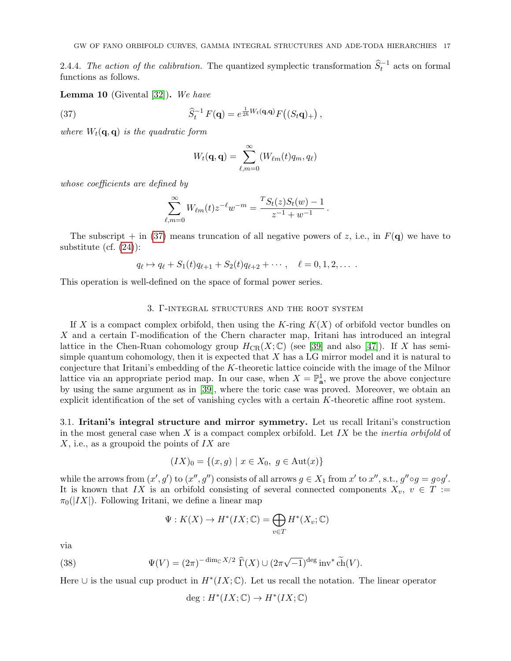2.4.4. The action of the calibration. The quantized symplectic transformation  $\hat{S}_t^{-1}$  acts on formal functions as follows.

<span id="page-16-3"></span>**Lemma 10** (Givental  $[32]$ ). We have

(37) 
$$
\widehat{S}_t^{-1} F(\mathbf{q}) = e^{\frac{1}{2\hbar}W_t(\mathbf{q},\mathbf{q})} F\big((S_t\mathbf{q})_+\big) ,
$$

where  $W_t(\mathbf{q}, \mathbf{q})$  is the quadratic form

<span id="page-16-2"></span>
$$
W_t(\mathbf{q},\mathbf{q}) = \sum_{\ell,m=0}^{\infty} (W_{\ell m}(t)q_m,q_\ell)
$$

whose coefficients are defined by

$$
\sum_{\ell,m=0}^{\infty} W_{\ell m}(t) z^{-\ell} w^{-m} = \frac{^{T} S_{t}(z) S_{t}(w) - 1}{z^{-1} + w^{-1}}.
$$

The subscript  $+$  in [\(37\)](#page-16-2) means truncation of all negative powers of z, i.e., in  $F(q)$  we have to substitute (cf. [\(24\)](#page-12-3)):

$$
q_{\ell} \mapsto q_{\ell} + S_1(t)q_{\ell+1} + S_2(t)q_{\ell+2} + \cdots, \quad \ell = 0, 1, 2, \ldots
$$

This operation is well-defined on the space of formal power series.

#### 3. Γ-integral structures and the root system

<span id="page-16-0"></span>If X is a compact complex orbifold, then using the K-ring  $K(X)$  of orbifold vector bundles on X and a certain Γ-modification of the Chern character map, Iritani has introduced an integral lattice in the Chen-Ruan cohomology group  $H_{CR}(X;\mathbb{C})$  (see [\[39\]](#page-60-16) and also [\[47\]](#page-60-17)). If X has semisimple quantum cohomology, then it is expected that  $X$  has a LG mirror model and it is natural to conjecture that Iritani's embedding of the K-theoretic lattice coincide with the image of the Milnor lattice via an appropriate period map. In our case, when  $X = \mathbb{P}^1_{\mathbf{a}}$ , we prove the above conjecture by using the same argument as in [\[39\]](#page-60-16), where the toric case was proved. Moreover, we obtain an explicit identification of the set of vanishing cycles with a certain K-theoretic affine root system.

<span id="page-16-1"></span>3.1. Iritani's integral structure and mirror symmetry. Let us recall Iritani's construction in the most general case when  $X$  is a compact complex orbifold. Let  $IX$  be the *inertia orbifold* of  $X$ , i.e., as a groupoid the points of  $IX$  are

$$
(IX)_0 = \{(x, g) \mid x \in X_0, g \in Aut(x)\}
$$

while the arrows from  $(x', g')$  to  $(x'', g'')$  consists of all arrows  $g \in X_1$  from  $x'$  to  $x'',$  s.t.,  $g'' \circ g = g \circ g'$ . It is known that IX is an orbifold consisting of several connected components  $X_v$ ,  $v \in T :=$  $\pi_0(|IX|)$ . Following Iritani, we define a linear map

$$
\Psi: K(X) \to H^*(IX; \mathbb{C}) = \bigoplus_{v \in T} H^*(X_v; \mathbb{C})
$$

via

(38) 
$$
\Psi(V) = (2\pi)^{-\dim_{\mathbb{C}} X/2} \widehat{\Gamma}(X) \cup (2\pi\sqrt{-1})^{\text{deg}} \text{inv}^* \widetilde{\text{ch}}(V).
$$

Here  $\cup$  is the usual cup product in  $H^*(IX;\mathbb{C})$ . Let us recall the notation. The linear operator

$$
\deg: H^*(IX; \mathbb{C}) \to H^*(IX; \mathbb{C})
$$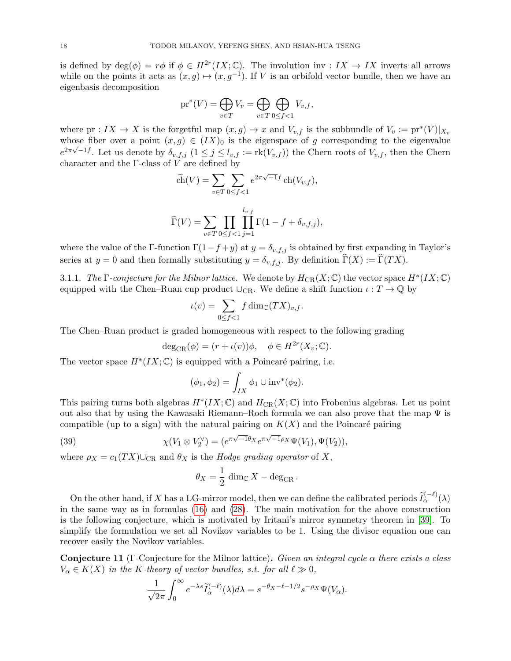is defined by  $deg(\phi) = r\phi$  if  $\phi \in H^{2r}(IX;\mathbb{C})$ . The involution inv :  $IX \to IX$  inverts all arrows while on the points it acts as  $(x, g) \mapsto (x, g^{-1})$ . If V is an orbifold vector bundle, then we have an eigenbasis decomposition

$$
\mathrm{pr}^*(V) = \bigoplus_{v \in T} V_v = \bigoplus_{v \in T} \bigoplus_{0 \le f < 1} V_{v,f},
$$

where  $pr: IX \to X$  is the forgetful map  $(x, g) \mapsto x$  and  $V_{v,f}$  is the subbundle of  $V_v := pr^*(V)|_{X_v}$ whose fiber over a point  $(x, g) \in (IX)_0$  is the eigenspace of g corresponding to the eigenvalue  $e^{2\pi\sqrt{-1}f}$ . Let us denote by  $\delta_{v,f,j}$   $(1 \leq j \leq l_{v,f} := \text{rk}(V_{v,f})$  the Chern roots of  $V_{v,f}$ , then the Chern character and the  $\Gamma$ -class of  $V$  are defined by

$$
\widetilde{\text{ch}}(V) = \sum_{v \in T} \sum_{0 \le f < 1} e^{2\pi\sqrt{-1}f} \operatorname{ch}(V_{v,f}),
$$
\n
$$
\widehat{\Gamma}(V) = \sum_{v \in T} \prod_{0 \le f < 1} \prod_{j=1}^{l_{v,f}} \Gamma(1 - f + \delta_{v,f,j}),
$$

where the value of the Γ-function  $\Gamma(1-f+y)$  at  $y = \delta_{v,f,j}$  is obtained by first expanding in Taylor's series at  $y = 0$  and then formally substituting  $y = \delta_{v,f,j}$ . By definition  $\widehat{\Gamma}(X) := \widehat{\Gamma}(TX)$ .

3.1.1. The  $\Gamma$ -conjecture for the Milnor lattice. We denote by  $H_{CR}(X;\mathbb{C})$  the vector space  $H^*(IX;\mathbb{C})$ equipped with the Chen–Ruan cup product ∪<sub>CR</sub>. We define a shift function  $\iota : T \to \mathbb{Q}$  by

$$
\iota(v) = \sum_{0 \le f < 1} f \dim_{\mathbb{C}} (TX)_{v,f}.
$$

The Chen–Ruan product is graded homogeneous with respect to the following grading

$$
deg_{CR}(\phi) = (r + \iota(v))\phi, \quad \phi \in H^{2r}(X_v; \mathbb{C}).
$$

The vector space  $H^*(IX;\mathbb{C})$  is equipped with a Poincaré pairing, i.e.

$$
(\phi_1, \phi_2) = \int_{IX} \phi_1 \cup inv^*(\phi_2).
$$

This pairing turns both algebras  $H^*(IX;\mathbb{C})$  and  $H_{CR}(X;\mathbb{C})$  into Frobenius algebras. Let us point out also that by using the Kawasaki Riemann–Roch formula we can also prove that the map  $\Psi$  is compatible (up to a sign) with the natural pairing on  $K(X)$  and the Poincaré pairing

(39) 
$$
\chi(V_1 \otimes V_2^{\vee}) = (e^{\pi \sqrt{-1} \theta_X} e^{\pi \sqrt{-1} \rho_X} \Psi(V_1), \Psi(V_2)),
$$

where  $\rho_X = c_1(TX) \cup_{\text{CR}}$  and  $\theta_X$  is the Hodge grading operator of X,

<span id="page-17-1"></span>
$$
\theta_X = \frac{1}{2} \dim_{\mathbb{C}} X - \deg_{\mathrm{CR}}.
$$

On the other hand, if X has a LG-mirror model, then we can define the calibrated periods  $\tilde{I}_{\alpha}^{(-\ell)}(\lambda)$ in the same way as in formulas [\(16\)](#page-10-0) and [\(28\)](#page-12-4). The main motivation for the above construction is the following conjecture, which is motivated by Iritani's mirror symmetry theorem in [\[39\]](#page-60-16). To simplify the formulation we set all Novikov variables to be 1. Using the divisor equation one can recover easily the Novikov variables.

<span id="page-17-0"></span>**Conjecture 11** (Γ-Conjecture for the Milnor lattice). Given an integral cycle  $\alpha$  there exists a class  $V_{\alpha} \in K(X)$  in the K-theory of vector bundles, s.t. for all  $\ell \gg 0$ ,

$$
\frac{1}{\sqrt{2\pi}}\int_0^\infty e^{-\lambda s}\widetilde{I}_{\alpha}^{(-\ell)}(\lambda)d\lambda = s^{-\theta_X-\ell-1/2}s^{-\rho_X}\Psi(V_\alpha).
$$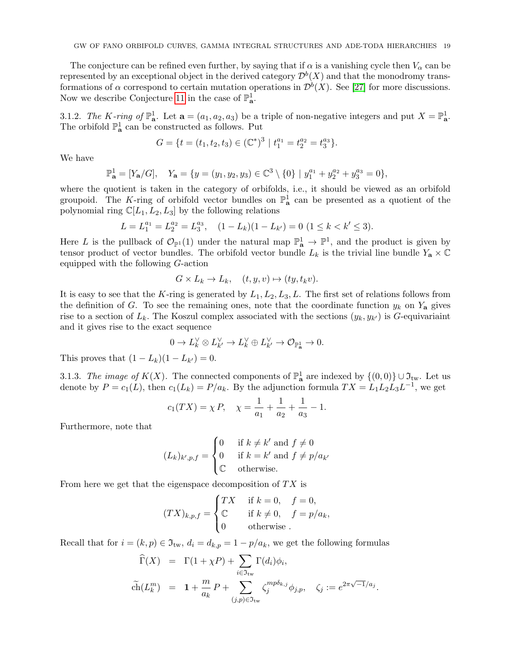The conjecture can be refined even further, by saying that if  $\alpha$  is a vanishing cycle then  $V_{\alpha}$  can be represented by an exceptional object in the derived category  $\mathcal{D}^b(X)$  and that the monodromy transformations of  $\alpha$  correspond to certain mutation operations in  $\mathcal{D}^b(X)$ . See [\[27\]](#page-60-20) for more discussions. Now we describe Conjecture [11](#page-17-0) in the case of  $\mathbb{P}^1_{\mathbf{a}}$ .

3.1.2. The K-ring of  $\mathbb{P}^1_{\mathbf{a}}$ . Let  $\mathbf{a} = (a_1, a_2, a_3)$  be a triple of non-negative integers and put  $X = \mathbb{P}^1_{\mathbf{a}}$ . The orbifold  $\mathbb{P}^1_{\mathbf{a}}$  can be constructed as follows. Put

$$
G = \{ t = (t_1, t_2, t_3) \in (\mathbb{C}^*)^3 \mid t_1^{a_1} = t_2^{a_2} = t_3^{a_3} \}.
$$

We have

$$
\mathbb{P}_{\mathbf{a}}^1 = [Y_{\mathbf{a}}/G], \quad Y_{\mathbf{a}} = \{ y = (y_1, y_2, y_3) \in \mathbb{C}^3 \setminus \{0\} \mid y_1^{a_1} + y_2^{a_2} + y_3^{a_3} = 0 \},
$$

where the quotient is taken in the category of orbifolds, i.e., it should be viewed as an orbifold groupoid. The K-ring of orbifold vector bundles on  $\mathbb{P}^1_{\mathbf{a}}$  can be presented as a quotient of the polynomial ring  $\mathbb{C}[L_1, L_2, L_3]$  by the following relations

$$
L = L_1^{a_1} = L_2^{a_2} = L_3^{a_3}, \quad (1 - L_k)(1 - L_{k'}) = 0 \ (1 \le k < k' \le 3).
$$

Here L is the pullback of  $\mathcal{O}_{\mathbb{P}^1}(1)$  under the natural map  $\mathbb{P}^1_{\mathbf{a}} \to \mathbb{P}^1$ , and the product is given by tensor product of vector bundles. The orbifold vector bundle  $L_k$  is the trivial line bundle  $Y_a \times \mathbb{C}$ equipped with the following G-action

$$
G \times L_k \to L_k, \quad (t, y, v) \mapsto (ty, t_k v).
$$

It is easy to see that the K-ring is generated by  $L_1, L_2, L_3, L$ . The first set of relations follows from the definition of G. To see the remaining ones, note that the coordinate function  $y_k$  on  $Y_a$  gives rise to a section of  $L_k$ . The Koszul complex associated with the sections  $(y_k, y_{k'})$  is G-equivariaint and it gives rise to the exact sequence

$$
0 \to L_k^\vee \otimes L_{k'}^\vee \to L_k^\vee \oplus L_{k'}^\vee \to \mathcal{O}_{\mathbb{P}^1_\mathbf{a}} \to 0.
$$

This proves that  $(1 - L_k)(1 - L_{k'}) = 0$ .

3.1.3. The image of  $K(X)$ . The connected components of  $\mathbb{P}^1_{\mathbf{a}}$  are indexed by  $\{(0,0)\}\cup \mathfrak{I}_{\text{tw}}$ . Let us denote by  $P = c_1(L)$ , then  $c_1(L_k) = P/a_k$ . By the adjunction formula  $TX = L_1L_2L_3L^{-1}$ , we get

$$
c_1(TX) = \chi P, \quad \chi = \frac{1}{a_1} + \frac{1}{a_2} + \frac{1}{a_3} - 1.
$$

Furthermore, note that

$$
(L_k)_{k',p,f} = \begin{cases} 0 & \text{if } k \neq k' \text{ and } f \neq 0\\ 0 & \text{if } k = k' \text{ and } f \neq p/a_{k'}\\ \mathbb{C} & \text{otherwise.} \end{cases}
$$

From here we get that the eigenspace decomposition of  $TX$  is

$$
(TX)_{k,p,f} = \begin{cases} TX & \text{if } k = 0, \quad f = 0, \\ \mathbb{C} & \text{if } k \neq 0, \quad f = p/a_k, \\ 0 & \text{otherwise} \end{cases}
$$

Recall that for  $i = (k, p) \in \mathfrak{I}_{tw}$ ,  $d_i = d_{k, p} = 1 - p/a_k$ , we get the following formulas

$$
\widehat{\Gamma}(X) = \Gamma(1 + \chi P) + \sum_{i \in \mathfrak{I}_{\text{tw}}} \Gamma(d_i) \phi_i,
$$
\n
$$
\widetilde{\text{ch}}(L_k^m) = 1 + \frac{m}{a_k} P + \sum_{(j,p) \in \mathfrak{I}_{\text{tw}}} \zeta_j^{mp\delta_{k,j}} \phi_{j,p}, \quad \zeta_j := e^{2\pi\sqrt{-1}/a_j}.
$$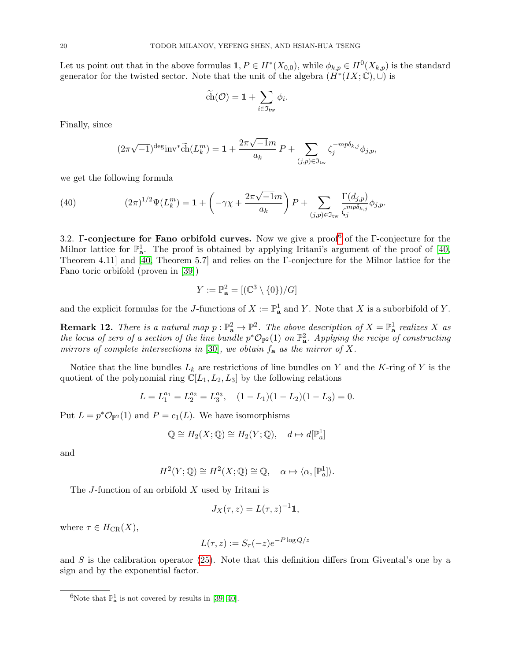Let us point out that in the above formulas  $1, P \in H^*(X_{0,0})$ , while  $\phi_{k,p} \in H^0(X_{k,p})$  is the standard generator for the twisted sector. Note that the unit of the algebra  $(H^*(IX;\mathbb{C}), \cup)$  is

$$
\widetilde{\text{ch}}(\mathcal{O}) = 1 + \sum_{i \in \mathfrak{I}_{\text{tw}}} \phi_i.
$$

Finally, since

<span id="page-19-2"></span>
$$
(2\pi\sqrt{-1})^{\deg_{\text{inv}}} \widetilde{\text{ch}}(L_k^m) = 1 + \frac{2\pi\sqrt{-1}m}{a_k} P + \sum_{(j,p)\in\mathfrak{I}_{\text{tw}}} \zeta_j^{-mp\delta_{k,j}} \phi_{j,p},
$$

we get the following formula

(40) 
$$
(2\pi)^{1/2}\Psi(L_k^m) = \mathbf{1} + \left(-\gamma \chi + \frac{2\pi \sqrt{-1}m}{a_k}\right)P + \sum_{(j,p)\in\mathfrak{I}_{\text{tw}}}\frac{\Gamma(d_{j,p})}{\zeta_j^{mp\delta_{k,j}}}\phi_{j,p}.
$$

<span id="page-19-0"></span>3.2. **Γ-conjecture for Fano orbifold curves.** Now we give a proof of the  $\Gamma$ -conjecture for the Milnor lattice for  $\mathbb{P}^1_{\mathbf{a}}$ . The proof is obtained by applying Iritani's argument of the proof of [\[40,](#page-60-21) Theorem 4.11] and [\[40,](#page-60-21) Theorem 5.7] and relies on the Γ-conjecture for the Milnor lattice for the Fano toric orbifold (proven in [\[39\]](#page-60-16))

$$
Y := \mathbb{P}_{\mathbf{a}}^2 = [(\mathbb{C}^3 \setminus \{0\})/G]
$$

and the explicit formulas for the J-functions of  $X := \mathbb{P}^1_{\mathbf{a}}$  and Y. Note that X is a suborbifold of Y.

**Remark 12.** There is a natural map  $p : \mathbb{P}^2_{\mathbf{a}} \to \mathbb{P}^2$ . The above description of  $X = \mathbb{P}^1_{\mathbf{a}}$  realizes X as the locus of zero of a section of the line bundle  $p^*\mathcal{O}_{\mathbb{P}^2}(1)$  on  $\mathbb{P}^2_{\mathbf{a}}$ . Applying the recipe of constructing mirrors of complete intersections in [\[30\]](#page-60-22), we obtain  $f_{\mathbf{a}}$  as the mirror of X.

Notice that the line bundles  $L_k$  are restrictions of line bundles on Y and the K-ring of Y is the quotient of the polynomial ring  $\mathbb{C}[L_1, L_2, L_3]$  by the following relations

$$
L = L_1^{a_1} = L_2^{a_2} = L_3^{a_3}, \quad (1 - L_1)(1 - L_2)(1 - L_3) = 0.
$$

Put  $L = p^* \mathcal{O}_{\mathbb{P}^2}(1)$  and  $P = c_1(L)$ . We have isomorphisms

$$
\mathbb{Q} \cong H_2(X; \mathbb{Q}) \cong H_2(Y; \mathbb{Q}), \quad d \mapsto d[\mathbb{P}_a^1]
$$

and

$$
H^{2}(Y; \mathbb{Q}) \cong H^{2}(X; \mathbb{Q}) \cong \mathbb{Q}, \quad \alpha \mapsto \langle \alpha, [\mathbb{P}^{1}_{a}]\rangle.
$$

The J-function of an orbifold X used by Iritani is

$$
J_X(\tau,z) = L(\tau,z)^{-1} \mathbf{1},
$$

where  $\tau \in H_{CR}(X)$ ,

$$
L(\tau, z) := S_{\tau}(-z)e^{-P \log Q/z}
$$

and  $S$  is the calibration operator [\(25\)](#page-12-5). Note that this definition differs from Givental's one by a sign and by the exponential factor.

<span id="page-19-1"></span><sup>&</sup>lt;sup>6</sup>Note that  $\mathbb{P}_{a}^{1}$  is not covered by results in [\[39,](#page-60-16) [40\]](#page-60-21).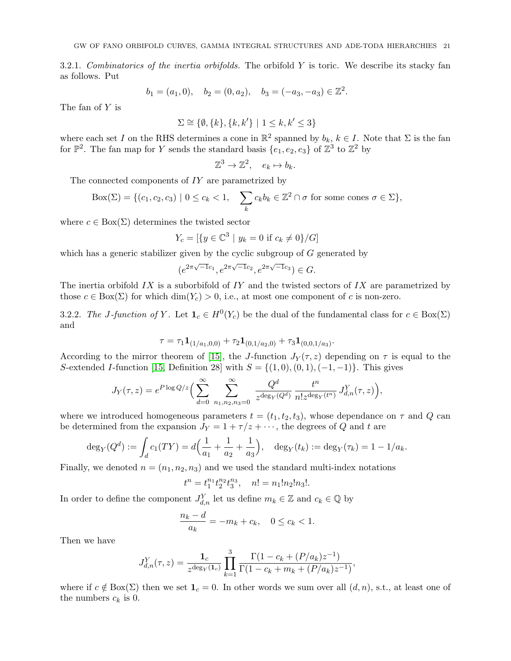3.2.1. Combinatorics of the inertia orbifolds. The orbifold  $Y$  is toric. We describe its stacky fan as follows. Put

$$
b_1 = (a_1, 0), \quad b_2 = (0, a_2), \quad b_3 = (-a_3, -a_3) \in \mathbb{Z}^2.
$$

The fan of Y is

$$
\Sigma \cong \{\emptyset, \{k\}, \{k, k'\} \mid 1 \le k, k' \le 3\}
$$

where each set I on the RHS determines a cone in  $\mathbb{R}^2$  spanned by  $b_k$ ,  $k \in I$ . Note that  $\Sigma$  is the fan for  $\mathbb{P}^2$ . The fan map for Y sends the standard basis  $\{e_1, e_2, e_3\}$  of  $\mathbb{Z}^3$  to  $\mathbb{Z}^2$  by

$$
\mathbb{Z}^3 \to \mathbb{Z}^2, \quad e_k \mapsto b_k.
$$

The connected components of IY are parametrized by

$$
Box(\Sigma) = \{ (c_1, c_2, c_3) \mid 0 \le c_k < 1, \quad \sum_k c_k b_k \in \mathbb{Z}^2 \cap \sigma \text{ for some cones } \sigma \in \Sigma \},
$$

where  $c \in Box(\Sigma)$  determines the twisted sector

$$
Y_c = [\{ y \in \mathbb{C}^3 \mid y_k = 0 \text{ if } c_k \neq 0 \}/G]
$$

which has a generic stabilizer given by the cyclic subgroup of  $G$  generated by

$$
(e^{2\pi\sqrt{-1}c_1}, e^{2\pi\sqrt{-1}c_2}, e^{2\pi\sqrt{-1}c_3}) \in G.
$$

The inertia orbifold  $IX$  is a suborbifold of  $IY$  and the twisted sectors of  $IX$  are parametrized by those  $c \in Box(\Sigma)$  for which  $dim(Y_c) > 0$ , i.e., at most one component of c is non-zero.

3.2.2. The J-function of Y. Let  $\mathbf{1}_c \in H^0(Y_c)$  be the dual of the fundamental class for  $c \in Box(\Sigma)$ and

$$
\tau = \tau_1 \mathbf{1}_{(1/a_1, 0, 0)} + \tau_2 \mathbf{1}_{(0, 1/a_2, 0)} + \tau_3 \mathbf{1}_{(0, 0, 1/a_3)}.
$$

According to the mirror theorem of [\[15\]](#page-60-23), the J-function  $J_Y(\tau, z)$  depending on  $\tau$  is equal to the S-extended I-function [\[15,](#page-60-23) Definition 28] with  $S = \{(1,0), (0,1), (-1,-1)\}$ . This gives

$$
J_Y(\tau, z) = e^{P \log Q/z} \Big( \sum_{d=0}^{\infty} \sum_{n_1, n_2, n_3=0}^{\infty} \frac{Q^d}{z^{\deg_Y(Q^d)}} \frac{t^n}{n! z^{\deg_Y(t^n)}} J_{d,n}^Y(\tau, z) \Big),
$$

where we introduced homogeneous parameters  $t = (t_1, t_2, t_3)$ , whose dependance on  $\tau$  and  $Q$  can be determined from the expansion  $J_Y = 1 + \tau/z + \cdots$ , the degrees of Q and t are

$$
\deg_Y(Q^d) := \int_d c_1(TY) = d\Big(\frac{1}{a_1} + \frac{1}{a_2} + \frac{1}{a_3}\Big), \quad \deg_Y(t_k) := \deg_Y(\tau_k) = 1 - 1/a_k.
$$

Finally, we denoted  $n = (n_1, n_2, n_3)$  and we used the standard multi-index notations

$$
t^n=t_1^{n_1}t_2^{n_2}t_3^{n_3}, \quad n!=n_1!n_2!n_3!.
$$

In order to define the component  $J_{d,n}^Y$  let us define  $m_k \in \mathbb{Z}$  and  $c_k \in \mathbb{Q}$  by

$$
\frac{n_k - d}{a_k} = -m_k + c_k, \quad 0 \le c_k < 1.
$$

Then we have

$$
J_{d,n}^Y(\tau,z) = \frac{1_c}{z^{\deg_Y(1_c)}} \prod_{k=1}^3 \frac{\Gamma(1 - c_k + (P/a_k)z^{-1})}{\Gamma(1 - c_k + m_k + (P/a_k)z^{-1})},
$$

where if  $c \notin Box(\Sigma)$  then we set  $\mathbf{1}_c = 0$ . In other words we sum over all  $(d, n)$ , s.t., at least one of the numbers  $c_k$  is 0.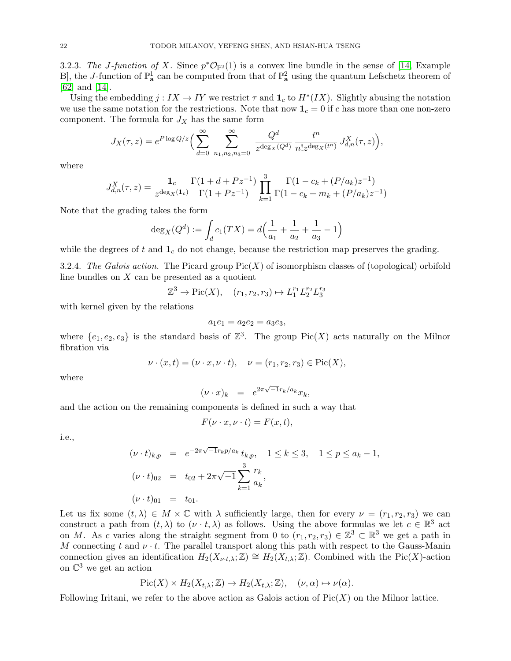<span id="page-21-0"></span>3.2.3. The J-function of X. Since  $p^*\mathcal{O}_{\mathbb{P}^2}(1)$  is a convex line bundle in the sense of [\[14,](#page-60-24) Example B, the J-function of  $\mathbb{P}^1_{\mathbf{a}}$  can be computed from that of  $\mathbb{P}^2_{\mathbf{a}}$  using the quantum Lefschetz theorem of [\[62\]](#page-61-12) and [\[14\]](#page-60-24).

Using the embedding  $j: IX \to IY$  we restrict  $\tau$  and  $\mathbf{1}_c$  to  $H^*(IX)$ . Slightly abusing the notation we use the same notation for the restrictions. Note that now  $\mathbf{1}_c = 0$  if c has more than one non-zero component. The formula for  $J_X$  has the same form

$$
J_X(\tau, z) = e^{P \log Q/z} \Big( \sum_{d=0}^{\infty} \sum_{n_1, n_2, n_3 = 0}^{\infty} \frac{Q^d}{z^{\deg_X(Q^d)}} \frac{t^n}{n! z^{\deg_X(t^n)}} J_{d,n}^X(\tau, z) \Big),
$$

where

$$
J_{d,n}^X(\tau,z) = \frac{\mathbf{1}_c}{z^{\deg_X(\mathbf{1}_c)}} \frac{\Gamma(1+d+Pz^{-1})}{\Gamma(1+Pz^{-1})} \prod_{k=1}^3 \frac{\Gamma(1-c_k+(P/a_k)z^{-1})}{\Gamma(1-c_k+m_k+(P/a_k)z^{-1})}
$$

Note that the grading takes the form

$$
\deg_X(Q^d) := \int_d c_1(TX) = d\left(\frac{1}{a_1} + \frac{1}{a_2} + \frac{1}{a_3} - 1\right)
$$

while the degrees of t and  $\mathbf{1}_c$  do not change, because the restriction map preserves the grading.

3.2.4. The Galois action. The Picard group  $Pic(X)$  of isomorphism classes of (topological) orbifold line bundles on  $X$  can be presented as a quotient

$$
\mathbb{Z}^3 \to \text{Pic}(X), \quad (r_1, r_2, r_3) \mapsto L_1^{r_1} L_2^{r_2} L_3^{r_3}
$$

with kernel given by the relations

$$
a_1e_1 = a_2e_2 = a_3e_3,
$$

where  $\{e_1, e_2, e_3\}$  is the standard basis of  $\mathbb{Z}^3$ . The group Pic(X) acts naturally on the Milnor fibration via

$$
\nu \cdot (x, t) = (\nu \cdot x, \nu \cdot t), \quad \nu = (r_1, r_2, r_3) \in Pic(X),
$$

where

$$
(\nu \cdot x)_k = e^{2\pi \sqrt{-1}r_k/a_k}x_k,
$$

and the action on the remaining components is defined in such a way that

$$
F(\nu \cdot x, \nu \cdot t) = F(x, t),
$$

i.e.,

$$
(\nu \cdot t)_{k,p} = e^{-2\pi\sqrt{-1}r_k p/a_k} t_{k,p}, \quad 1 \le k \le 3, \quad 1 \le p \le a_k - 1,
$$
  

$$
(\nu \cdot t)_{02} = t_{02} + 2\pi\sqrt{-1} \sum_{k=1}^3 \frac{r_k}{a_k},
$$
  

$$
(\nu \cdot t)_{01} = t_{01}.
$$

Let us fix some  $(t, \lambda) \in M \times \mathbb{C}$  with  $\lambda$  sufficiently large, then for every  $\nu = (r_1, r_2, r_3)$  we can construct a path from  $(t, \lambda)$  to  $(\nu \cdot t, \lambda)$  as follows. Using the above formulas we let  $c \in \mathbb{R}^3$  act on M. As c varies along the straight segment from 0 to  $(r_1, r_2, r_3) \in \mathbb{Z}^3 \subset \mathbb{R}^3$  we get a path in M connecting t and  $\nu \cdot t$ . The parallel transport along this path with respect to the Gauss-Manin connection gives an identification  $H_2(X_{\nu \cdot t,\lambda}; \mathbb{Z}) \cong H_2(X_{t,\lambda}; \mathbb{Z})$ . Combined with the Pic(X)-action on  $\mathbb{C}^3$  we get an action

$$
Pic(X) \times H_2(X_{t,\lambda}; \mathbb{Z}) \to H_2(X_{t,\lambda}; \mathbb{Z}), \quad (\nu, \alpha) \mapsto \nu(\alpha).
$$

Following Iritani, we refer to the above action as Galois action of  $Pic(X)$  on the Milnor lattice.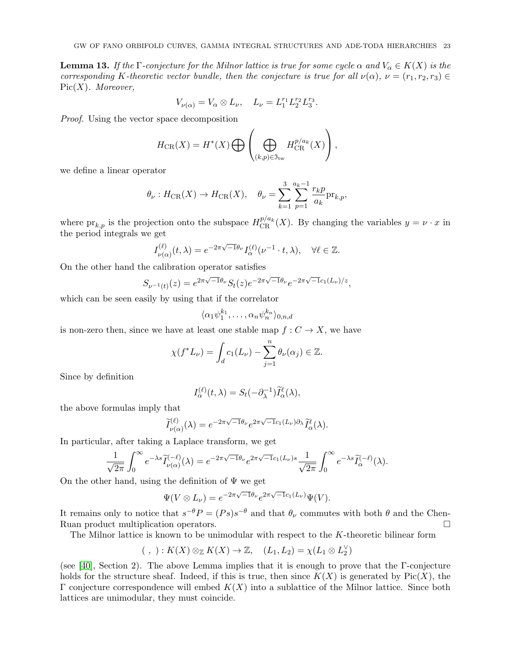<span id="page-22-0"></span>**Lemma 13.** If the Γ-conjecture for the Milnor lattice is true for some cycle  $\alpha$  and  $V_{\alpha} \in K(X)$  is the corresponding K-theoretic vector bundle, then the conjecture is true for all  $\nu(\alpha)$ ,  $\nu = (r_1, r_2, r_3) \in$  $Pic(X)$ . Moreover,

$$
V_{\nu(\alpha)} = V_{\alpha} \otimes L_{\nu}, \quad L_{\nu} = L_1^{r_1} L_2^{r_2} L_3^{r_3}.
$$

Proof. Using the vector space decomposition

$$
H_{\text{CR}}(X) = H^*(X) \bigoplus \left( \bigoplus_{(k,p)\in \mathfrak{I}_{\text{tw}}} H_{\text{CR}}^{p/a_k}(X) \right),
$$

we define a linear operator

$$
\theta_{\nu}: H_{\text{CR}}(X) \to H_{\text{CR}}(X), \quad \theta_{\nu} = \sum_{k=1}^{3} \sum_{p=1}^{a_k-1} \frac{r_k p}{a_k} \text{pr}_{k,p},
$$

where  ${\rm pr}_{k,p}$  is the projection onto the subspace  $H_{\rm CR}^{p/a_k}(X)$ . By changing the variables  $y = \nu \cdot x$  in the period integrals we get

$$
I_{\nu(\alpha)}^{(\ell)}(t,\lambda) = e^{-2\pi\sqrt{-1}\theta_{\nu}} I_{\alpha}^{(\ell)}(\nu^{-1} \cdot t, \lambda), \quad \forall \ell \in \mathbb{Z}.
$$

On the other hand the calibration operator satisfies

$$
S_{\nu^{-1}(t)}(z) = e^{2\pi\sqrt{-1}\theta_{\nu}} S_t(z) e^{-2\pi\sqrt{-1}\theta_{\nu}} e^{-2\pi\sqrt{-1}c_1(L_{\nu})/z},
$$

which can be seen easily by using that if the correlator

$$
\langle \alpha_1 \psi_1^{k_1}, \dots, \alpha_n \psi_n^{k_n} \rangle_{0,n,d}
$$

is non-zero then, since we have at least one stable map  $f: C \to X$ , we have

$$
\chi(f^*L_{\nu}) = \int_d c_1(L_{\nu}) - \sum_{j=1}^n \theta_{\nu}(\alpha_j) \in \mathbb{Z}.
$$

Since by definition

$$
I_{\alpha}^{(\ell)}(t,\lambda) = S_t(-\partial_{\lambda}^{-1})\widetilde{I}_{\alpha}^{\ell}(\lambda),
$$

the above formulas imply that

$$
\widetilde{I}_{\nu(\alpha)}^{(\ell)}(\lambda) = e^{-2\pi\sqrt{-1}\theta_{\nu}}e^{2\pi\sqrt{-1}c_1(L_{\nu})\partial_{\lambda}}\widetilde{I}_{\alpha}^{\ell}(\lambda).
$$

In particular, after taking a Laplace transform, we get

$$
\frac{1}{\sqrt{2\pi}}\int_0^\infty e^{-\lambda s} \widetilde{I}_{\nu(\alpha)}^{(-\ell)}(\lambda) = e^{-2\pi\sqrt{-1}\theta_\nu} e^{2\pi\sqrt{-1}c_1(L_\nu)s} \frac{1}{\sqrt{2\pi}}\int_0^\infty e^{-\lambda s} \widetilde{I}_{\alpha}^{(-\ell)}(\lambda).
$$

On the other hand, using the definition of  $\Psi$  we get

$$
\Psi(V \otimes L_{\nu}) = e^{-2\pi\sqrt{-1}\theta_{\nu}} e^{2\pi\sqrt{-1}c_1(L_{\nu})} \Psi(V).
$$

It remains only to notice that  $s^{-\theta}P = (Ps)s^{-\theta}$  and that  $\theta_{\nu}$  commutes with both  $\theta$  and the Chen-Ruan product multiplication operators.

The Milnor lattice is known to be unimodular with respect to the K-theoretic bilinear form

$$
(\ ,\ ) : K(X) \otimes_{\mathbb{Z}} K(X) \to \mathbb{Z}, \quad (L_1, L_2) = \chi(L_1 \otimes L_2^{\vee})
$$

(see [\[40\]](#page-60-21), Section 2). The above Lemma implies that it is enough to prove that the Γ-conjecture holds for the structure sheaf. Indeed, if this is true, then since  $K(X)$  is generated by Pic $(X)$ , the Γ conjecture correspondence will embed  $K(X)$  into a sublattice of the Milnor lattice. Since both lattices are unimodular, they must coincide.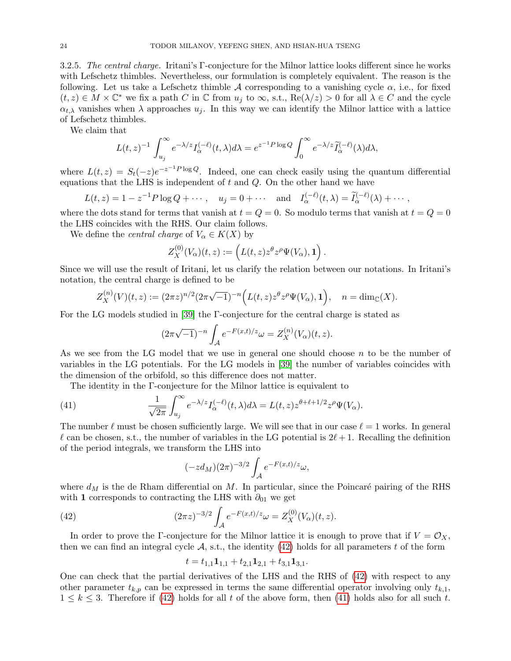3.2.5. The central charge. Iritani's Γ-conjecture for the Milnor lattice looks different since he works with Lefschetz thimbles. Nevertheless, our formulation is completely equivalent. The reason is the following. Let us take a Lefschetz thimble A corresponding to a vanishing cycle  $\alpha$ , i.e., for fixed  $(t, z) \in M \times \mathbb{C}^*$  we fix a path C in  $\mathbb C$  from  $u_j$  to  $\infty$ , s.t.,  $\text{Re}(\lambda/z) > 0$  for all  $\lambda \in C$  and the cycle  $\alpha_{t,\lambda}$  vanishes when  $\lambda$  approaches  $u_j$ . In this way we can identify the Milnor lattice with a lattice of Lefschetz thimbles.

We claim that

$$
L(t,z)^{-1} \int_{u_j}^{\infty} e^{-\lambda/z} I_{\alpha}^{(-\ell)}(t,\lambda) d\lambda = e^{z^{-1}P \log Q} \int_0^{\infty} e^{-\lambda/z} \widetilde{I}_{\alpha}^{(-\ell)}(\lambda) d\lambda,
$$

where  $L(t, z) = S_t(-z)e^{-z^{-1}P \log Q}$ . Indeed, one can check easily using the quantum differential equations that the LHS is independent of  $t$  and  $Q$ . On the other hand we have

$$
L(t,z) = 1 - z^{-1}P \log Q + \cdots, \quad u_j = 0 + \cdots \quad \text{and} \quad I_{\alpha}^{(-\ell)}(t,\lambda) = \widetilde{I}_{\alpha}^{(-\ell)}(\lambda) + \cdots,
$$

where the dots stand for terms that vanish at  $t = Q = 0$ . So modulo terms that vanish at  $t = Q = 0$ the LHS coincides with the RHS. Our claim follows.

We define the *central charge* of  $V_\alpha \in K(X)$  by

$$
Z^{(0)}_X(V_\alpha)(t,z) := \left( L(t,z) z^{\theta} z^{\rho} \Psi(V_\alpha), \mathbf{1} \right).
$$

Since we will use the result of Iritani, let us clarify the relation between our notations. In Iritani's notation, the central charge is defined to be

$$
Z_X^{(n)}(V)(t,z) := (2\pi z)^{n/2} (2\pi \sqrt{-1})^{-n} \Big( L(t,z) z^{\theta} z^{\rho} \Psi(V_{\alpha}), \mathbf{1} \Big), \quad n = \dim_{\mathbb{C}}(X).
$$

For the LG models studied in [\[39\]](#page-60-16) the Γ-conjecture for the central charge is stated as

$$
(2\pi\sqrt{-1})^{-n} \int_{\mathcal{A}} e^{-F(x,t)/z} \omega = Z_X^{(n)}(V_\alpha)(t,z).
$$

As we see from the LG model that we use in general one should choose n to be the number of variables in the LG potentials. For the LG models in [\[39\]](#page-60-16) the number of variables coincides with the dimension of the orbifold, so this difference does not matter.

The identity in the Γ-conjecture for the Milnor lattice is equivalent to

(41) 
$$
\frac{1}{\sqrt{2\pi}} \int_{u_j}^{\infty} e^{-\lambda/z} I_{\alpha}^{(-\ell)}(t,\lambda) d\lambda = L(t,z) z^{\theta + \ell + 1/2} z^{\rho} \Psi(V_{\alpha}).
$$

The number  $\ell$  must be chosen sufficiently large. We will see that in our case  $\ell = 1$  works. In general  $\ell$  can be chosen, s.t., the number of variables in the LG potential is  $2\ell+1$ . Recalling the definition of the period integrals, we transform the LHS into

<span id="page-23-1"></span>
$$
(-zd_M)(2\pi)^{-3/2} \int_{\mathcal{A}} e^{-F(x,t)/z} \omega,
$$

where  $d_M$  is the de Rham differential on M. In particular, since the Poincaré pairing of the RHS with 1 corresponds to contracting the LHS with  $\partial_{01}$  we get

(42) 
$$
(2\pi z)^{-3/2} \int_{\mathcal{A}} e^{-F(x,t)/z} \omega = Z_X^{(0)}(V_\alpha)(t,z).
$$

In order to prove the Γ-conjecture for the Milnor lattice it is enough to prove that if  $V = \mathcal{O}_X$ , then we can find an integral cycle  $A$ , s.t., the identity [\(42\)](#page-23-0) holds for all parameters t of the form

<span id="page-23-0"></span>
$$
t = t_{1,1} \mathbf{1}_{1,1} + t_{2,1} \mathbf{1}_{2,1} + t_{3,1} \mathbf{1}_{3,1}.
$$

One can check that the partial derivatives of the LHS and the RHS of [\(42\)](#page-23-0) with respect to any other parameter  $t_{k,p}$  can be expressed in terms the same differential operator involving only  $t_{k,1}$ ,  $1 \leq k \leq 3$ . Therefore if [\(42\)](#page-23-0) holds for all t of the above form, then [\(41\)](#page-23-1) holds also for all such t.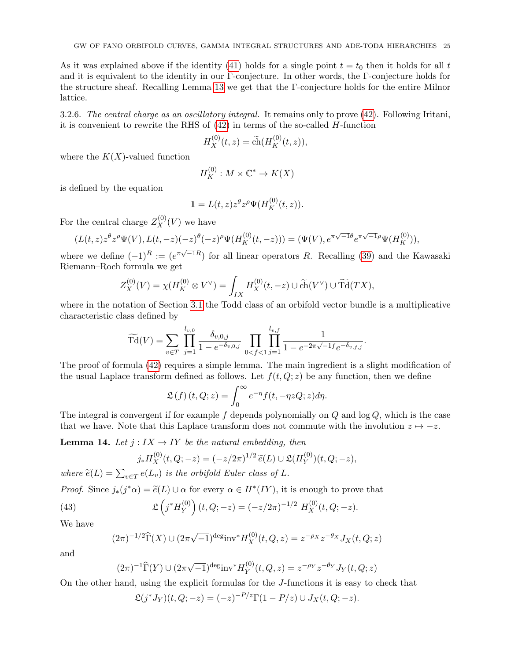As it was explained above if the identity [\(41\)](#page-23-1) holds for a single point  $t = t_0$  then it holds for all t and it is equivalent to the identity in our Γ-conjecture. In other words, the Γ-conjecture holds for the structure sheaf. Recalling Lemma [13](#page-22-0) we get that the Γ-conjecture holds for the entire Milnor lattice.

3.2.6. The central charge as an oscillatory integral. It remains only to prove [\(42\)](#page-23-0). Following Iritani, it is convenient to rewrite the RHS of  $(42)$  in terms of the so-called H-function

$$
H_X^{(0)}(t,z) = \tilde{\text{ch}}(H_K^{(0)}(t,z)),
$$

where the  $K(X)$ -valued function

$$
H_K^{(0)} : M \times \mathbb{C}^* \to K(X)
$$

is defined by the equation

$$
\mathbf{1} = L(t, z)z^{\theta}z^{\rho}\Psi(H_K^{(0)}(t, z)).
$$

For the central charge  $Z_X^{(0)}(V)$  we have

$$
(L(t,z)z^{\theta}z^{\rho}\Psi(V), L(t,-z)(-z)^{\theta}(-z)^{\rho}\Psi(H_K^{(0)}(t,-z))) = (\Psi(V), e^{\pi\sqrt{-1}\theta}e^{\pi\sqrt{-1}\rho}\Psi(H_K^{(0)})),
$$

where we define  $(-1)^R := (e^{\pi\sqrt{-1}R})$  for all linear operators R. Recalling [\(39\)](#page-17-1) and the Kawasaki Riemann–Roch formula we get

$$
Z_X^{(0)}(V) = \chi(H_K^{(0)} \otimes V^{\vee}) = \int_{IX} H_X^{(0)}(t, -z) \cup \widetilde{\text{ch}}(V^{\vee}) \cup \widetilde{\text{Td}}(TX),
$$

where in the notation of Section [3.1](#page-16-1) the Todd class of an orbifold vector bundle is a multiplicative characteristic class defined by

$$
\widetilde{\mathrm{Td}}(V) = \sum_{v \in T} \prod_{j=1}^{l_{v,0}} \frac{\delta_{v,0,j}}{1 - e^{-\delta_{v,0,j}}} \prod_{0 < f < 1} \prod_{j=1}^{l_{v,f}} \frac{1}{1 - e^{-2\pi\sqrt{-1}f}e^{-\delta_{v,f,j}}}.
$$

The proof of formula [\(42\)](#page-23-0) requires a simple lemma. The main ingredient is a slight modification of the usual Laplace transform defined as follows. Let  $f(t, Q; z)$  be any function, then we define

$$
\mathfrak{L}(f)(t,Q;z) = \int_0^\infty e^{-\eta} f(t, -\eta z Q; z) d\eta.
$$

The integral is convergent if for example f depends polynomially on  $Q$  and  $log Q$ , which is the case that we have. Note that this Laplace transform does not commute with the involution  $z \mapsto -z$ .

<span id="page-24-1"></span>**Lemma 14.** Let  $j: I X \rightarrow I Y$  be the natural embedding, then

<span id="page-24-0"></span>
$$
j_* H_X^{(0)}(t, Q; -z) = (-z/2\pi)^{1/2} \widetilde{e}(L) \cup \mathfrak{L}(H_Y^{(0)})(t, Q; -z),
$$

where  $\widetilde{e}(L) = \sum_{v \in T} e(L_v)$  is the orbifold Euler class of L.

*Proof.* Since  $j_*(j^*\alpha) = \tilde{e}(L) \cup \alpha$  for every  $\alpha \in H^*(IY)$ , it is enough to prove that

(43) 
$$
\mathfrak{L}\left(j^*H_Y^{(0)}\right)(t,Q;-z) = (-z/2\pi)^{-1/2} H_X^{(0)}(t,Q;-z).
$$

We have

$$
(2\pi)^{-1/2} \widehat{\Gamma}(X) \cup (2\pi\sqrt{-1})^{\text{deg}} \text{inv}^* H_X^{(0)}(t, Q, z) = z^{-\rho_X} z^{-\theta_X} J_X(t, Q; z)
$$

and

$$
(2\pi)^{-1}\widehat{\Gamma}(Y) \cup (2\pi\sqrt{-1})^{\text{deg}} \text{inv}^* H_Y^{(0)}(t, Q, z) = z^{-\rho_Y} z^{-\theta_Y} J_Y(t, Q; z)
$$

On the other hand, using the explicit formulas for the J-functions it is easy to check that

$$
\mathfrak{L}(j^*J_Y)(t,Q;-z) = (-z)^{-P/z} \Gamma(1-P/z) \cup J_X(t,Q;-z).
$$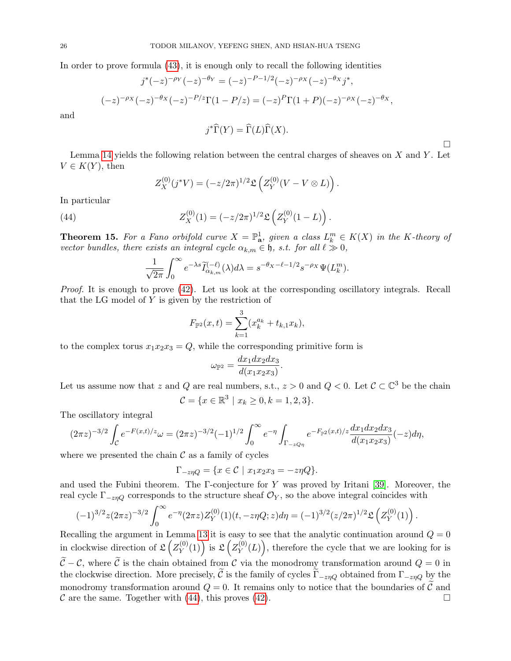In order to prove formula [\(43\)](#page-24-0), it is enough only to recall the following identities

$$
j^*(-z)^{-\rho_Y}(-z)^{-\theta_Y} = (-z)^{-P-1/2}(-z)^{-\rho_X}(-z)^{-\theta_X} j^*,
$$
  

$$
(-z)^{-\rho_X}(-z)^{-\theta_X}(-z)^{-P/z} \Gamma(1-P/z) = (-z)^P \Gamma(1+P)(-z)^{-\rho_X}(-z)^{-\theta_X},
$$

and

$$
j^*\widehat{\Gamma}(Y) = \widehat{\Gamma}(L)\widehat{\Gamma}(X).
$$

Lemma [14](#page-24-1) yields the following relation between the central charges of sheaves on  $X$  and  $Y$ . Let  $V \in K(Y)$ , then

 $\Box$ 

.

<span id="page-25-0"></span>
$$
Z_X^{(0)}(j^*V) = (-z/2\pi)^{1/2} \mathfrak{L}\left( Z_Y^{(0)}(V - V \otimes L) \right).
$$

In particular

(44) 
$$
Z_X^{(0)}(1) = (-z/2\pi)^{1/2} \mathfrak{L} \left( Z_Y^{(0)}(1-L) \right).
$$

<span id="page-25-1"></span>**Theorem 15.** For a Fano orbifold curve  $X = \mathbb{P}^1_{\mathbf{a}}$ , given a class  $L_k^m \in K(X)$  in the K-theory of vector bundles, there exists an integral cycle  $\alpha_{k,m} \in \mathfrak{h}$ , s.t. for all  $\ell \gg 0$ ,

$$
\frac{1}{\sqrt{2\pi}}\int_0^\infty e^{-\lambda s}\widetilde{I}_{\alpha_{k,m}}^{(-\ell)}(\lambda)d\lambda = s^{-\theta_X-\ell-1/2}s^{-\rho_X}\Psi(L_k^m).
$$

Proof. It is enough to prove [\(42\)](#page-23-0). Let us look at the corresponding oscillatory integrals. Recall that the LG model of Y is given by the restriction of

$$
F_{\mathbb{P}^2}(x,t) = \sum_{k=1}^3 (x_k^{a_k} + t_{k,1}x_k),
$$

to the complex torus  $x_1x_2x_3 = Q$ , while the corresponding primitive form is

$$
\omega_{\mathbb{P}^2} = \frac{dx_1 dx_2 dx_3}{d(x_1 x_2 x_3)}.
$$

Let us assume now that z and Q are real numbers, s.t.,  $z > 0$  and  $Q < 0$ . Let  $C \subset \mathbb{C}^3$  be the chain

$$
\mathcal{C} = \{x \in \mathbb{R}^3 \mid x_k \ge 0, k = 1, 2, 3\}.
$$

The oscillatory integral

$$
(2\pi z)^{-3/2} \int_{\mathcal{C}} e^{-F(x,t)/z} \omega = (2\pi z)^{-3/2} (-1)^{1/2} \int_0^{\infty} e^{-\eta} \int_{\Gamma_{-z}Q_{\eta}} e^{-F_{\mathbb{P}^2}(x,t)/z} \frac{dx_1 dx_2 dx_3}{d(x_1 x_2 x_3)}(-z) d\eta,
$$

where we presented the chain  $\mathcal C$  as a family of cycles

$$
\Gamma_{-z\eta Q} = \{ x \in \mathcal{C} \mid x_1 x_2 x_3 = -z\eta Q \}.
$$

and used the Fubini theorem. The Γ-conjecture for Y was proved by Iritani [\[39\]](#page-60-16). Moreover, the real cycle  $\Gamma_{-znQ}$  corresponds to the structure sheaf  $\mathcal{O}_Y$ , so the above integral coincides with

$$
(-1)^{3/2}z(2\pi z)^{-3/2}\int_0^\infty e^{-\eta}(2\pi z)Z_Y^{(0)}(1)(t,-z\eta Q;z)d\eta=(-1)^{3/2}(z/2\pi)^{1/2}\mathfrak{L}\left(Z_Y^{(0)}(1)\right)
$$

Recalling the argument in Lemma [13](#page-22-0) it is easy to see that the analytic continuation around  $Q = 0$ in clockwise direction of  $\mathfrak{L}\left( \frac{Z^{(0)}}{Y} \right)$  $\mathcal{L}\left(\begin{matrix} (0) \\ Y \end{matrix}\right)$  is  $\mathfrak{L}\left(\begin{matrix} Z_{Y}^{(0)} \end{matrix}\right)$  $Y(Y^{(0)}(L))$ , therefore the cycle that we are looking for is  $\tilde{\mathcal{C}}-\mathcal{C}$ , where  $\tilde{\mathcal{C}}$  is the chain obtained from  $\mathcal{C}$  via the monodromy transformation around  $Q=0$  in the clockwise direction. More precisely,  $\tilde{C}$  is the family of cycles  $\Gamma_{-z\eta Q}$  obtained from  $\Gamma_{-z\eta Q}$  by the monodromy transformation around  $Q = 0$ . It remains only to notice that the boundaries of  $\mathcal{C}$  and  $\mathcal{C}$  are the same. Together with (44), this proves (42).  $\mathcal C$  are the same. Together with [\(44\)](#page-25-0), this proves [\(42\)](#page-23-0).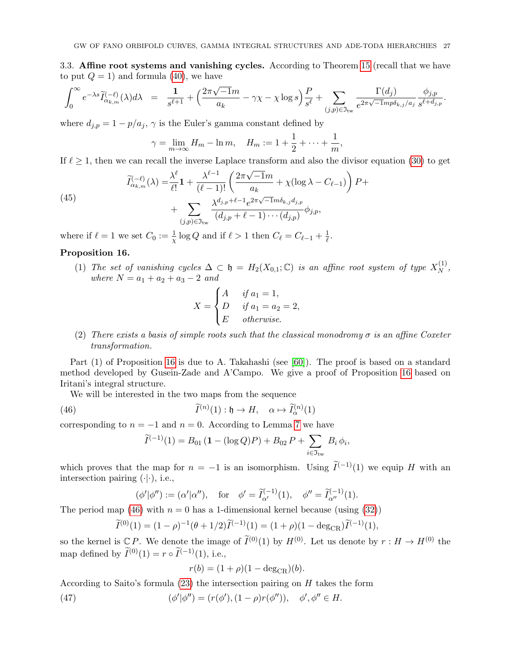<span id="page-26-0"></span>3.3. Affine root systems and vanishing cycles. According to Theorem [15](#page-25-1) (recall that we have to put  $Q = 1$ ) and formula [\(40\)](#page-19-2), we have

$$
\int_0^\infty e^{-\lambda s} \widetilde{I}_{\alpha_{k,m}}^{(-\ell)}(\lambda) d\lambda = \frac{1}{s^{\ell+1}} + \Big(\frac{2\pi\sqrt{-1}m}{a_k} - \gamma\chi - \chi\log s\Big) \frac{P}{s^\ell} + \sum_{(j,p)\in\mathfrak{I}_{\mathrm{tw}}} \frac{\Gamma(d_j)}{e^{2\pi\sqrt{-1}mp\delta_{k,j}/a_j}} \frac{\phi_{j,p}}{s^{\ell+d_{j,p}}}.
$$

where  $d_{j,p} = 1 - p/a_j$ ,  $\gamma$  is the Euler's gamma constant defined by

$$
\gamma = \lim_{m \to \infty} H_m - \ln m, \quad H_m := 1 + \frac{1}{2} + \dots + \frac{1}{m},
$$

If  $\ell \geq 1$ , then we can recall the inverse Laplace transform and also the divisor equation [\(30\)](#page-13-1) to get

(45)  

$$
\widetilde{I}_{\alpha_{k,m}}^{(-\ell)}(\lambda) = \frac{\lambda^{\ell}}{\ell!} \mathbf{1} + \frac{\lambda^{\ell-1}}{(\ell-1)!} \left( \frac{2\pi\sqrt{-1}m}{a_k} + \chi(\log \lambda - C_{\ell-1}) \right) P + \n+ \sum_{(j,p)\in\mathfrak{I}_{\text{tw}}} \frac{\lambda^{d_{j,p}+\ell-1}e^{2\pi\sqrt{-1}m\delta_{k,j}d_{j,p}}}{(d_{j,p}+\ell-1)\cdots(d_{j,p})} \phi_{j,p},
$$

<span id="page-26-1"></span>where if  $\ell = 1$  we set  $C_0 := \frac{1}{\chi} \log Q$  and if  $\ell > 1$  then  $C_{\ell} = C_{\ell-1} + \frac{1}{\ell}$  $\frac{1}{\ell}$ .

### <span id="page-26-2"></span>Proposition 16.

(1) The set of vanishing cycles  $\Delta \subset \mathfrak{h} = H_2(X_{0,1}; \mathbb{C})$  is an affine root system of type  $X_N^{(1)}$  $\frac{1}{N}$ , where  $N = a_1 + a_2 + a_3 - 2$  and

$$
X = \begin{cases} A & \text{if } a_1 = 1, \\ D & \text{if } a_1 = a_2 = 2, \\ E & \text{otherwise.} \end{cases}
$$

(2) There exists a basis of simple roots such that the classical monodromy  $\sigma$  is an affine Coxeter transformation.

Part (1) of Proposition [16](#page-26-2) is due to A. Takahashi (see [\[60\]](#page-61-13)). The proof is based on a standard method developed by Gusein-Zade and A'Campo. We give a proof of Proposition [16](#page-26-2) based on Iritani's integral structure.

We will be interested in the two maps from the sequence

(46) 
$$
\widetilde{I}^{(n)}(1) : \mathfrak{h} \to H, \quad \alpha \mapsto \widetilde{I}_{\alpha}^{(n)}(1)
$$

corresponding to  $n = -1$  and  $n = 0$ . According to Lemma [7](#page-13-2) we have

<span id="page-26-3"></span>
$$
\widetilde{I}^{(-1)}(1) = B_{01} (1 - (\log Q)P) + B_{02} P + \sum_{i \in \mathfrak{I}_{\text{tw}}} B_i \phi_i,
$$

which proves that the map for  $n = -1$  is an isomorphism. Using  $\tilde{I}^{(-1)}(1)$  we equip H with an intersection pairing  $(\cdot | \cdot)$ , i.e.,

$$
(\phi'|\phi'') := (\alpha'|\alpha''), \text{ for } \phi' = \tilde{I}_{\alpha'}^{(-1)}(1), \phi'' = \tilde{I}_{\alpha''}^{(-1)}(1).
$$

The period map [\(46\)](#page-26-3) with  $n = 0$  has a 1-dimensional kernel because (using [\(32\)](#page-13-1))

$$
\widetilde{I}^{(0)}(1) = (1 - \rho)^{-1} (\theta + 1/2) \widetilde{I}^{(-1)}(1) = (1 + \rho)(1 - \deg_{CR}) \widetilde{I}^{(-1)}(1),
$$

so the kernel is  $\mathbb{C} P$ . We denote the image of  $\tilde{I}^{(0)}(1)$  by  $H^{(0)}$ . Let us denote by  $r : H \to H^{(0)}$  the map defined by  $\widetilde{I}^{(0)}(1) = r \circ \widetilde{I}^{(-1)}(1)$ , i.e.,

<span id="page-26-4"></span>
$$
r(b) = (1 + \rho)(1 - \deg_{CR})(b).
$$

According to Saito's formula  $(23)$  the intersection pairing on H takes the form

 $(47)$  $\psi'|\phi''\rangle = (r(\phi'),(1-\rho)r(\phi'')), \phi', \phi'' \in H.$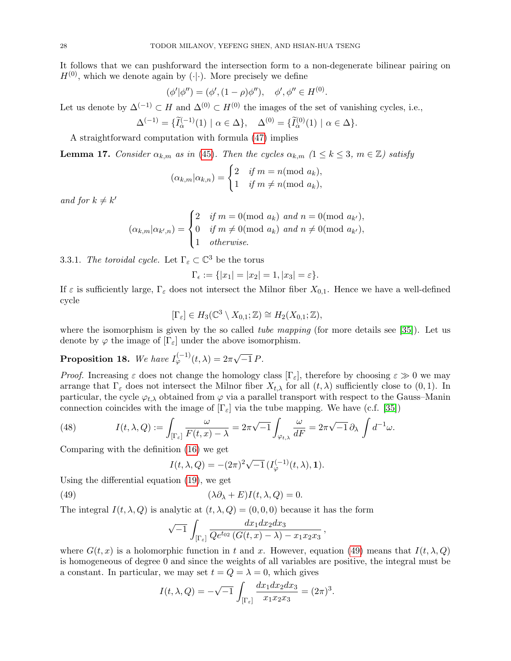It follows that we can pushforward the intersection form to a non-degenerate bilinear pairing on  $H^{(0)}$ , which we denote again by ( $\cdot | \cdot$ ). More precisely we define

$$
(\phi'|\phi'') = (\phi', (1-\rho)\phi''), \quad \phi', \phi'' \in H^{(0)}.
$$

Let us denote by  $\Delta^{(-1)} \subset H$  and  $\Delta^{(0)} \subset H^{(0)}$  the images of the set of vanishing cycles, i.e.,

$$
\Delta^{(-1)} = \{ \tilde{I}_{\alpha}^{(-1)}(1) \mid \alpha \in \Delta \}, \quad \Delta^{(0)} = \{ \tilde{I}_{\alpha}^{(0)}(1) \mid \alpha \in \Delta \}.
$$

A straightforward computation with formula [\(47\)](#page-26-4) implies

**Lemma 17.** Consider  $\alpha_{k,m}$  as in [\(45\)](#page-26-1). Then the cycles  $\alpha_{k,m}$  ( $1 \leq k \leq 3$ ,  $m \in \mathbb{Z}$ ) satisfy

$$
(\alpha_{k,m}|\alpha_{k,n}) = \begin{cases} 2 & \text{if } m = n \text{(mod } a_k), \\ 1 & \text{if } m \neq n \text{(mod } a_k), \end{cases}
$$

and for  $k \neq k'$ 

$$
(\alpha_{k,m}|\alpha_{k',n}) = \begin{cases} 2 & \text{if } m = 0 \text{ (mod } a_k) \text{ and } n = 0 \text{ (mod } a_{k'}), \\ 0 & \text{if } m \neq 0 \text{ (mod } a_k) \text{ and } n \neq 0 \text{ (mod } a_{k'}), \\ 1 & \text{otherwise.} \end{cases}
$$

<span id="page-27-3"></span>3.3.1. The toroidal cycle. Let  $\Gamma_{\varepsilon} \subset \mathbb{C}^3$  be the torus

$$
\Gamma_{\epsilon} := \{ |x_1| = |x_2| = 1, |x_3| = \varepsilon \}.
$$

If  $\varepsilon$  is sufficiently large,  $\Gamma_{\varepsilon}$  does not intersect the Milnor fiber  $X_{0,1}$ . Hence we have a well-defined cycle

$$
[\Gamma_{\varepsilon}] \in H_3(\mathbb{C}^3 \setminus X_{0,1}; \mathbb{Z}) \cong H_2(X_{0,1}; \mathbb{Z}),
$$

where the isomorphism is given by the so called *tube mapping* (for more details see [\[35\]](#page-60-25)). Let us denote by  $\varphi$  the image of  $[\Gamma_{\varepsilon}]$  under the above isomorphism.

# <span id="page-27-2"></span>**Proposition 18.** We have  $I_{\varphi}^{(-1)}(t,\lambda) = 2\pi\sqrt{-1} P$ .

*Proof.* Increasing  $\varepsilon$  does not change the homology class  $[\Gamma_{\varepsilon}]$ , therefore by choosing  $\varepsilon \gg 0$  we may arrange that  $\Gamma_{\varepsilon}$  does not intersect the Milnor fiber  $X_{t,\lambda}$  for all  $(t,\lambda)$  sufficiently close to  $(0,1)$ . In particular, the cycle  $\varphi_{t,\lambda}$  obtained from  $\varphi$  via a parallel transport with respect to the Gauss–Manin connection coincides with the image of  $[\Gamma_{\varepsilon}]$  via the tube mapping. We have (c.f. [\[35\]](#page-60-25))

<span id="page-27-1"></span>(48) 
$$
I(t,\lambda,Q) := \int_{[\Gamma_{\varepsilon}]} \frac{\omega}{F(t,x) - \lambda} = 2\pi \sqrt{-1} \int_{\varphi_{t,\lambda}} \frac{\omega}{dF} = 2\pi \sqrt{-1} \partial_{\lambda} \int d^{-1}\omega.
$$

Comparing with the definition [\(16\)](#page-10-0) we get

<span id="page-27-0"></span>
$$
I(t, \lambda, Q) = -(2\pi)^2 \sqrt{-1} \left( I_{\varphi}^{(-1)}(t, \lambda), \mathbf{1} \right).
$$

Using the differential equation [\(19\)](#page-10-1), we get

(49) 
$$
(\lambda \partial_{\lambda} + E)I(t, \lambda, Q) = 0.
$$

The integral  $I(t, \lambda, Q)$  is analytic at  $(t, \lambda, Q) = (0, 0, 0)$  because it has the form

$$
\sqrt{-1}\,\int_{\left[\Gamma_{\varepsilon}\right]}\frac{dx_1dx_2dx_3}{\sqrt{Q}e^{t_{02}\left(G(t,x)-\lambda\right)-x_1x_2x_3}}\,,
$$

where  $G(t, x)$  is a holomorphic function in t and x. However, equation [\(49\)](#page-27-0) means that  $I(t, \lambda, Q)$ is homogeneous of degree 0 and since the weights of all variables are positive, the integral must be a constant. In particular, we may set  $t = Q = \lambda = 0$ , which gives

$$
I(t, \lambda, Q) = -\sqrt{-1} \int_{[\Gamma_{\varepsilon}]} \frac{dx_1 dx_2 dx_3}{x_1 x_2 x_3} = (2\pi)^3.
$$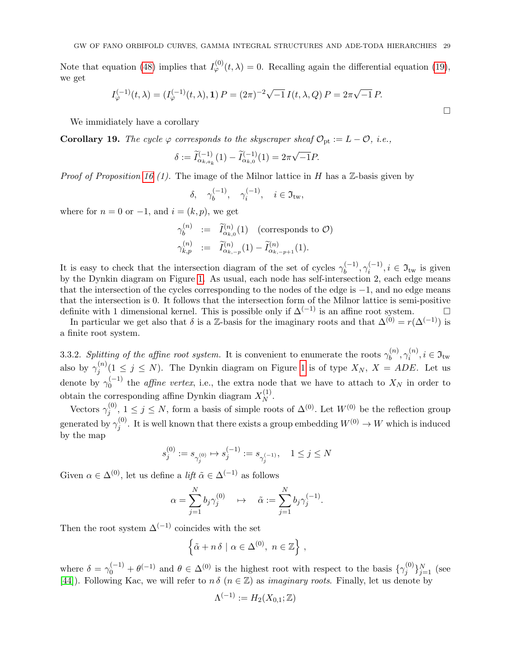Note that equation [\(48\)](#page-27-1) implies that  $I_{\varphi}^{(0)}(t,\lambda) = 0$ . Recalling again the differential equation [\(19\)](#page-10-1), we get

$$
I_{\varphi}^{(-1)}(t,\lambda) = (I_{\varphi}^{(-1)}(t,\lambda), \mathbf{1}) P = (2\pi)^{-2} \sqrt{-1} I(t,\lambda,Q) P = 2\pi \sqrt{-1} P.
$$

We immidiately have a corollary

Corollary 19. The cycle  $\varphi$  corresponds to the skyscraper sheaf  $\mathcal{O}_{pt} := L - \mathcal{O}$ , i.e.,

$$
\delta := \widetilde{I}_{\alpha_{k,a_k}}^{(-1)}(1) - \widetilde{I}_{\alpha_{k,0}}^{(-1)}(1) = 2\pi\sqrt{-1}P.
$$

*Proof of Proposition [16](#page-26-2) (1).* The image of the Milnor lattice in H has a  $\mathbb{Z}$ -basis given by

$$
\delta, \quad \gamma_b^{(-1)}, \quad \gamma_i^{(-1)}, \quad i \in \mathfrak{I}_{\mathrm{tw}},
$$

where for  $n = 0$  or  $-1$ , and  $i = (k, p)$ , we get

$$
\gamma_b^{(n)} := \widetilde{I}_{\alpha_{k,0}}^{(n)}(1) \quad \text{(corresponds to } \mathcal{O}\text{)}
$$
\n
$$
\gamma_{k,p}^{(n)} := \widetilde{I}_{\alpha_{k,-p}}^{(n)}(1) - \widetilde{I}_{\alpha_{k,-p+1}}^{(n)}(1).
$$

It is easy to check that the intersection diagram of the set of cycles  $\gamma_b^{(-1)}, \gamma_i^{(-1)}, i \in \mathfrak{I}_{\text{tw}}$  is given by the Dynkin diagram on Figure [1.](#page-29-1) As usual, each node has self-intersection 2, each edge means that the intersection of the cycles corresponding to the nodes of the edge is −1, and no edge means that the intersection is 0. It follows that the intersection form of the Milnor lattice is semi-positive definite with 1 dimensional kernel. This is possible only if  $\Delta^{(-1)}$  is an affine root system.

In particular we get also that  $\delta$  is a Z-basis for the imaginary roots and that  $\Delta^{(0)} = r(\Delta^{(-1)})$  is a finite root system.

3.3.2. Splitting of the affine root system. It is convenient to enumerate the roots  $\gamma_h^{(n)}$  $\gamma_b^{(n)}, \gamma_i^{(n)}$  $a_i^{(n)}, i \in \mathfrak{I}_{\mathrm{tw}}$ also by  $\gamma_i^{(n)}$  $j^{(n)}(1 \leq j \leq N)$ . The Dynkin diagram on Figure [1](#page-29-1) is of type  $X_N$ ,  $X = ADE$ . Let us denote by  $\gamma_0^{(-1)}$  the *affine vertex*, i.e., the extra node that we have to attach to  $X_N$  in order to obtain the corresponding affine Dynkin diagram  $X_N^{(1)}$  $\frac{1}{N}$ .

Vectors  $\gamma_i^{(0)}$  $j^{(0)}$ ,  $1 \leq j \leq N$ , form a basis of simple roots of  $\Delta^{(0)}$ . Let  $W^{(0)}$  be the reflection group generated by  $\gamma_i^{(0)}$  $j^{(0)}$ . It is well known that there exists a group embedding  $W^{(0)} \to W$  which is induced by the map

$$
s_j^{(0)}:=s_{\gamma_j^{(0)}}\mapsto s_j^{(-1)}:=s_{\gamma_j^{(-1)}},\quad 1\leq j\leq N
$$

Given  $\alpha \in \Delta^{(0)}$ , let us define a *lift*  $\tilde{\alpha} \in \Delta^{(-1)}$  as follows

$$
\alpha = \sum_{j=1}^{N} b_j \gamma_j^{(0)} \quad \mapsto \quad \tilde{\alpha} := \sum_{j=1}^{N} b_j \gamma_j^{(-1)}.
$$

Then the root system  $\Delta^{(-1)}$  coincides with the set

$$
\left\{ \tilde{\alpha} + n \delta \mid \alpha \in \Delta^{(0)}, \ n \in \mathbb{Z} \right\},\
$$

where  $\delta = \gamma_0^{(-1)} + \theta^{(-1)}$  and  $\theta \in \Delta^{(0)}$  is the highest root with respect to the basis  $\{\gamma_j^{(0)}\}$  $\{e_j^{(0)}\}_{j=1}^N$  (see [\[44\]](#page-60-26)). Following Kac, we will refer to  $n \delta$  ( $n \in \mathbb{Z}$ ) as *imaginary roots*. Finally, let us denote by

$$
\Lambda^{(-1)} := H_2(X_{0,1};\mathbb{Z})
$$

 $\Box$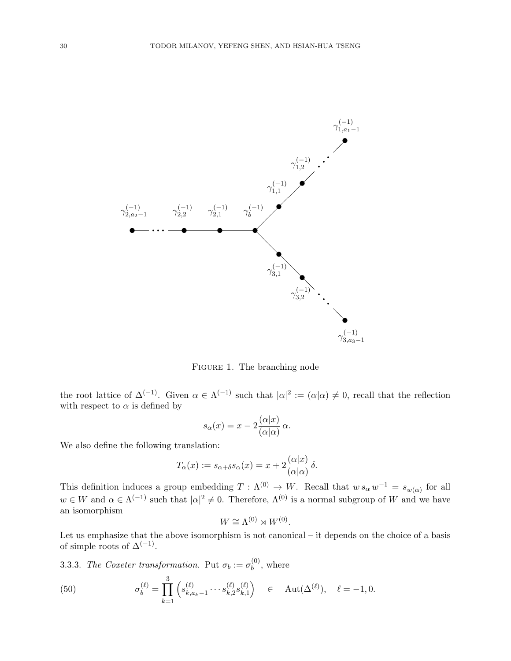

<span id="page-29-1"></span>Figure 1. The branching node

the root lattice of  $\Delta^{(-1)}$ . Given  $\alpha \in \Lambda^{(-1)}$  such that  $|\alpha|^2 := (\alpha|\alpha) \neq 0$ , recall that the reflection with respect to  $\alpha$  is defined by

$$
s_{\alpha}(x) = x - 2 \frac{(\alpha|x)}{(\alpha|\alpha)} \alpha.
$$

We also define the following translation:

$$
T_{\alpha}(x) := s_{\alpha + \delta} s_{\alpha}(x) = x + 2 \frac{(\alpha | x)}{(\alpha | \alpha)} \delta.
$$

This definition induces a group embedding  $T : \Lambda^{(0)} \to W$ . Recall that  $w s_{\alpha} w^{-1} = s_{w(\alpha)}$  for all  $w \in W$  and  $\alpha \in \Lambda^{(-1)}$  such that  $|\alpha|^2 \neq 0$ . Therefore,  $\Lambda^{(0)}$  is a normal subgroup of W and we have an isomorphism

$$
W \cong \Lambda^{(0)} \rtimes W^{(0)}.
$$

Let us emphasize that the above isomorphism is not canonical – it depends on the choice of a basis of simple roots of  $\Delta^{(-1)}$ .

3.3.3. The Coxeter transformation. Put  $\sigma_b := \sigma_b^{(0)}$  $b^{(0)}$ , where

<span id="page-29-0"></span>(50) 
$$
\sigma_b^{(\ell)} = \prod_{k=1}^3 \left( s_{k,a_k-1}^{(\ell)} \cdots s_{k,2}^{(\ell)} s_{k,1}^{(\ell)} \right) \in \text{Aut}(\Delta^{(\ell)}), \quad \ell = -1, 0.
$$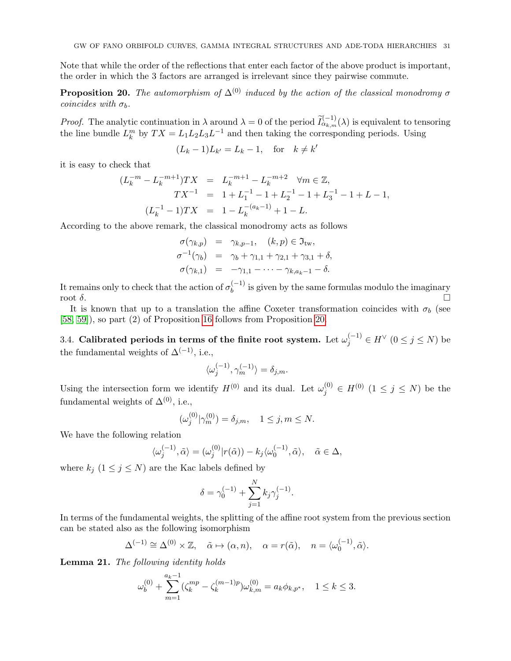Note that while the order of the reflections that enter each factor of the above product is important, the order in which the 3 factors are arranged is irrelevant since they pairwise commute.

<span id="page-30-1"></span>**Proposition 20.** The automorphism of  $\Delta^{(0)}$  induced by the action of the classical monodromy  $\sigma$ coincides with  $\sigma_b$ .

*Proof.* The analytic continuation in  $\lambda$  around  $\lambda = 0$  of the period  $\tilde{I}_{\alpha_{k,m}}^{(-1)}(\lambda)$  is equivalent to tensoring the line bundle  $L_k^m$  by  $TX = L_1 L_2 L_3 L^{-1}$  and then taking the corresponding periods. Using

$$
(L_k - 1)L_{k'} = L_k - 1, \quad \text{for} \quad k \neq k'
$$

it is easy to check that

$$
(L_k^{-m} - L_k^{-m+1})TX = L_k^{-m+1} - L_k^{-m+2} \quad \forall m \in \mathbb{Z},
$$
  
\n
$$
TX^{-1} = 1 + L_1^{-1} - 1 + L_2^{-1} - 1 + L_3^{-1} - 1 + L - 1,
$$
  
\n
$$
(L_k^{-1} - 1)TX = 1 - L_k^{-(a_k - 1)} + 1 - L.
$$

According to the above remark, the classical monodromy acts as follows

$$
\begin{array}{rcl}\n\sigma(\gamma_{k,p}) & = & \gamma_{k,p-1}, \quad (k,p) \in \mathfrak{I}_{\text{tw}}, \\
\sigma^{-1}(\gamma_b) & = & \gamma_b + \gamma_{1,1} + \gamma_{2,1} + \gamma_{3,1} + \delta, \\
\sigma(\gamma_{k,1}) & = & -\gamma_{1,1} - \cdots - \gamma_{k,a_k-1} - \delta.\n\end{array}
$$

It remains only to check that the action of  $\sigma_b^{(-1)}$  is given by the same formulas modulo the imaginary  $\cot \delta$ .

It is known that up to a translation the affine Coxeter transformation coincides with  $\sigma_b$  (see [\[58,](#page-61-14) [59\]](#page-61-15)), so part (2) of Proposition [16](#page-26-2) follows from Proposition [20.](#page-30-1)

<span id="page-30-0"></span>3.4. Calibrated periods in terms of the finite root system. Let  $\omega_j^{(-1)} \in H^\vee\ (0\leq j\leq N)$  be the fundamental weights of  $\Delta^{(-1)}$ , i.e.,

$$
\langle \omega_j^{(-1)}, \gamma_m^{(-1)} \rangle = \delta_{j,m}.
$$

Using the intersection form we identify  $H^{(0)}$  and its dual. Let  $\omega_j^{(0)} \in H^{(0)}$   $(1 \le j \le N)$  be the fundamental weights of  $\Delta^{(0)}$ , i.e.,

$$
(\omega_j^{(0)} | \gamma_m^{(0)}) = \delta_{j,m}, \quad 1 \le j, m \le N.
$$

We have the following relation

$$
\langle \omega_j^{(-1)}, \tilde{\alpha} \rangle = (\omega_j^{(0)} | r(\tilde{\alpha})) - k_j \langle \omega_0^{(-1)}, \tilde{\alpha} \rangle, \quad \tilde{\alpha} \in \Delta,
$$

where  $k_j$   $(1 \leq j \leq N)$  are the Kac labels defined by

$$
\delta = \gamma_0^{(-1)} + \sum_{j=1}^N k_j \gamma_j^{(-1)}.
$$

In terms of the fundamental weights, the splitting of the affine root system from the previous section can be stated also as the following isomorphism

$$
\Delta^{(-1)} \cong \Delta^{(0)} \times \mathbb{Z}, \quad \tilde{\alpha} \mapsto (\alpha, n), \quad \alpha = r(\tilde{\alpha}), \quad n = \langle \omega_0^{(-1)}, \tilde{\alpha} \rangle.
$$

<span id="page-30-2"></span>Lemma 21. The following identity holds

$$
\omega_b^{(0)} + \sum_{m=1}^{a_k - 1} (\zeta_k^{mp} - \zeta_k^{(m-1)p}) \omega_{k,m}^{(0)} = a_k \phi_{k,p^*}, \quad 1 \le k \le 3.
$$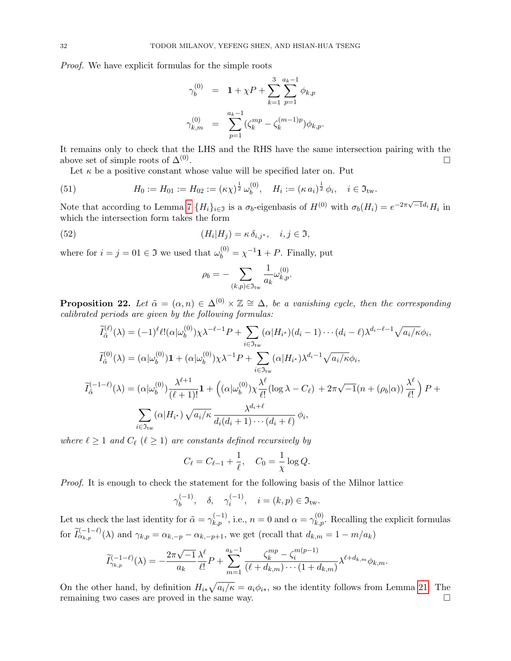Proof. We have explicit formulas for the simple roots

$$
\gamma_b^{(0)} = 1 + \chi P + \sum_{k=1}^3 \sum_{p=1}^{a_k - 1} \phi_{k,p}
$$
  

$$
\gamma_{k,m}^{(0)} = \sum_{p=1}^{a_k - 1} (\zeta_k^{mp} - \zeta_k^{(m-1)p}) \phi_{k,p}.
$$

It remains only to check that the LHS and the RHS have the same intersection pairing with the above set of simple roots of  $\Delta^{(0)}$ . . В последните последните последните последните последните последните последните последните последните последн<br>В 1990 година от селото на селото на селото на селото на селото на селото на селото на селото на селото на сел

Let  $\kappa$  be a positive constant whose value will be specified later on. Put

(51) 
$$
H_0 := H_{01} := H_{02} := (\kappa \chi)^{\frac{1}{2}} \omega_b^{(0)}, \quad H_i := (\kappa a_i)^{\frac{1}{2}} \phi_i, \quad i \in \mathfrak{I}_{\text{tw}}.
$$

Note that according to Lemma [7](#page-13-2)  $\{H_i\}_{i\in\mathfrak{I}}$  is a  $\sigma_b$ -eigenbasis of  $H^{(0)}$  with  $\sigma_b(H_i) = e^{-2\pi\sqrt{-1}d_i}H_i$  in which the intersection form takes the form

(52) 
$$
(H_i|H_j) = \kappa \, \delta_{i,j^*}, \quad i, j \in \mathfrak{I},
$$

where for  $i = j = 01 \in \mathfrak{I}$  we used that  $\omega_b^{(0)} = \chi^{-1} \mathbf{1} + P$ . Finally, put

<span id="page-31-0"></span>
$$
\rho_b = -\sum_{(k,p)\in\mathfrak{I}_{\mathrm{tw}}} \frac{1}{a_k} \omega_{k,p}^{(0)}.
$$

**Proposition 22.** Let  $\tilde{\alpha} = (\alpha, n) \in \Delta^{(0)} \times \mathbb{Z} \cong \Delta$ , be a vanishing cycle, then the corresponding calibrated periods are given by the following formulas:

$$
\widetilde{I}_{\tilde{\alpha}}^{(\ell)}(\lambda) = (-1)^{\ell} \ell! (\alpha | \omega_b^{(0)}) \chi \lambda^{-\ell-1} P + \sum_{i \in \mathfrak{I}_{\text{tw}}} (\alpha | H_{i^*}) (d_i - 1) \cdots (d_i - \ell) \lambda^{d_i - \ell-1} \sqrt{a_i / \kappa} \phi_i,
$$
\n
$$
\widetilde{I}_{\tilde{\alpha}}^{(0)}(\lambda) = (\alpha | \omega_b^{(0)}) \mathbf{1} + (\alpha | \omega_b^{(0)}) \chi \lambda^{-1} P + \sum_{i \in \mathfrak{I}_{\text{tw}}} (\alpha | H_{i^*}) \lambda^{d_i - 1} \sqrt{a_i / \kappa} \phi_i,
$$
\n
$$
\widetilde{I}_{\tilde{\alpha}}^{(-1-\ell)}(\lambda) = (\alpha | \omega_b^{(0)}) \frac{\lambda^{\ell+1}}{(\ell+1)!} \mathbf{1} + ((\alpha | \omega_b^{(0)}) \chi \frac{\lambda^{\ell}}{\ell!} (\log \lambda - C_{\ell}) + 2\pi \sqrt{-1} (n + (\rho_b | \alpha)) \frac{\lambda^{\ell}}{\ell!} \mathbf{1} P + \sum_{i \in \mathfrak{I}_{\text{tw}}} (\alpha | H_{i^*}) \sqrt{a_i / \kappa} \frac{\lambda^{d_i + \ell}}{d_i (d_i + 1) \cdots (d_i + \ell)} \phi_i,
$$

where  $\ell \geq 1$  and  $C_{\ell}$   $(\ell \geq 1)$  are constants defined recursively by

$$
C_{\ell} = C_{\ell-1} + \frac{1}{\ell}, \quad C_0 = \frac{1}{\chi} \log Q.
$$

Proof. It is enough to check the statement for the following basis of the Milnor lattice

$$
\gamma_b^{(-1)}, \quad \delta, \quad \gamma_i^{(-1)}, \quad i = (k, p) \in \mathfrak{I}_{\mathrm{tw}}.
$$

Let us check the last identity for  $\tilde{\alpha} = \gamma_{k,p}^{(-1)}$ , i.e.,  $n = 0$  and  $\alpha = \gamma_{k,p}^{(0)}$ . Recalling the explicit formulas for  $\widetilde{I}_{\alpha_{k,p}}^{(-1-\ell)}(\lambda)$  and  $\gamma_{k,p} = \alpha_{k,-p} - \alpha_{k,-p+1}$ , we get (recall that  $d_{k,m} = 1 - m/a_k$ )

$$
\widetilde{I}_{\gamma_{k,p}}^{(-1-\ell)}(\lambda) = -\frac{2\pi\sqrt{-1}}{a_k} \frac{\lambda^{\ell}}{\ell!} P + \sum_{m=1}^{a_k-1} \frac{\zeta_k^{mp} - \zeta_i^{m(p-1)}}{(\ell+d_{k,m})\cdots(1+d_{k,m})} \lambda^{\ell+d_{k,m}} \phi_{k,m}.
$$

On the other hand, by definition  $H_{i*} \sqrt{a_i/\kappa} = a_i \phi_{i*}$ , so the identity follows from Lemma [21.](#page-30-2) The remaining two cases are proved in the same way.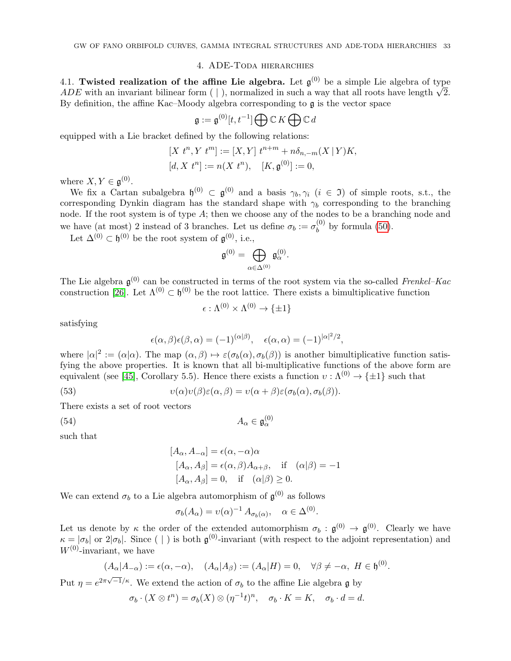#### 4. ADE-Toda hierarchies

<span id="page-32-1"></span><span id="page-32-0"></span>4.1. Twisted realization of the affine Lie algebra. Let  $\mathfrak{g}^{(0)}$  be a simple Lie algebra of type ADE with an invariant bilinear form  $(|\cdot|)$ , normalized in such a way that all roots have length  $\sqrt{2}$ . By definition, the affine Kac–Moody algebra corresponding to  $\mathfrak g$  is the vector space

$$
\mathfrak{g}:=\mathfrak{g}^{(0)}[t,t^{-1}]\bigoplus \mathbb{C} K\bigoplus \mathbb{C} d
$$

equipped with a Lie bracket defined by the following relations:

$$
[X t^n, Y t^m] := [X, Y] t^{n+m} + n\delta_{n,-m}(X | Y)K,
$$
  

$$
[d, X t^n] := n(X t^n), \quad [K, \mathfrak{g}^{(0)}] := 0,
$$

where  $X, Y \in \mathfrak{g}^{(0)}$ .

We fix a Cartan subalgebra  $\mathfrak{h}^{(0)} \subset \mathfrak{g}^{(0)}$  and a basis  $\gamma_b, \gamma_i$   $(i \in \mathfrak{I})$  of simple roots, s.t., the corresponding Dynkin diagram has the standard shape with  $\gamma_b$  corresponding to the branching node. If the root system is of type  $A$ ; then we choose any of the nodes to be a branching node and we have (at most) 2 instead of 3 branches. Let us define  $\sigma_b := \sigma_b^{(0)}$  $b^{(0)}$  by formula [\(50\)](#page-29-0).

Let  $\Delta^{(0)} \subset \mathfrak{h}^{(0)}$  be the root system of  $\mathfrak{g}^{(0)}$ , i.e.,

$$
\mathfrak{g}^{(0)}=\bigoplus_{\alpha\in\Delta^{(0)}}\mathfrak{g}^{(0)}_\alpha.
$$

The Lie algebra  $\mathfrak{g}^{(0)}$  can be constructed in terms of the root system via the so-called Frenkel–Kac construction [\[26\]](#page-60-27). Let  $\Lambda^{(0)} \subset \mathfrak{h}^{(0)}$  be the root lattice. There exists a bimultiplicative function

$$
\epsilon : \Lambda^{(0)} \times \Lambda^{(0)} \to \{\pm 1\}
$$

satisfying

<span id="page-32-2"></span>
$$
\epsilon(\alpha, \beta)\epsilon(\beta, \alpha) = (-1)^{(\alpha|\beta)}, \quad \epsilon(\alpha, \alpha) = (-1)^{|\alpha|^2/2},
$$

where  $|\alpha|^2 := (\alpha|\alpha)$ . The map  $(\alpha, \beta) \mapsto \varepsilon(\sigma_b(\alpha), \sigma_b(\beta))$  is another bimultiplicative function satisfying the above properties. It is known that all bi-multiplicative functions of the above form are equivalent (see [\[45\]](#page-60-28), Corollary 5.5). Hence there exists a function  $v : \Lambda^{(0)} \to {\pm 1}$  such that

(53) 
$$
v(\alpha)v(\beta)\varepsilon(\alpha,\beta)=v(\alpha+\beta)\varepsilon(\sigma_b(\alpha),\sigma_b(\beta)).
$$

There exists a set of root vectors

$$
(54) \t\t A_{\alpha} \in \mathfrak{g}
$$

such that

$$
[A_{\alpha}, A_{-\alpha}] = \epsilon(\alpha, -\alpha)\alpha
$$
  
\n
$$
[A_{\alpha}, A_{\beta}] = \epsilon(\alpha, \beta)A_{\alpha+\beta}, \text{ if } (\alpha|\beta) = -1
$$
  
\n
$$
[A_{\alpha}, A_{\beta}] = 0, \text{ if } (\alpha|\beta) \ge 0.
$$

<span id="page-32-3"></span> $\overset{(0)}{\alpha}$ 

We can extend  $\sigma_b$  to a Lie algebra automorphism of  $\mathfrak{g}^{(0)}$  as follows

$$
\sigma_b(A_{\alpha}) = v(\alpha)^{-1} A_{\sigma_b(\alpha)}, \quad \alpha \in \Delta^{(0)}.
$$

Let us denote by  $\kappa$  the order of the extended automorphism  $\sigma_b : \mathfrak{g}^{(0)} \to \mathfrak{g}^{(0)}$ . Clearly we have  $\kappa = |\sigma_b|$  or  $2|\sigma_b|$ . Since ( | ) is both  $\mathfrak{g}^{(0)}$ -invariant (with respect to the adjoint representation) and  $W^{(0)}$ -invariant, we have

$$
(A_{\alpha}|A_{-\alpha}) := \epsilon(\alpha, -\alpha), \quad (A_{\alpha}|A_{\beta}) := (A_{\alpha}|H) = 0, \quad \forall \beta \neq -\alpha, H \in \mathfrak{h}^{(0)}.
$$

Put  $\eta = e^{2\pi\sqrt{-1}/\kappa}$ . We extend the action of  $\sigma_b$  to the affine Lie algebra g by

$$
\sigma_b \cdot (X \otimes t^n) = \sigma_b(X) \otimes (\eta^{-1}t)^n, \quad \sigma_b \cdot K = K, \quad \sigma_b \cdot d = d.
$$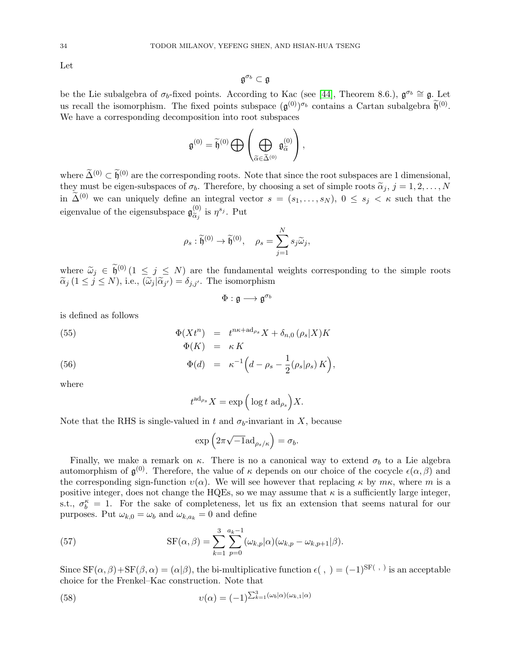Let

$$
\mathfrak{g}^{\sigma_b}\subset\mathfrak{g}
$$

be the Lie subalgebra of  $\sigma_b$ -fixed points. According to Kac (see [\[44\]](#page-60-26), Theorem 8.6.),  $\mathfrak{g}^{\sigma_b} \cong \mathfrak{g}$ . Let us recall the isomorphism. The fixed points subspace  $(\mathfrak{g}^{(0)})^{\sigma_b}$  contains a Cartan subalgebra  $\widetilde{\mathfrak{h}}^{(0)}$ . We have a corresponding decomposition into root subspaces

$$
\mathfrak{g}^{(0)} = \widetilde{\mathfrak{h}}^{(0)} \bigoplus \left( \bigoplus_{\widetilde{\alpha} \in \widetilde{\Delta}^{(0)}} \mathfrak{g}_{\widetilde{\alpha}}^{(0)} \right),
$$

where  $\tilde{\Delta}^{(0)} \subset \tilde{\mathfrak{h}}^{(0)}$  are the corresponding roots. Note that since the root subspaces are 1 dimensional, they must be eigen-subspaces of  $\sigma_b$ . Therefore, by choosing a set of simple roots  $\tilde{\alpha}_j$ ,  $j = 1, 2, ..., N$ in  $\tilde{\Delta}^{(0)}$  we can uniquely define an integral vector  $s = (s_1, \ldots, s_N)$ ,  $0 \leq s_j < \kappa$  such that the eigenvalue of the eigensubspace  $\mathfrak{g}_{\widetilde{\alpha}}^{(0)}$  $_{\widetilde{\alpha}_j}^{(0)}$  is  $\eta^{s_j}$ . Put

$$
\rho_s : \widetilde{\mathfrak{h}}^{(0)} \to \widetilde{\mathfrak{h}}^{(0)}, \quad \rho_s = \sum_{j=1}^N s_j \widetilde{\omega}_j,
$$

where  $\widetilde{\omega}_j \in \widetilde{\mathfrak{h}}^{(0)}$   $(1 \leq j \leq N)$  are the fundamental weights corresponding to the simple roots  $\widetilde{\alpha}_j$   $(1 \le j \le N)$ , i.e.,  $(\widetilde{\omega}_j | \widetilde{\alpha}_{j'}) = \delta_{j,j'}$ . The isomorphism

$$
\Phi:\mathfrak{g}\longrightarrow\mathfrak{g}^{\sigma_b}
$$

is defined as follows

(55) 
$$
\Phi(Xt^n) = t^{n\kappa + \mathrm{ad}_{\rho_s}} X + \delta_{n,0} (\rho_s | X) K
$$

$$
\Phi(K) = \kappa K
$$

(56) 
$$
\Phi(d) = \kappa^{-1} \Big( d - \rho_s - \frac{1}{2} (\rho_s | \rho_s) K \Big),
$$

where

<span id="page-33-1"></span>
$$
t^{\mathrm{ad}_{\rho_s}} X = \exp\Big(\log t \, \mathrm{ad}_{\rho_s}\Big) X.
$$

Note that the RHS is single-valued in t and  $\sigma_b$ -invariant in X, because

<span id="page-33-0"></span>
$$
\exp\left(2\pi\sqrt{-1}\mathrm{ad}_{\rho_s/\kappa}\right)=\sigma_b.
$$

Finally, we make a remark on  $\kappa$ . There is no a canonical way to extend  $\sigma_b$  to a Lie algebra automorphism of  $\mathfrak{g}^{(0)}$ . Therefore, the value of  $\kappa$  depends on our choice of the cocycle  $\epsilon(\alpha,\beta)$  and the corresponding sign-function  $v(\alpha)$ . We will see however that replacing  $\kappa$  by  $m\kappa$ , where m is a positive integer, does not change the HQEs, so we may assume that  $\kappa$  is a sufficiently large integer, s.t.,  $\sigma_b^{\kappa} = 1$ . For the sake of completeness, let us fix an extension that seems natural for our purposes. Put  $\omega_{k,0} = \omega_b$  and  $\omega_{k,a_k} = 0$  and define

(57) 
$$
SF(\alpha, \beta) = \sum_{k=1}^{3} \sum_{p=0}^{a_k-1} (\omega_{k,p}|\alpha)(\omega_{k,p} - \omega_{k,p+1}|\beta).
$$

Since  $SF(\alpha, \beta) + SF(\beta, \alpha) = (\alpha|\beta)$ , the bi-multiplicative function  $\epsilon($ ,  $) = (-1)^{SF(\alpha, \beta)}$  is an acceptable choice for the Frenkel–Kac construction. Note that

(58) 
$$
v(\alpha) = (-1)^{\sum_{k=1}^{3} (\omega_b|\alpha)(\omega_{k,1}|\alpha)}
$$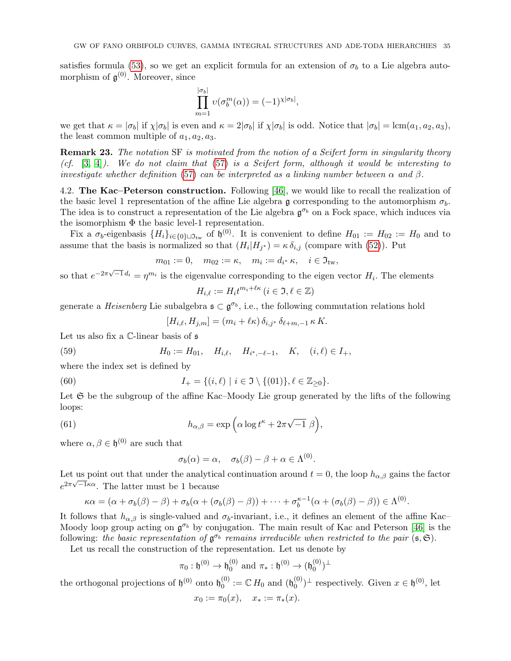satisfies formula [\(53\)](#page-32-2), so we get an explicit formula for an extension of  $\sigma_b$  to a Lie algebra automorphism of  $\mathfrak{g}^{(0)}$ . Moreover, since

$$
\prod_{m=1}^{|\sigma_b|} \upsilon(\sigma_b^m(\alpha)) = (-1)^{\chi|\sigma_b|},
$$

we get that  $\kappa = |\sigma_b|$  if  $\chi |\sigma_b|$  is even and  $\kappa = 2|\sigma_b|$  if  $\chi |\sigma_b|$  is odd. Notice that  $|\sigma_b| = \text{lcm}(a_1, a_2, a_3)$ , the least common multiple of  $a_1, a_2, a_3$ .

**Remark 23.** The notation SF is motivated from the notion of a Seifert form in singularity theory (cf.  $[3, 4]$  $[3, 4]$ ). We do not claim that  $(57)$  is a Seifert form, although it would be interesting to investigate whether definition [\(57\)](#page-33-0) can be interpreted as a linking number between  $\alpha$  and  $\beta$ .

<span id="page-34-0"></span>4.2. The Kac–Peterson construction. Following [\[46\]](#page-60-29), we would like to recall the realization of the basic level 1 representation of the affine Lie algebra g corresponding to the automorphism  $\sigma_b$ . The idea is to construct a representation of the Lie algebra  $\mathfrak{g}^{\sigma_b}$  on a Fock space, which induces via the isomorphism  $\Phi$  the basic level-1 representation.

Fix a  $\sigma_b$ -eigenbasis  $\{H_i\}_{i\in{0}}$   $\cup$   $\mathfrak{I}_{\text{tw}}$  of  $\mathfrak{h}^{(0)}$ . It is convenient to define  $H_{01} := H_{02} := H_0$  and to assume that the basis is normalized so that  $(H_i|H_{j^*}) = \kappa \delta_{i,j}$  (compare with [\(52\)](#page-31-0)). Put

$$
m_{01} := 0
$$
,  $m_{02} := \kappa$ ,  $m_i := d_{i^*} \kappa$ ,  $i \in \mathfrak{I}_{tw}$ ,

so that  $e^{-2\pi\sqrt{-1} d_i} = \eta^{m_i}$  is the eigenvalue corresponding to the eigen vector  $H_i$ . The elements

$$
H_{i,\ell} := H_i t^{m_i + \ell \kappa} \, (i \in \mathfrak{I}, \ell \in \mathbb{Z})
$$

generate a *Heisenberg* Lie subalgebra  $\mathfrak{s} \subset \mathfrak{g}^{\sigma_b}$ , i.e., the following commutation relations hold

<span id="page-34-3"></span><span id="page-34-1"></span>
$$
[H_{i,\ell}, H_{j,m}] = (m_i + \ell \kappa) \, \delta_{i,j^*} \, \delta_{\ell+m,-1} \, \kappa \, K.
$$

Let us also fix a C-linear basis of  $\mathfrak s$ 

(59) 
$$
H_0 := H_{01}, \quad H_{i,\ell}, \quad H_{i^*,-\ell-1}, \quad K, \quad (i,\ell) \in I_+,
$$

where the index set is defined by

(60) 
$$
I_{+} = \{(i,\ell) \mid i \in \mathfrak{I} \setminus \{(01)\}, \ell \in \mathbb{Z}_{\geq 0}\}.
$$

Let  $\mathfrak S$  be the subgroup of the affine Kac–Moody Lie group generated by the lifts of the following loops:

(61) 
$$
h_{\alpha,\beta} = \exp\left(\alpha \log t^{\kappa} + 2\pi\sqrt{-1} \beta\right),
$$

where  $\alpha, \beta \in \mathfrak{h}^{(0)}$  are such that

<span id="page-34-2"></span>
$$
\sigma_b(\alpha) = \alpha, \quad \sigma_b(\beta) - \beta + \alpha \in \Lambda^{(0)}.
$$

Let us point out that under the analytical continuation around  $t = 0$ , the loop  $h_{\alpha,\beta}$  gains the factor  $e^{2\pi\sqrt{-1}\kappa\alpha}$ . The latter must be 1 because

$$
\kappa\alpha = (\alpha + \sigma_b(\beta) - \beta) + \sigma_b(\alpha + (\sigma_b(\beta) - \beta)) + \cdots + \sigma_b^{\kappa-1}(\alpha + (\sigma_b(\beta) - \beta)) \in \Lambda^{(0)}.
$$

It follows that  $h_{\alpha,\beta}$  is single-valued and  $\sigma_b$ -invariant, i.e., it defines an element of the affine Kac– Moody loop group acting on  $\mathfrak{g}^{\sigma_b}$  by conjugation. The main result of Kac and Peterson [\[46\]](#page-60-29) is the following: the basic representation of  $\mathfrak{g}^{\sigma_b}$  remains irreducible when restricted to the pair  $(\mathfrak{s}, \mathfrak{S})$ .

Let us recall the construction of the representation. Let us denote by

$$
\pi_0: \mathfrak{h}^{(0)} \to \mathfrak{h}_0^{(0)} \text{ and } \pi_*: \mathfrak{h}^{(0)} \to (\mathfrak{h}_0^{(0)})^{\perp}
$$

the orthogonal projections of  $\mathfrak{h}^{(0)}$  onto  $\mathfrak{h}^{(0)}_0$  $\mathcal{O}_0^{(0)}:=\mathbb{C} H_0$  and  $(\mathfrak{h}_0^{(0)})$  $\mathbf{C}_0^{(0)}$ <sup> $\perp$ </sup> respectively. Given  $x \in \mathfrak{h}^{(0)}$ , let

$$
x_0 := \pi_0(x), \quad x_* := \pi_*(x).
$$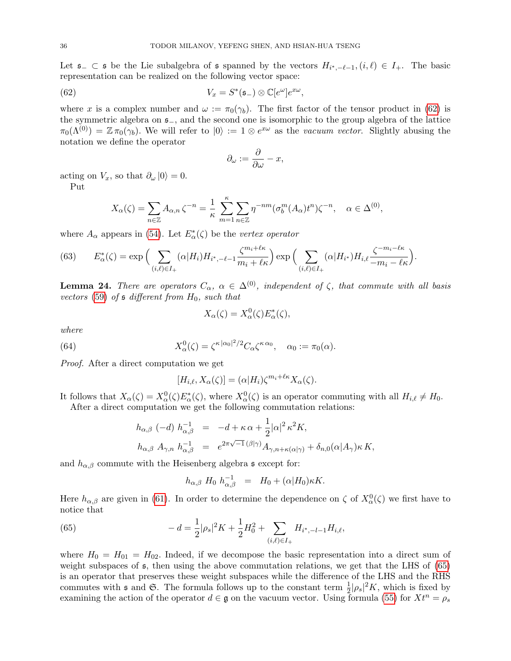Let  $\mathfrak{s}_- \subset \mathfrak{s}$  be the Lie subalgebra of  $\mathfrak{s}$  spanned by the vectors  $H_{i^*,-\ell-1}$ ,  $(i,\ell) \in I_+$ . The basic representation can be realized on the following vector space:

(62) 
$$
V_x = S^*(\mathfrak{s}_-) \otimes \mathbb{C}[e^{\omega}]e^{x\omega},
$$

where x is a complex number and  $\omega := \pi_0(\gamma_b)$ . The first factor of the tensor product in [\(62\)](#page-35-1) is the symmetric algebra on s−, and the second one is isomorphic to the group algebra of the lattice  $\pi_0(\Lambda^{(0)}) = \mathbb{Z} \pi_0(\gamma_b)$ . We will refer to  $|0\rangle := 1 \otimes e^{x\omega}$  as the *vacuum vector*. Slightly abusing the notation we define the operator

<span id="page-35-1"></span>
$$
\partial_{\omega} := \frac{\partial}{\partial \omega} - x,
$$

acting on  $V_x$ , so that  $\partial_{\omega} |0\rangle = 0$ .

Put

$$
X_{\alpha}(\zeta) = \sum_{n \in \mathbb{Z}} A_{\alpha,n} \zeta^{-n} = \frac{1}{\kappa} \sum_{m=1}^{\kappa} \sum_{n \in \mathbb{Z}} \eta^{-nm} (\sigma_b^m(A_{\alpha}) t^n) \zeta^{-n}, \quad \alpha \in \Delta^{(0)},
$$

where  $A_{\alpha}$  appears in [\(54\)](#page-32-3). Let  $E_{\alpha}^*(\zeta)$  be the *vertex operator* 

<span id="page-35-0"></span>(63) 
$$
E_{\alpha}^*(\zeta) = \exp\Big(\sum_{(i,\ell)\in I_+} (\alpha|H_i)H_{i^*,-\ell-1}\frac{\zeta^{m_i+\ell\kappa}}{m_i+\ell\kappa}\Big) \exp\Big(\sum_{(i,\ell)\in I_+} (\alpha|H_{i^*})H_{i,\ell}\frac{\zeta^{-m_i-\ell\kappa}}{-m_i-\ell\kappa}\Big).
$$

**Lemma 24.** There are operators  $C_{\alpha}$ ,  $\alpha \in \Delta^{(0)}$ , independent of  $\zeta$ , that commute with all basis vectors [\(59\)](#page-34-1) of  $\mathfrak s$  different from  $H_0$ , such that

$$
X_{\alpha}(\zeta) = X_{\alpha}^{0}(\zeta)E_{\alpha}^{*}(\zeta),
$$

where

(64) 
$$
X_{\alpha}^{0}(\zeta) = \zeta^{\kappa |\alpha_0|^2/2} C_{\alpha} \zeta^{\kappa \alpha_0}, \quad \alpha_0 := \pi_0(\alpha).
$$

Proof. After a direct computation we get

<span id="page-35-3"></span>
$$
[H_{i,\ell}, X_{\alpha}(\zeta)] = (\alpha | H_i) \zeta^{m_i + \ell \kappa} X_{\alpha}(\zeta).
$$

It follows that  $X_{\alpha}(\zeta) = X_{\alpha}^0(\zeta) E_{\alpha}^*(\zeta)$ , where  $X_{\alpha}^0(\zeta)$  is an operator commuting with all  $H_{i,\ell} \neq H_0$ . After a direct computation we get the following commutation relations:

$$
h_{\alpha,\beta} \ (-d) \ h_{\alpha,\beta}^{-1} = -d + \kappa \alpha + \frac{1}{2} |\alpha|^2 \kappa^2 K,
$$
  

$$
h_{\alpha,\beta} A_{\gamma,n} h_{\alpha,\beta}^{-1} = e^{2\pi \sqrt{-1} (\beta|\gamma)} A_{\gamma,n+\kappa(\alpha|\gamma)} + \delta_{n,0} (\alpha|A_{\gamma}) \kappa K,
$$

and  $h_{\alpha,\beta}$  commute with the Heisenberg algebra s except for:

<span id="page-35-2"></span>
$$
h_{\alpha,\beta} H_0 h_{\alpha,\beta}^{-1} = H_0 + (\alpha|H_0)\kappa K.
$$

Here  $h_{\alpha,\beta}$  are given in [\(61\)](#page-34-2). In order to determine the dependence on  $\zeta$  of  $X^0_\alpha(\zeta)$  we first have to notice that

(65) 
$$
-d = \frac{1}{2} |\rho_s|^2 K + \frac{1}{2} H_0^2 + \sum_{(i,\ell) \in I_+} H_{i^*,-l-1} H_{i,\ell},
$$

where  $H_0 = H_{01} = H_{02}$ . Indeed, if we decompose the basic representation into a direct sum of weight subspaces of  $\epsilon$ , then using the above commutation relations, we get that the LHS of [\(65\)](#page-35-2) is an operator that preserves these weight subspaces while the difference of the LHS and the RHS commutes with s and G. The formula follows up to the constant term  $\frac{1}{2}|\rho_s|^2 K$ , which is fixed by examining the action of the operator  $d \in \mathfrak{g}$  on the vacuum vector. Using formula [\(55\)](#page-33-1) for  $Xt^n = \rho_s$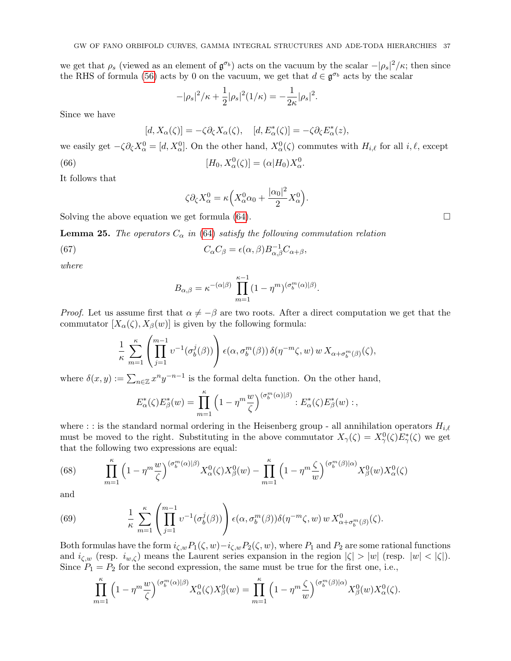we get that  $\rho_s$  (viewed as an element of  $\mathfrak{g}^{\sigma_b}$ ) acts on the vacuum by the scalar  $-|\rho_s|^2/\kappa$ ; then since the RHS of formula [\(56\)](#page-33-1) acts by 0 on the vacuum, we get that  $d \in \mathfrak{g}^{\sigma_b}$  acts by the scalar

$$
-|\rho_s|^2/\kappa + \frac{1}{2}|\rho_s|^2(1/\kappa) = -\frac{1}{2\kappa}|\rho_s|^2.
$$

Since we have

$$
[d, X_{\alpha}(\zeta)] = -\zeta \partial_{\zeta} X_{\alpha}(\zeta), \quad [d, E_{\alpha}^{*}(\zeta)] = -\zeta \partial_{\zeta} E_{\alpha}^{*}(z),
$$

we easily get  $-\zeta \partial_{\zeta} X_{\alpha}^0 = [d, X_{\alpha}^0]$ . On the other hand,  $X_{\alpha}^0(\zeta)$  commutes with  $H_{i,\ell}$  for all  $i, \ell$ , except

(66) 
$$
[H_0, X_\alpha^0(\zeta)] = (\alpha|H_0)X_\alpha^0.
$$

It follows that

<span id="page-36-0"></span>
$$
\zeta \partial_{\zeta} X_{\alpha}^{0} = \kappa \Big( X_{\alpha}^{0} \alpha_{0} + \frac{|\alpha_{0}|^{2}}{2} X_{\alpha}^{0} \Big).
$$

Solving the above equation we get formula  $(64)$ .

**Lemma 25.** The operators  $C_{\alpha}$  in [\(64\)](#page-35-3) satisfy the following commutation relation

(67) 
$$
C_{\alpha}C_{\beta} = \epsilon(\alpha,\beta)B_{\alpha,\beta}^{-1}C_{\alpha+\beta},
$$

where

<span id="page-36-3"></span>
$$
B_{\alpha,\beta} = \kappa^{-(\alpha|\beta)} \prod_{m=1}^{\kappa-1} (1 - \eta^m)^{(\sigma_b^m(\alpha)|\beta)}
$$

*Proof.* Let us assume first that  $\alpha \neq -\beta$  are two roots. After a direct computation we get that the commutator  $[X_{\alpha}(\zeta), X_{\beta}(w)]$  is given by the following formula:

.

$$
\frac{1}{\kappa} \sum_{m=1}^{\kappa} \left( \prod_{j=1}^{m-1} v^{-1}(\sigma_b^j(\beta)) \right) \epsilon(\alpha, \sigma_b^m(\beta)) \, \delta(\eta^{-m} \zeta, w) \, w \, X_{\alpha + \sigma_b^m(\beta)}(\zeta),
$$

where  $\delta(x, y) := \sum_{n \in \mathbb{Z}} x^n y^{-n-1}$  is the formal delta function. On the other hand,

$$
E_{\alpha}^*(\zeta)E_{\beta}^*(w) = \prod_{m=1}^{\kappa} \left(1 - \eta^m \frac{w}{\zeta}\right)^{(\sigma_b^m(\alpha)|\beta)} : E_{\alpha}^*(\zeta)E_{\beta}^*(w) : ,
$$

where : : is the standard normal ordering in the Heisenberg group - all annihilation operators  $H_{i,\ell}$ must be moved to the right. Substituting in the above commutator  $X_\gamma(\zeta) = X_\gamma^0(\zeta) E_\gamma^*(\zeta)$  we get that the following two expressions are equal:

<span id="page-36-1"></span>(68) 
$$
\prod_{m=1}^{\kappa} \left(1 - \eta^m \frac{w}{\zeta}\right)^{(\sigma_b^m(\alpha)|\beta)} X_{\alpha}^0(\zeta) X_{\beta}^0(w) - \prod_{m=1}^{\kappa} \left(1 - \eta^m \frac{\zeta}{w}\right)^{(\sigma_b^m(\beta)|\alpha)} X_{\beta}^0(w) X_{\alpha}^0(\zeta)
$$

and

<span id="page-36-2"></span>(69) 
$$
\frac{1}{\kappa} \sum_{m=1}^{\kappa} \left( \prod_{j=1}^{m-1} v^{-1} (\sigma_b^j(\beta)) \right) \epsilon(\alpha, \sigma_b^m(\beta)) \delta(\eta^{-m} \zeta, w) w X_{\alpha + \sigma_b^m(\beta)}^0(\zeta).
$$

Both formulas have the form  $i_{\zeta,w}P_1(\zeta, w)-i_{\zeta,w}P_2(\zeta, w)$ , where  $P_1$  and  $P_2$  are some rational functions and  $i_{\zeta,w}$  (resp.  $i_{w,\zeta}$ ) means the Laurent series expansion in the region  $|\zeta| > |w|$  (resp.  $|w| < |\zeta|$ ). Since  $P_1 = P_2$  for the second expression, the same must be true for the first one, i.e.,

$$
\prod_{m=1}^{\kappa} \left(1 - \eta^m \frac{w}{\zeta}\right)^{(\sigma_b^m(\alpha)|\beta)} X_{\alpha}^0(\zeta) X_{\beta}^0(w) = \prod_{m=1}^{\kappa} \left(1 - \eta^m \frac{\zeta}{w}\right)^{(\sigma_b^m(\beta)|\alpha)} X_{\beta}^0(w) X_{\alpha}^0(\zeta).
$$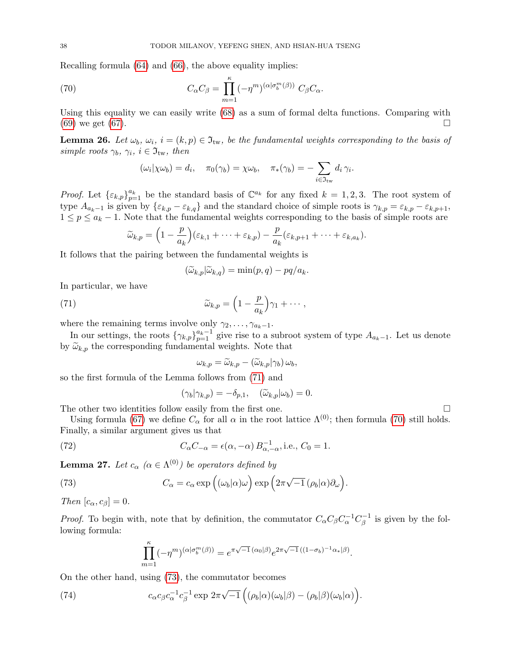Recalling formula [\(64\)](#page-35-3) and [\(66\)](#page-36-0), the above equality implies:

(70) 
$$
C_{\alpha}C_{\beta} = \prod_{m=1}^{\kappa} (-\eta^m)^{(\alpha|\sigma_b^m(\beta))} C_{\beta}C_{\alpha}.
$$

Using this equality we can easily write [\(68\)](#page-36-1) as a sum of formal delta functions. Comparing with  $(69)$  we get  $(67)$ .

<span id="page-37-3"></span>**Lemma 26.** Let  $\omega_b$ ,  $\omega_i$ ,  $i = (k, p) \in \mathfrak{I}_{tw}$ , be the fundamental weights corresponding to the basis of simple roots  $\gamma_b$ ,  $\gamma_i$ ,  $i \in \mathfrak{I}_{\text{tw}},$  then

<span id="page-37-1"></span>
$$
(\omega_i|\chi\omega_b)=d_i,\quad \pi_0(\gamma_b)=\chi\omega_b,\quad \pi_*(\gamma_b)=-\sum_{i\in\mathfrak{I}_{\rm tw}}d_i\,\gamma_i.
$$

*Proof.* Let  $\{\varepsilon_{k,p}\}_{p=1}^{a_k}$  be the standard basis of  $\mathbb{C}^{a_k}$  for any fixed  $k = 1, 2, 3$ . The root system of type  $A_{a_k-1}$  is given by  $\{\varepsilon_{k,p}-\varepsilon_{k,q}\}$  and the standard choice of simple roots is  $\gamma_{k,p}=\varepsilon_{k,p}-\varepsilon_{k,p+1}$ ,  $1 \leq p \leq a_k - 1$ . Note that the fundamental weights corresponding to the basis of simple roots are

$$
\widetilde{\omega}_{k,p} = \left(1 - \frac{p}{a_k}\right)(\varepsilon_{k,1} + \cdots + \varepsilon_{k,p}) - \frac{p}{a_k}(\varepsilon_{k,p+1} + \cdots + \varepsilon_{k,a_k}).
$$

It follows that the pairing between the fundamental weights is

<span id="page-37-0"></span>
$$
(\widetilde{\omega}_{k,p}|\widetilde{\omega}_{k,q}) = \min(p,q) - pq/a_k.
$$

In particular, we have

(71) 
$$
\widetilde{\omega}_{k,p} = \left(1 - \frac{p}{a_k}\right)\gamma_1 + \cdots,
$$

where the remaining terms involve only  $\gamma_2, \ldots, \gamma_{a_k-1}$ .

In our settings, the roots  $\{\gamma_{k,p}\}_{p=1}^{a_k-1}$  give rise to a subroot system of type  $A_{a_k-1}$ . Let us denote by  $\widetilde{\omega}_{k,p}$  the corresponding fundamental weights. Note that

$$
\omega_{k,p} = \widetilde{\omega}_{k,p} - (\widetilde{\omega}_{k,p}|\gamma_b)\,\omega_b,
$$

so the first formula of the Lemma follows from [\(71\)](#page-37-0) and

$$
(\gamma_b|\gamma_{k,p}) = -\delta_{p,1}, \quad (\widetilde{\omega}_{k,p}|\omega_b) = 0.
$$

The other two identities follow easily from the first one.  $\Box$ 

Using formula [\(67\)](#page-36-3) we define  $C_{\alpha}$  for all  $\alpha$  in the root lattice  $\Lambda^{(0)}$ ; then formula [\(70\)](#page-37-1) still holds. Finally, a similar argument gives us that

(72) 
$$
C_{\alpha}C_{-\alpha} = \epsilon(\alpha, -\alpha) B_{\alpha, -\alpha}^{-1}
$$
 i.e.,  $C_0 = 1$ .

<span id="page-37-5"></span>**Lemma 27.** Let  $c_{\alpha}$  ( $\alpha \in \Lambda^{(0)}$ ) be operators defined by

(73) 
$$
C_{\alpha} = c_{\alpha} \exp \left( (\omega_b | \alpha) \omega \right) \exp \left( 2\pi \sqrt{-1} \left( \rho_b | \alpha \right) \partial_{\omega} \right).
$$

Then  $[c_{\alpha}, c_{\beta}] = 0$ .

*Proof.* To begin with, note that by definition, the commutator  $C_{\alpha}C_{\beta}C_{\alpha}^{-1}C_{\beta}^{-1}$  is given by the following formula:

<span id="page-37-4"></span><span id="page-37-2"></span>
$$
\prod_{m=1}^{\kappa} (-\eta^m)^{(\alpha|\sigma_b^m(\beta))} = e^{\pi\sqrt{-1}(\alpha_0|\beta)} e^{2\pi\sqrt{-1}((1-\sigma_b)^{-1}\alpha_*|\beta)}.
$$

On the other hand, using [\(73\)](#page-37-2), the commutator becomes

(74) 
$$
c_{\alpha}c_{\beta}c_{\alpha}^{-1}c_{\beta}^{-1}\exp 2\pi\sqrt{-1}\left((\rho_b|\alpha)(\omega_b|\beta)-(\rho_b|\beta)(\omega_b|\alpha)\right).
$$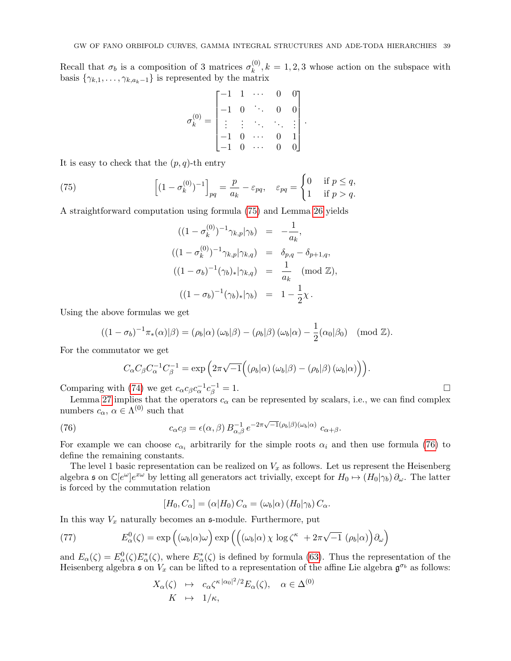Recall that  $\sigma_b$  is a composition of 3 matrices  $\sigma_k^{(0)}$  $k_k^{(0)}$ ,  $k = 1, 2, 3$  whose action on the subspace with basis  $\{\gamma_{k,1}, \ldots, \gamma_{k,a_k-1}\}$  is represented by the matrix

$$
\sigma_k^{(0)} = \begin{bmatrix} -1 & 1 & \cdots & 0 & 0 \\ -1 & 0 & \ddots & 0 & 0 \\ \vdots & \vdots & \ddots & \ddots & \vdots \\ -1 & 0 & \cdots & 0 & 1 \\ -1 & 0 & \cdots & 0 & 0 \end{bmatrix}.
$$

It is easy to check that the  $(p, q)$ -th entry

(75) 
$$
\left[ (1 - \sigma_k^{(0)})^{-1} \right]_{pq} = \frac{p}{a_k} - \varepsilon_{pq}, \quad \varepsilon_{pq} = \begin{cases} 0 & \text{if } p \le q, \\ 1 & \text{if } p > q. \end{cases}
$$

A straightforward computation using formula [\(75\)](#page-38-1) and Lemma [26](#page-37-3) yields

<span id="page-38-1"></span>
$$
((1 - \sigma_k^{(0)})^{-1} \gamma_{k,p} | \gamma_b) = -\frac{1}{a_k},
$$
  

$$
((1 - \sigma_k^{(0)})^{-1} \gamma_{k,p} | \gamma_{k,q}) = \delta_{p,q} - \delta_{p+1,q},
$$
  

$$
((1 - \sigma_b)^{-1} (\gamma_b)_* | \gamma_{k,q}) = \frac{1}{a_k} \pmod{\mathbb{Z}},
$$
  

$$
((1 - \sigma_b)^{-1} (\gamma_b)_* | \gamma_b) = 1 - \frac{1}{2} \chi.
$$

Using the above formulas we get

$$
((1 - \sigma_b)^{-1} \pi_*(\alpha)|\beta) = (\rho_b|\alpha) (\omega_b|\beta) - (\rho_b|\beta) (\omega_b|\alpha) - \frac{1}{2} (\alpha_0|\beta_0) \pmod{\mathbb{Z}}.
$$

For the commutator we get

<span id="page-38-2"></span>
$$
C_{\alpha}C_{\beta}C_{\alpha}^{-1}C_{\beta}^{-1} = \exp \left(2\pi\sqrt{-1}\Big((\rho_b|\alpha)(\omega_b|\beta) - (\rho_b|\beta)(\omega_b|\alpha)\Big)\right).
$$

Comparing with [\(74\)](#page-37-4) we get  $c_{\alpha}c_{\beta}c_{\alpha}^{-1}c_{\beta}^{-1}$  $\bar{\beta}^{-1} = 1.$ 

Lemma [27](#page-37-5) implies that the operators  $c_{\alpha}$  can be represented by scalars, i.e., we can find complex numbers  $c_{\alpha}$ ,  $\alpha \in \Lambda^{(0)}$  such that

(76) 
$$
c_{\alpha}c_{\beta} = \epsilon(\alpha,\beta) B_{\alpha,\beta}^{-1} e^{-2\pi\sqrt{-1}(\rho_b|\beta)(\omega_b|\alpha)} c_{\alpha+\beta}.
$$

For example we can choose  $c_{\alpha_i}$  arbitrarily for the simple roots  $\alpha_i$  and then use formula [\(76\)](#page-38-2) to define the remaining constants.

The level 1 basic representation can be realized on  $V_x$  as follows. Let us represent the Heisenberg algebra s on  $\mathbb{C}[e^{\omega}]e^{x\omega}$  by letting all generators act trivially, except for  $H_0 \mapsto (H_0|\gamma_b) \partial_{\omega}$ . The latter is forced by the commutation relation

<span id="page-38-0"></span>
$$
[H_0, C_{\alpha}] = (\alpha | H_0) C_{\alpha} = (\omega_b | \alpha) (H_0 | \gamma_b) C_{\alpha}.
$$

In this way  $V_x$  naturally becomes an  $\mathfrak{s}$ -module. Furthermore, put

(77) 
$$
E_{\alpha}^{0}(\zeta) = \exp \left( (\omega_{b}|\alpha) \omega \right) \exp \left( \left( (\omega_{b}|\alpha) \chi \log \zeta^{\kappa} + 2\pi \sqrt{-1} \left( \rho_{b}|\alpha \right) \right) \partial_{\omega} \right)
$$

and  $E_{\alpha}(\zeta) = E_{\alpha}^{0}(\zeta)E_{\alpha}^{*}(\zeta)$ , where  $E_{\alpha}^{*}(\zeta)$  is defined by formula [\(63\)](#page-35-0). Thus the representation of the Heisenberg algebra s on  $V_x$  can be lifted to a representation of the affine Lie algebra  $\mathfrak{g}^{\sigma_b}$  as follows:

$$
X_{\alpha}(\zeta) \mapsto c_{\alpha} \zeta^{\kappa |\alpha_0|^2/2} E_{\alpha}(\zeta), \quad \alpha \in \Delta^{(0)}
$$
  

$$
K \mapsto 1/\kappa,
$$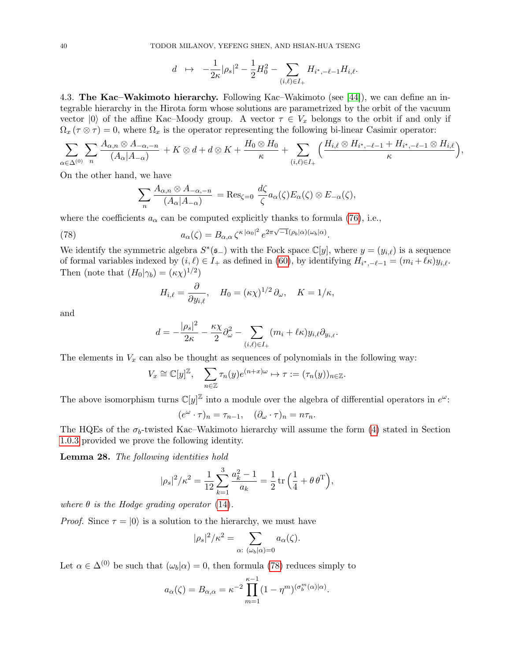$$
d \quad \mapsto \quad -\frac{1}{2\kappa}|\rho_s|^2 - \frac{1}{2}H_0^2 - \sum_{(i,\ell)\in I_+} H_{i^*,-\ell-1}H_{i,\ell}.
$$

<span id="page-39-0"></span>4.3. The Kac–Wakimoto hierarchy. Following Kac–Wakimoto (see [\[44\]](#page-60-26)), we can define an integrable hierarchy in the Hirota form whose solutions are parametrized by the orbit of the vacuum vector  $|0\rangle$  of the affine Kac–Moody group. A vector  $\tau \in V_x$  belongs to the orbit if and only if  $\Omega_x$  ( $\tau \otimes \tau$ ) = 0, where  $\Omega_x$  is the operator representing the following bi-linear Casimir operator:

$$
\sum_{\alpha\in\Delta^{(0)}}\sum_{n}\frac{A_{\alpha,n}\otimes A_{-\alpha,-n}}{(A_{\alpha}|A_{-\alpha})}+K\otimes d+d\otimes K+\frac{H_0\otimes H_0}{\kappa}+\sum_{(i,\ell)\in I_+}\Big(\frac{H_{i,\ell}\otimes H_{i^*,-\ell-1}+H_{i^*,-\ell-1}\otimes H_{i,\ell}}{\kappa}\Big),
$$

On the other hand, we have

$$
\sum_{n} \frac{A_{\alpha,n} \otimes A_{-\alpha,-n}}{(A_{\alpha}|A_{-\alpha})} = \text{Res}_{\zeta=0} \frac{d\zeta}{\zeta} a_{\alpha}(\zeta) E_{\alpha}(\zeta) \otimes E_{-\alpha}(\zeta),
$$

where the coefficients  $a_{\alpha}$  can be computed explicitly thanks to formula [\(76\)](#page-38-2), i.e.,

(78) 
$$
a_{\alpha}(\zeta) = B_{\alpha,\alpha} \zeta^{\kappa |\alpha_0|^2} e^{2\pi \sqrt{-1}(\rho_b|\alpha)(\omega_b|\alpha)}.
$$

We identify the symmetric algebra  $S^*(\mathfrak{s}_-)$  with the Fock space  $\mathbb{C}[y]$ , where  $y = (y_{i,\ell})$  is a sequence of formal variables indexed by  $(i, \ell) \in I_+$  as defined in [\(60\)](#page-34-3), by identifying  $H_{i^*,-\ell-1} = (m_i + \ell \kappa) y_{i,\ell}$ . Then (note that  $(H_0|\gamma_b) = (\kappa \chi)^{1/2}$ )

<span id="page-39-1"></span>
$$
H_{i,\ell} = \frac{\partial}{\partial y_{i,\ell}}, \quad H_0 = (\kappa \chi)^{1/2} \partial_\omega, \quad K = 1/\kappa,
$$

and

$$
d = -\frac{|\rho_s|^2}{2\kappa} - \frac{\kappa \chi}{2} \partial_\omega^2 - \sum_{(i,\ell) \in I_+} (m_i + \ell \kappa) y_{i,\ell} \partial_{y_{i,\ell}}.
$$

The elements in  $V_x$  can also be thought as sequences of polynomials in the following way:

$$
V_x \cong \mathbb{C}[y]^\mathbb{Z}, \quad \sum_{n \in \mathbb{Z}} \tau_n(y) e^{(n+x)\omega} \mapsto \tau := (\tau_n(y))_{n \in \mathbb{Z}}.
$$

The above isomorphism turns  $\mathbb{C}[y]^{\mathbb{Z}}$  into a module over the algebra of differential operators in  $e^{\omega}$ :

$$
(e^{\omega}\cdot\tau)_n=\tau_{n-1},\quad (\partial_{\omega}\cdot\tau)_n=n\tau_n.
$$

The HQEs of the  $\sigma_b$ -twisted Kac–Wakimoto hierarchy will assume the form [\(4\)](#page-4-1) stated in Section [1.0.3](#page-3-2) provided we prove the following identity.

Lemma 28. The following identities hold

$$
|\rho_s|^2/\kappa^2 = \frac{1}{12} \sum_{k=1}^3 \frac{a_k^2 - 1}{a_k} = \frac{1}{2} \operatorname{tr} \left( \frac{1}{4} + \theta \, \theta^{\mathrm{T}} \right),
$$

where  $\theta$  is the Hodge grading operator [\(14\)](#page-9-3).

*Proof.* Since  $\tau = |0\rangle$  is a solution to the hierarchy, we must have

$$
|\rho_s|^2/\kappa^2 = \sum_{\alpha:\ (\omega_b|\alpha)=0} a_{\alpha}(\zeta).
$$

Let  $\alpha \in \Delta^{(0)}$  be such that  $(\omega_b|\alpha) = 0$ , then formula [\(78\)](#page-39-1) reduces simply to

$$
a_{\alpha}(\zeta) = B_{\alpha,\alpha} = \kappa^{-2} \prod_{m=1}^{\kappa-1} (1 - \eta^m)^{(\sigma_b^m(\alpha)|\alpha)}.
$$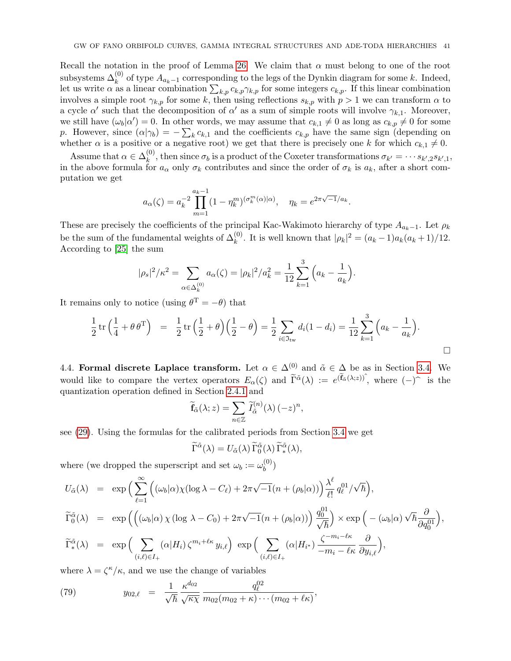Recall the notation in the proof of Lemma [26.](#page-37-3) We claim that  $\alpha$  must belong to one of the root subsystems  $\Delta_k^{(0)}$  of type  $A_{a_k-1}$  corresponding to the legs of the Dynkin diagram for some k. Indeed, let us write  $\alpha$  as a linear combination  $\sum_{k,p} c_{k,p} \gamma_{k,p}$  for some integers  $c_{k,p}$ . If this linear combination involves a simple root  $\gamma_{k,p}$  for some k, then using reflections  $s_{k,p}$  with  $p > 1$  we can transform  $\alpha$  to a cycle  $\alpha'$  such that the decomposition of  $\alpha'$  as a sum of simple roots will involve  $\gamma_{k,1}$ . Moreover, we still have  $(\omega_b|\alpha')=0$ . In other words, we may assume that  $c_{k,1}\neq 0$  as long as  $c_{k,p}\neq 0$  for some p. However, since  $(\alpha|\gamma_b) = -\sum_k c_{k,1}$  and the coefficients  $c_{k,p}$  have the same sign (depending on whether  $\alpha$  is a positive or a negative root) we get that there is precisely one k for which  $c_{k,1} \neq 0$ .

Assume that  $\alpha \in \Delta_k^{(0)}$ <sup>(v)</sup>, then since  $\sigma_b$  is a product of the Coxeter transformations  $\sigma_{k'} = \cdots s_{k',2} s_{k',1}$ , in the above formula for  $a_{\alpha}$  only  $\sigma_k$  contributes and since the order of  $\sigma_k$  is  $a_k$ , after a short computation we get

.

$$
a_{\alpha}(\zeta) = a_k^{-2} \prod_{m=1}^{a_k - 1} (1 - \eta_k^m)^{(\sigma_k^m(\alpha)|\alpha)}, \quad \eta_k = e^{2\pi \sqrt{-1}/a_k}
$$

These are precisely the coefficients of the principal Kac-Wakimoto hierarchy of type  $A_{a_k-1}$ . Let  $\rho_k$ be the sum of the fundamental weights of  $\Delta_k^{(0)}$ . It is well known that  $|\rho_k|^2 = (a_k - 1)a_k(a_k + 1)/12$ . According to [\[25\]](#page-60-14) the sum

$$
|\rho_s|^2/\kappa^2 = \sum_{\alpha \in \Delta_k^{(0)}} a_\alpha(\zeta) = |\rho_k|^2/a_k^2 = \frac{1}{12} \sum_{k=1}^3 \left( a_k - \frac{1}{a_k} \right).
$$

It remains only to notice (using  $\theta^{\mathrm{T}} = -\theta$ ) that

$$
\frac{1}{2} \operatorname{tr} \left( \frac{1}{4} + \theta \, \theta^{\mathrm{T}} \right) = \frac{1}{2} \operatorname{tr} \left( \frac{1}{2} + \theta \right) \left( \frac{1}{2} - \theta \right) = \frac{1}{2} \sum_{i \in \mathfrak{I}_{\text{tw}}} d_i (1 - d_i) = \frac{1}{12} \sum_{k=1}^{3} \left( a_k - \frac{1}{a_k} \right).
$$

<span id="page-40-0"></span>4.4. Formal discrete Laplace transform. Let  $\alpha \in \Delta^{(0)}$  and  $\tilde{\alpha} \in \Delta$  be as in Section [3.4.](#page-30-0) We would like to compare the vertex operators  $E_{\alpha}(\zeta)$  and  $\tilde{\Gamma}^{\tilde{\alpha}}(\lambda) := e^{(\tilde{f}_{\tilde{\alpha}}(\lambda; z))^{\tilde{\alpha}}}$ , where  $(-)^{\tilde{\alpha}}$  is the quantization operation defined in Section [2.4.1](#page-13-3) and

$$
\widetilde{\mathbf{f}}_{\tilde{\alpha}}(\lambda; z) = \sum_{n \in \mathbb{Z}} \widetilde{I}_{\tilde{\alpha}}^{(n)}(\lambda) (-z)^n,
$$

see [\(29\)](#page-12-6). Using the formulas for the calibrated periods from Section [3.4](#page-30-0) we get

$$
\widetilde{\Gamma}^{\tilde{\alpha}}(\lambda) = U_{\tilde{\alpha}}(\lambda) \widetilde{\Gamma}_0^{\tilde{\alpha}}(\lambda) \widetilde{\Gamma}_*^{\tilde{\alpha}}(\lambda),
$$

where (we dropped the superscript and set  $\omega_b := \omega_b^{(0)}$  $\binom{v}{b}$ 

$$
U_{\tilde{\alpha}}(\lambda) = \exp\Big(\sum_{\ell=1}^{\infty} \Big((\omega_b|\alpha)\chi(\log\lambda - C_{\ell}) + 2\pi\sqrt{-1}(n + (\rho_b|\alpha))\Big) \frac{\lambda^{\ell}}{\ell!} q_{\ell}^{01}/\sqrt{\hbar}\Big),
$$
  

$$
\widetilde{\Gamma}_0^{\tilde{\alpha}}(\lambda) = \exp\Big(\Big((\omega_b|\alpha)\chi(\log\lambda - C_0) + 2\pi\sqrt{-1}(n + (\rho_b|\alpha))\Big) \frac{q_0^{01}}{\sqrt{\hbar}}\Big) \times \exp\Big(-(\omega_b|\alpha)\sqrt{\hbar} \frac{\partial}{\partial q_0^{01}}\Big),
$$
  

$$
\widetilde{\Gamma}_*^{\tilde{\alpha}}(\lambda) = \exp\Big(\sum_{(i,\ell)\in I_+} (\alpha|H_i) \zeta^{m_i+\ell\kappa} y_{i,\ell}\Big) \exp\Big(\sum_{(i,\ell)\in I_+} (\alpha|H_{i^*}) \frac{\zeta^{-m_i-\ell\kappa}}{-m_i-\ell\kappa} \frac{\partial}{\partial y_{i,\ell}}\Big),
$$

where  $\lambda = \zeta^{\kappa}/\kappa$ , and we use the change of variables

<span id="page-40-1"></span>(79) 
$$
y_{02,\ell} = \frac{1}{\sqrt{\hbar}} \frac{\kappa^{d_{02}}}{\sqrt{\kappa \chi}} \frac{q_{\ell}^{02}}{m_{02}(m_{02} + \kappa) \cdots (m_{02} + \ell \kappa)},
$$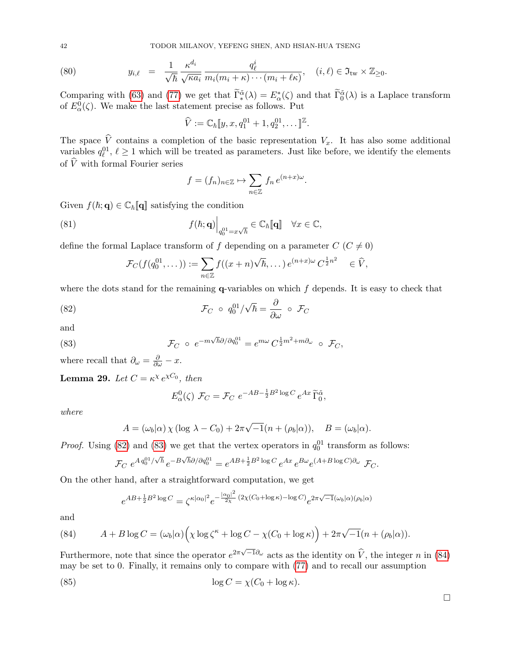42 TODOR MILANOV, YEFENG SHEN, AND HSIAN-HUA TSENG

(80) 
$$
y_{i,\ell} = \frac{1}{\sqrt{\hbar}} \frac{\kappa^{d_i}}{\sqrt{\kappa a_i}} \frac{q_{\ell}^i}{m_i(m_i + \kappa) \cdots (m_i + \ell \kappa)}, \quad (i,\ell) \in \mathfrak{I}_{\text{tw}} \times \mathbb{Z}_{\geq 0}.
$$

Comparing with [\(63\)](#page-35-0) and [\(77\)](#page-38-0) we get that  $\tilde{\Gamma}_{*}^{\tilde{\alpha}}(\lambda) = E_{\alpha}^{*}(\zeta)$  and that  $\tilde{\Gamma}_{0}^{\tilde{\alpha}}(\lambda)$  is a Laplace transform of  $E^0_\alpha(\zeta)$ . We make the last statement precise as follows. Put

$$
\widehat{V} := \mathbb{C}_{\hbar} [y, x, q_1^{01} + 1, q_2^{01}, \dots]^{Z}.
$$

The space V contains a completion of the basic representation  $V_x$ . It has also some additional variables  $q_{\ell}^{01}$ ,  $\ell \geq 1$  which will be treated as parameters. Just like before, we identify the elements of  $\widehat{V}$  with formal Fourier series

$$
f = (f_n)_{n \in \mathbb{Z}} \mapsto \sum_{n \in \mathbb{Z}} f_n e^{(n+x)\omega}.
$$

Given  $f(\hbar; \mathbf{q}) \in \mathbb{C}_{\hbar}[\![\mathbf{q}]\!]$  satisfying the condition

(81) 
$$
f(\hbar; \mathbf{q})\Big|_{q_0^{01}=x\sqrt{\hbar}} \in \mathbb{C}_{\hbar}[\![\mathbf{q}]\!] \quad \forall x \in \mathbb{C},
$$

define the formal Laplace transform of f depending on a parameter  $C$  ( $C \neq 0$ )

<span id="page-41-0"></span>
$$
\mathcal{F}_C(f(q_0^{01},\dots)) := \sum_{n\in\mathbb{Z}} f((x+n)\sqrt{\hbar},\dots) e^{(n+x)\omega} C^{\frac{1}{2}n^2} \in \widehat{V},
$$

where the dots stand for the remaining  $q$ -variables on which  $f$  depends. It is easy to check that

(82) 
$$
\mathcal{F}_C \circ q_0^{01}/\sqrt{\hbar} = \frac{\partial}{\partial \omega} \circ \mathcal{F}_C
$$

and

(83) 
$$
\mathcal{F}_C \circ e^{-m\sqrt{\hbar}\partial/\partial q_0^{01}} = e^{m\omega} C^{\frac{1}{2}m^2 + m\partial_\omega} \circ \mathcal{F}_C,
$$

where recall that  $\partial_{\omega} = \frac{\partial}{\partial \omega} - x$ .

<span id="page-41-3"></span>**Lemma 29.** Let  $C = \kappa^{\chi} e^{\chi C_0}$ , then

<span id="page-41-1"></span>
$$
E_{\alpha}^{0}(\zeta) \mathcal{F}_{C} = \mathcal{F}_{C} e^{-AB - \frac{1}{2}B^{2} \log C} e^{Ax} \widetilde{\Gamma}_{0}^{\tilde{\alpha}},
$$

where

$$
A = (\omega_b|\alpha) \chi (\log \lambda - C_0) + 2\pi \sqrt{-1}(n + (\rho_b|\alpha)), \quad B = (\omega_b|\alpha).
$$

*Proof.* Using [\(82\)](#page-41-0) and [\(83\)](#page-41-1) we get that the vertex operators in  $q_0^{01}$  transform as follows:

$$
\mathcal{F}_C \ e^{A \, q_0^{01}/\sqrt{\hbar}} \, e^{-B\sqrt{\hbar}\partial/\partial q_0^{01}} = e^{AB + \frac{1}{2}B^2 \log C} \, e^{Ax} \, e^{B\omega} e^{(A+B\log C)\partial_\omega} \, \mathcal{F}_C.
$$

On the other hand, after a straightforward computation, we get

$$
e^{AB+\frac{1}{2}B^2\log C} = \zeta^{\kappa|\alpha_0|^2} e^{-\frac{|\alpha_0|^2}{2\chi}(2\chi(C_0+\log\kappa)-\log C)} e^{2\pi\sqrt{-1}(\omega_b|\alpha)(\rho_b|\alpha)}
$$

and

<span id="page-41-2"></span>(84) 
$$
A + B \log C = (\omega_b | \alpha) \Big( \chi \log \zeta^{\kappa} + \log C - \chi (C_0 + \log \kappa) \Big) + 2\pi \sqrt{-1} (n + (\rho_b | \alpha)).
$$

Furthermore, note that since the operator  $e^{2\pi\sqrt{-1}\partial_\omega}$  acts as the identity on  $\hat{V}$ , the integer n in [\(84\)](#page-41-2) may be set to 0. Finally, it remains only to compare with [\(77\)](#page-38-0) and to recall our assumption

(85) 
$$
\log C = \chi(C_0 + \log \kappa).
$$

 $\Box$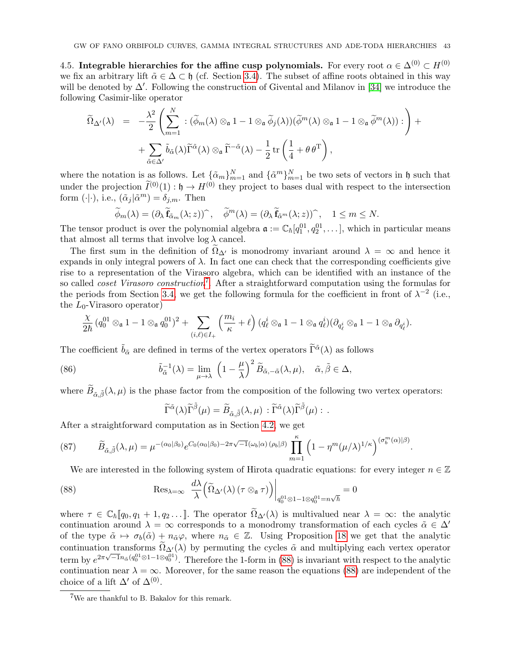<span id="page-42-0"></span>4.5. Integrable hierarchies for the affine cusp polynomials. For every root  $\alpha \in \Delta^{(0)} \subset H^{(0)}$ we fix an arbitrary lift  $\tilde{\alpha} \in \Delta \subset \mathfrak{h}$  (cf. Section [3.4\)](#page-30-0). The subset of affine roots obtained in this way will be denoted by  $\Delta'$ . Following the construction of Givental and Milanov in [\[34\]](#page-60-5) we introduce the following Casimir-like operator

$$
\widetilde{\Omega}_{\Delta}(\lambda) = -\frac{\lambda^2}{2} \left( \sum_{m=1}^N \, : \, (\widetilde{\phi}_m(\lambda) \otimes_{\mathfrak{a}} 1 - 1 \otimes_{\mathfrak{a}} \widetilde{\phi}_j(\lambda)) (\widetilde{\phi}^m(\lambda) \otimes_{\mathfrak{a}} 1 - 1 \otimes_{\mathfrak{a}} \widetilde{\phi}^m(\lambda)) : \right) + \n+ \sum_{\tilde{\alpha} \in \Delta'} \tilde{b}_{\tilde{\alpha}}(\lambda) \widetilde{\Gamma}^{\tilde{\alpha}}(\lambda) \otimes_{\mathfrak{a}} \widetilde{\Gamma}^{-\tilde{\alpha}}(\lambda) - \frac{1}{2} \operatorname{tr} \left( \frac{1}{4} + \theta \, \theta^{\mathrm{T}} \right),
$$

where the notation is as follows. Let  $\{\tilde{\alpha}_m\}_{m=1}^N$  and  $\{\tilde{\alpha}^m\}_{m=1}^N$  be two sets of vectors in h such that under the projection  $\tilde{I}^{(0)}(1) : \mathfrak{h} \to H^{(0)}$  they project to bases dual with respect to the intersection form  $(\cdot | \cdot)$ , i.e.,  $(\tilde{\alpha}_j | \tilde{\alpha}^m) = \delta_{j,m}$ . Then

$$
\widetilde{\phi}_m(\lambda) = (\partial_\lambda \widetilde{\mathbf{f}}_{\tilde{\alpha}_m}(\lambda; z))^\frown, \quad \widetilde{\phi}^m(\lambda) = (\partial_\lambda \widetilde{\mathbf{f}}_{\tilde{\alpha}^m}(\lambda; z))^\frown, \quad 1 \le m \le N.
$$

The tensor product is over the polynomial algebra  $\mathfrak{a} := \mathbb{C}_{\hbar}[q_1^{01}, q_2^{01}, \dots]$ , which in particular means that almost all terms that involve  $\log \lambda$  cancel.

The first sum in the definition of  $\Omega_{\Delta'}$  is monodromy invariant around  $\lambda = \infty$  and hence it expands in only integral powers of  $\lambda$ . In fact one can check that the corresponding coefficients give rise to a representation of the Virasoro algebra, which can be identified with an instance of the so called *coset Virasoro construction*<sup>[7](#page-42-2)</sup>. After a straightforward computation using the formulas for the periods from Section [3.4,](#page-30-0) we get the following formula for the coefficient in front of  $\lambda^{-2}$  (i.e., the  $L_0$ -Virasoro operator)

$$
\frac{\chi}{2\hbar}\,(q_0^{01}\otimes_{\mathfrak{a}}1-1\otimes_{\mathfrak{a}}q_0^{01})^2+\sum_{(i,\ell)\in I_+} \left(\frac{m_i}{\kappa}+\ell\right)(q_\ell^i\otimes_{\mathfrak{a}}1-1\otimes_{\mathfrak{a}}q_\ell^i)(\partial_{q_\ell^i}\otimes_{\mathfrak{a}}1-1\otimes_{\mathfrak{a}}\partial_{q_\ell^i}).
$$

The coefficient  $\tilde{b}_{\tilde{\alpha}}$  are defined in terms of the vertex operators  $\tilde{\Gamma}^{\tilde{\alpha}}(\lambda)$  as follows

(86) 
$$
\tilde{b}_{\tilde{\alpha}}^{-1}(\lambda) = \lim_{\mu \to \lambda} \left(1 - \frac{\mu}{\lambda}\right)^2 \tilde{B}_{\tilde{\alpha}, -\tilde{\alpha}}(\lambda, \mu), \quad \tilde{\alpha}, \tilde{\beta} \in \Delta,
$$

where  $B_{\tilde{\alpha},\tilde{\beta}}(\lambda,\mu)$  is the phase factor from the composition of the following two vertex operators:

<span id="page-42-3"></span><span id="page-42-1"></span>
$$
\widetilde{\Gamma}^{\tilde{\alpha}}(\lambda)\widetilde{\Gamma}^{\tilde{\beta}}(\mu) = \widetilde{B}_{\tilde{\alpha},\tilde{\beta}}(\lambda,\mu) : \widetilde{\Gamma}^{\tilde{\alpha}}(\lambda)\widetilde{\Gamma}^{\tilde{\beta}}(\mu) : .
$$

After a straightforward computation as in Section [4.2,](#page-34-0) we get

<span id="page-42-4"></span>(87) 
$$
\widetilde{B}_{\tilde{\alpha},\tilde{\beta}}(\lambda,\mu) = \mu^{-(\alpha_0|\beta_0)} e^{C_0(\alpha_0|\beta_0) - 2\pi\sqrt{-1}(\omega_b|\alpha)} \prod_{m=1}^{\kappa} \left(1 - \eta^m(\mu/\lambda)^{1/\kappa}\right)^{(\sigma_b^m(\alpha)|\beta)}.
$$

We are interested in the following system of Hirota quadratic equations: for every integer  $n \in \mathbb{Z}$ 

(88) 
$$
\operatorname{Res}_{\lambda=\infty} \left. \frac{d\lambda}{\lambda} \left( \widetilde{\Omega}_{\Delta}(\lambda) \left( \tau \otimes_{\mathfrak{a}} \tau \right) \right) \right|_{q_0^{01} \otimes 1 - 1 \otimes q_0^{01} = n\sqrt{\hbar}} = 0
$$

where  $\tau \in \mathbb{C}_{\hbar}[[q_0, q_1 + 1, q_2 \dots]]$ . The operator  $\widetilde{\Omega}_{\Delta}(\lambda)$  is multivalued near  $\lambda = \infty$ : the analytic continuation around  $\lambda = \infty$  corresponds to a monodromy transformation of each cycles  $\tilde{\alpha} \in \Delta'$ of the type  $\tilde{\alpha} \mapsto \sigma_b(\tilde{\alpha}) + n_{\tilde{\alpha}}\varphi$ , where  $n_{\tilde{\alpha}} \in \mathbb{Z}$ . Using Proposition [18](#page-27-2) we get that the analytic continuation transforms  $\widetilde{\Omega}_{\Delta'}(\lambda)$  by permuting the cycles  $\tilde{\alpha}$  and multiplying each vertex operator term by  $e^{2\pi\sqrt{-1}n_{\tilde{\alpha}}(q_0^{01}\otimes 1-1\otimes q_0^{01})}$ . Therefore the 1-form in [\(88\)](#page-42-1) is invariant with respect to the analytic continuation near  $\lambda = \infty$ . Moreover, for the same reason the equations [\(88\)](#page-42-1) are independent of the choice of a lift  $\Delta'$  of  $\Delta^{(0)}$ .

<span id="page-42-2"></span><sup>7</sup>We are thankful to B. Bakalov for this remark.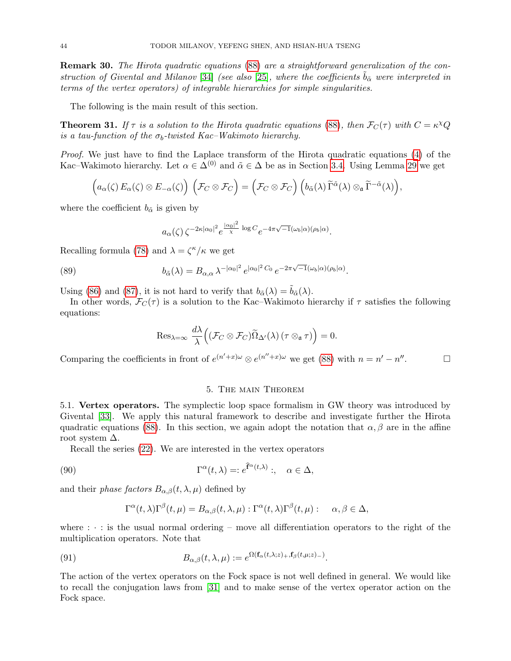Remark 30. The Hirota quadratic equations [\(88\)](#page-42-1) are a straightforward generalization of the con-struction of Givental and Milanov [\[34\]](#page-60-5) (see also [\[25\]](#page-60-14), where the coefficients  $\bar{b}_{\tilde{\alpha}}$  were interpreted in terms of the vertex operators) of integrable hierarchies for simple singularities.

The following is the main result of this section.

<span id="page-43-2"></span>**Theorem 31.** If  $\tau$  is a solution to the Hirota quadratic equations [\(88\)](#page-42-1), then  $\mathcal{F}_C(\tau)$  with  $C = \kappa^{\chi} Q$ is a tau-function of the  $\sigma_b$ -twisted Kac–Wakimoto hierarchy.

Proof. We just have to find the Laplace transform of the Hirota quadratic equations [\(4\)](#page-4-1) of the Kac–Wakimoto hierarchy. Let  $\alpha \in \Delta^{(0)}$  and  $\tilde{\alpha} \in \Delta$  be as in Section [3.4.](#page-30-0) Using Lemma [29](#page-41-3) we get

$$
\left(a_{\alpha}(\zeta) E_{\alpha}(\zeta) \otimes E_{-\alpha}(\zeta)\right) \left(\mathcal{F}_{C} \otimes \mathcal{F}_{C}\right) = \left(\mathcal{F}_{C} \otimes \mathcal{F}_{C}\right) \left(b_{\tilde{\alpha}}(\lambda) \widetilde{\Gamma}^{\tilde{\alpha}}(\lambda) \otimes_{\mathfrak{a}} \widetilde{\Gamma}^{-\tilde{\alpha}}(\lambda)\right),
$$

where the coefficient  $b_{\tilde{\alpha}}$  is given by

$$
a_{\alpha}(\zeta) \zeta^{-2\kappa|\alpha_0|^2} e^{\frac{|\alpha_0|^2}{\chi} \log C} e^{-4\pi \sqrt{-1}(\omega_b|\alpha)(\rho_b|\alpha)}
$$
.

Recalling formula [\(78\)](#page-39-1) and  $\lambda = \zeta^{\kappa}/\kappa$  we get

(89) 
$$
b_{\tilde{\alpha}}(\lambda) = B_{\alpha,\alpha} \lambda^{-|\alpha_0|^2} e^{|\alpha_0|^2 C_0} e^{-2\pi \sqrt{-1}(\omega_b|\alpha)(\rho_b|\alpha)}.
$$

Using [\(86\)](#page-42-3) and [\(87\)](#page-42-4), it is not hard to verify that  $b_{\tilde{\alpha}}(\lambda) = \tilde{b}_{\tilde{\alpha}}(\lambda)$ .

In other words,  $\mathcal{F}_C(\tau)$  is a solution to the Kac–Wakimoto hierarchy if  $\tau$  satisfies the following equations:

$$
\mathrm{Res}_{\lambda=\infty} \frac{d\lambda}{\lambda} \Big( (\mathcal{F}_C \otimes \mathcal{F}_C) \widetilde{\Omega}_{\Delta'}(\lambda) \, (\tau \otimes_{\mathfrak{a}} \tau) \Big) = 0.
$$

Comparing the coefficients in front of  $e^{(n'+x)\omega} \otimes e^{(n''+x)\omega}$  we get [\(88\)](#page-42-1) with  $n = n' - n''$  $\Box$ 

#### 5. The main Theorem

<span id="page-43-1"></span><span id="page-43-0"></span>5.1. Vertex operators. The symplectic loop space formalism in GW theory was introduced by Givental [\[33\]](#page-60-11). We apply this natural framework to describe and investigate further the Hirota quadratic equations [\(88\)](#page-42-1). In this section, we again adopt the notation that  $\alpha, \beta$  are in the affine root system  $\Delta$ .

Recall the series [\(22\)](#page-11-0). We are interested in the vertex operators

(90) 
$$
\Gamma^{\alpha}(t,\lambda) =: e^{\hat{\mathbf{f}}^{\alpha}(t,\lambda)}:,\quad \alpha \in \Delta,
$$

and their *phase factors*  $B_{\alpha,\beta}(t,\lambda,\mu)$  defined by

<span id="page-43-3"></span>
$$
\Gamma^{\alpha}(t,\lambda)\Gamma^{\beta}(t,\mu) = B_{\alpha,\beta}(t,\lambda,\mu) : \Gamma^{\alpha}(t,\lambda)\Gamma^{\beta}(t,\mu) : \alpha, \beta \in \Delta,
$$

where  $\cdots$ : is the usual normal ordering – move all differentiation operators to the right of the multiplication operators. Note that

(91) 
$$
B_{\alpha,\beta}(t,\lambda,\mu) := e^{\Omega(\mathbf{f}_{\alpha}(t,\lambda;z)_{+},\mathbf{f}_{\beta}(t,\mu;z)_{-})}.
$$

The action of the vertex operators on the Fock space is not well defined in general. We would like to recall the conjugation laws from [\[31\]](#page-60-4) and to make sense of the vertex operator action on the Fock space.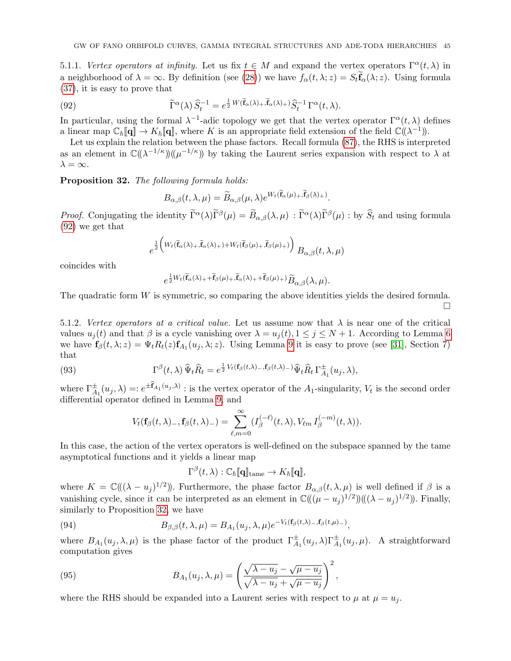5.1.1. Vertex operators at infinity. Let us fix  $t \in M$  and expand the vertex operators  $\Gamma^{\alpha}(t, \lambda)$  in a neighborhood of  $\lambda = \infty$ . By definition (see [\(28\)](#page-12-4)) we have  $f_{\alpha}(t, \lambda; z) = S_t \mathbf{f}_{\alpha}(\lambda; z)$ . Using formula [\(37\)](#page-16-2), it is easy to prove that

(92) 
$$
\widetilde{\Gamma}^{\alpha}(\lambda) \widehat{S}_t^{-1} = e^{\frac{1}{2}W(\widetilde{\mathbf{f}}_{\alpha}(\lambda)_{+}, \widetilde{\mathbf{f}}_{\alpha}(\lambda)_{+})} \widehat{S}_t^{-1} \Gamma^{\alpha}(t, \lambda).
$$

In particular, using the formal  $\lambda^{-1}$ -adic topology we get that the vertex operator  $\Gamma^{\alpha}(t,\lambda)$  defines a linear map  $\mathbb{C}_{\hbar}[\![\mathbf{q}]\!] \to K_{\hbar}[\![\mathbf{q}]\!]$ , where K is an appropriate field extension of the field  $\mathbb{C}((\lambda^{-1}))$ .

Let us explain the relation between the phase factors. Recall formula [\(87\)](#page-42-4), the RHS is interpreted as an element in  $\mathbb{C}((\lambda^{-1/\kappa})\mathbb{I}(\mu^{-1/\kappa}))$  by taking the Laurent series expansion with respect to  $\lambda$  at  $\lambda = \infty$ .

<span id="page-44-1"></span>Proposition 32. The following formula holds:

e

<span id="page-44-0"></span>
$$
B_{\alpha,\beta}(t,\lambda,\mu)=\widetilde{B}_{\alpha,\beta}(\mu,\lambda)e^{W_t(\mathbf{f}_{\alpha}(\mu)+,\mathbf{f}_{\beta}(\lambda)+)}.
$$

*Proof.* Conjugating the identity  $\tilde{\Gamma}^{\alpha}(\lambda)\tilde{\Gamma}^{\beta}(\mu) = \tilde{B}_{\alpha,\beta}(\lambda,\mu) : \tilde{\Gamma}^{\alpha}(\lambda)\tilde{\Gamma}^{\beta}(\mu) :$  by  $\hat{S}_t$  and using formula [\(92\)](#page-44-0) we get that

$$
\tfrac{1}{2}\Big( W_t(\widetilde{\mathbf{f}}_\alpha(\lambda)_+, \widetilde{\mathbf{f}}_\alpha(\lambda)_+) + W_t(\widetilde{\mathbf{f}}_\beta(\mu)_+, \widetilde{\mathbf{f}}_\beta(\mu)_+) \Big) \; B_{\alpha, \beta}\big(t, \lambda, \mu \big)
$$

coincides with

$$
e^{\frac{1}{2}W_t(\widetilde{\mathbf{f}}_{\alpha}(\lambda)_{+}+\widetilde{\mathbf{f}}_{\beta}(\mu)_{+},\widetilde{\mathbf{f}}_{\alpha}(\lambda)_{+}+\widetilde{\mathbf{f}}_{\beta}(\mu)_{+})}\widetilde{B}_{\alpha,\beta}(\lambda,\mu).
$$

The quadratic form W is symmetric, so comparing the above identities yields the desired formula.  $\Box$ 

<span id="page-44-4"></span>5.1.2. Vertex operators at a critical value. Let us assume now that  $\lambda$  is near one of the critical values  $u_i(t)$  and that  $\beta$  is a cycle vanishing over  $\lambda = u_i(t)$ ,  $1 \leq j \leq N+1$ . According to Lemma [6](#page-11-1) we have  $\mathbf{f}_{\beta}(t,\lambda;z) = \Psi_t R_t(z) \mathbf{f}_{A_1}(u_j,\lambda;z)$ . Using Lemma [9](#page-15-0) it is easy to prove (see [\[31\]](#page-60-4), Section 7) that

(93) 
$$
\Gamma^{\beta}(t,\lambda) \,\widehat{\Psi}_t \widehat{R}_t = e^{\frac{1}{2} V_t(\mathbf{f}_{\beta}(t,\lambda) - \mathbf{f}_{\beta}(t,\lambda) - \widehat{\Psi}_t \widehat{R}_t \Gamma^{\pm}_{A_1}(u_j,\lambda),
$$

where  $\Gamma_{A_1}^{\pm}(u_j,\lambda) = e^{\pm \mathbf{f}_{A_1}(u_j,\lambda)}$ : is the vertex operator of the  $A_1$ -singularity,  $V_t$  is the second order differential operator defined in Lemma [9,](#page-15-0) and

<span id="page-44-2"></span>
$$
V_t(\mathbf{f}_{\beta}(t,\lambda)_{-},\mathbf{f}_{\beta}(t,\lambda)_{-})=\sum_{\ell,m=0}^{\infty}(I_{\beta}^{(-\ell)}(t,\lambda),V_{\ell m}I_{\beta}^{(-m)}(t,\lambda)).
$$

In this case, the action of the vertex operators is well-defined on the subspace spanned by the tame asymptotical functions and it yields a linear map

<span id="page-44-3"></span>
$$
\Gamma^{\beta}(t,\lambda): \mathbb{C}_{\hbar}[\![\mathbf{q}]\!]_{\text{tame}} \to K_{\hbar}[\![\mathbf{q}]\!],
$$

where  $K = \mathbb{C}((\lambda - u_j)^{1/2})$ . Furthermore, the phase factor  $B_{\alpha,\beta}(t,\lambda,\mu)$  is well defined if  $\beta$  is a vanishing cycle, since it can be interpreted as an element in  $\mathbb{C}((\mu - u_j)^{1/2})((\lambda - u_j)^{1/2})$ . Finally, similarly to Proposition [32,](#page-44-1) we have

(94) 
$$
B_{\beta,\beta}(t,\lambda,\mu) = B_{A_1}(u_j,\lambda,\mu)e^{-V_t(\mathbf{f}_{\beta}(t,\lambda)-,\mathbf{f}_{\beta}(t,\mu)-)},
$$

where  $B_{A_1}(u_j, \lambda, \mu)$  is the phase factor of the product  $\Gamma_{A_1}^{\pm}(u_j, \lambda)\Gamma_{A_1}^{\pm}(u_j, \mu)$ . A straightforward computation gives

(95) 
$$
B_{A_1}(u_j, \lambda, \mu) = \left(\frac{\sqrt{\lambda - u_j} - \sqrt{\mu - u_j}}{\sqrt{\lambda - u_j} + \sqrt{\mu - u_j}}\right)^2,
$$

where the RHS should be expanded into a Laurent series with respect to  $\mu$  at  $\mu = u_i$ .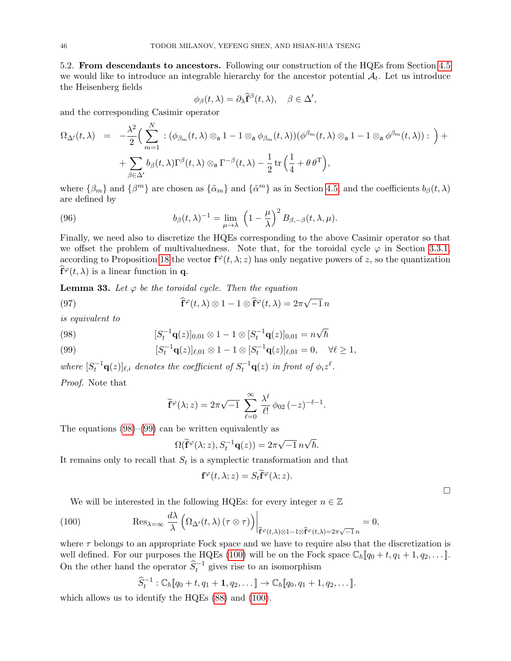<span id="page-45-0"></span>5.2. From descendants to ancestors. Following our construction of the HQEs from Section [4.5](#page-42-0) we would like to introduce an integrable hierarchy for the ancestor potential  $A_t$ . Let us introduce the Heisenberg fields

$$
\phi_{\beta}(t,\lambda) = \partial_{\lambda}\widehat{\mathbf{f}}^{\beta}(t,\lambda), \quad \beta \in \Delta'
$$

,

and the corresponding Casimir operator

$$
\Omega_{\Delta'}(t,\lambda) = -\frac{\lambda^2}{2} \Big( \sum_{m=1}^N :(\phi_{\beta_m}(t,\lambda)) \otimes_{\mathfrak{a}} 1 - 1 \otimes_{\mathfrak{a}} \phi_{\beta_m}(t,\lambda))(\phi^{\beta_m}(t,\lambda)) \otimes_{\mathfrak{a}} 1 - 1 \otimes_{\mathfrak{a}} \phi^{\beta_m}(t,\lambda)) : \Big) + + \sum_{\beta \in \Delta'} b_{\beta}(t,\lambda) \Gamma^{\beta}(t,\lambda) \otimes_{\mathfrak{a}} \Gamma^{-\beta}(t,\lambda) - \frac{1}{2} \operatorname{tr} \Big( \frac{1}{4} + \theta \, \theta^{\mathrm{T}} \Big),
$$

where  $\{\beta_m\}$  and  $\{\beta^m\}$  are chosen as  $\{\tilde{\alpha}_m\}$  and  $\{\tilde{\alpha}^m\}$  as in Section [4.5,](#page-42-0) and the coefficients  $b_\beta(t,\lambda)$ are defined by

(96) 
$$
b_{\beta}(t,\lambda)^{-1} = \lim_{\mu \to \lambda} \left(1 - \frac{\mu}{\lambda}\right)^2 B_{\beta,-\beta}(t,\lambda,\mu).
$$

Finally, we need also to discretize the HQEs corresponding to the above Casimir operator so that we offset the problem of multivaluedness. Note that, for the toroidal cycle  $\varphi$  in Section [3.3.1,](#page-27-3) according to Proposition [18](#page-27-2) the vector  $f^{\varphi}(t, \lambda; z)$  has only negative powers of z, so the quantization  $\widehat{\mathbf{f}}^{\varphi}(t,\lambda)$  is a linear function in **q**.

<span id="page-45-4"></span>**Lemma 33.** Let  $\varphi$  be the toroidal cycle. Then the equation

(97) 
$$
\widehat{\mathbf{f}}^{\varphi}(t,\lambda) \otimes 1 - 1 \otimes \widehat{\mathbf{f}}^{\varphi}(t,\lambda) = 2\pi\sqrt{-1} n
$$

is equivalent to

<span id="page-45-2"></span>(98) 
$$
[S_t^{-1}\mathbf{q}(z)]_{0,01} \otimes 1 - 1 \otimes [S_t^{-1}\mathbf{q}(z)]_{0,01} = n\sqrt{\hbar}
$$

<span id="page-45-3"></span>(99) 
$$
[S_t^{-1}\mathbf{q}(z)]_{\ell,01} \otimes 1 - 1 \otimes [S_t^{-1}\mathbf{q}(z)]_{\ell,01} = 0, \quad \forall \ell \ge 1,
$$

where  $[S_t^{-1}\mathbf{q}(z)]_{\ell,i}$  denotes the coefficient of  $S_t^{-1}\mathbf{q}(z)$  in front of  $\phi_i z^{\ell}$ .

Proof. Note that

<span id="page-45-5"></span>
$$
\widetilde{\mathbf{f}}^{\varphi}(\lambda; z) = 2\pi \sqrt{-1} \sum_{\ell=0}^{\infty} \frac{\lambda^{\ell}}{\ell!} \phi_{02}(-z)^{-\ell-1}.
$$

The equations [\(98\)](#page-45-2)–[\(99\)](#page-45-3) can be written equivalently as

$$
\Omega(\widetilde{\mathbf{f}}^{\varphi}(\lambda;z),S_t^{-1}\mathbf{q}(z))=2\pi\sqrt{-1}\,n\sqrt{\hbar}.
$$

It remains only to recall that  $S_t$  is a symplectic transformation and that

$$
\mathbf{f}^{\varphi}(t,\lambda;z)=S_t\widetilde{\mathbf{f}}^{\varphi}(\lambda;z).
$$

 $\Box$ 

<span id="page-45-1"></span>We will be interested in the following HQEs: for every integer  $n \in \mathbb{Z}$ 

(100) 
$$
\operatorname{Res}_{\lambda=\infty} \frac{d\lambda}{\lambda} \left( \Omega_{\Delta'}(t,\lambda) \left( \tau \otimes \tau \right) \right) \Big|_{\widehat{\mathbf{f}}^{\varphi}(t,\lambda) \otimes 1 - 1 \otimes \widehat{\mathbf{f}}^{\varphi}(t,\lambda) = 2\pi\sqrt{-1}n} = 0,
$$

where  $\tau$  belongs to an appropriate Fock space and we have to require also that the discretization is well defined. For our purposes the HQEs [\(100\)](#page-45-1) will be on the Fock space  $\mathbb{C}_{\hbar}[\![q_0+t,q_1+1,q_2,\ldots]\!]$ . On the other hand the operator  $\hat{S}_t^{-1}$  gives rise to an isomorphism

$$
\widehat{S}_t^{-1}: \mathbb{C}_{\hbar}[\![q_0+t,q_1+1,q_2,\dots]\!]\to \mathbb{C}_{\hbar}[\![q_0,q_1+1,q_2,\dots]\!].
$$

which allows us to identify the HQEs [\(88\)](#page-42-1) and [\(100\)](#page-45-1).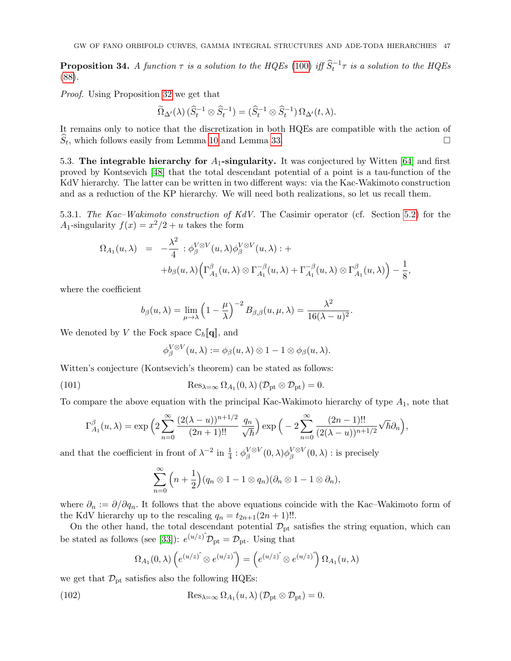<span id="page-46-1"></span>**Proposition 34.** A function  $\tau$  is a solution to the HQEs [\(100\)](#page-45-1) iff  $\hat{S}_t^{-1}\tau$  is a solution to the HQEs [\(88\)](#page-42-1).

Proof. Using Proposition [32](#page-44-1) we get that

$$
\widetilde{\Omega}_{\Delta}(\lambda) \left( \widehat{S}_t^{-1} \otimes \widehat{S}_t^{-1} \right) = \left( \widehat{S}_t^{-1} \otimes \widehat{S}_t^{-1} \right) \Omega_{\Delta'}(t, \lambda).
$$

It remains only to notice that the discretization in both HQEs are compatible with the action of  $\widehat{S}_t$ , which follows easily from Lemma [10](#page-16-3) and Lemma [33.](#page-45-4)

<span id="page-46-0"></span>5.3. The integrable hierarchy for  $A_1$ -singularity. It was conjectured by Witten [\[64\]](#page-61-0) and first proved by Kontsevich [\[48\]](#page-61-1) that the total descendant potential of a point is a tau-function of the KdV hierarchy. The latter can be written in two different ways: via the Kac-Wakimoto construction and as a reduction of the KP hierarchy. We will need both realizations, so let us recall them.

5.3.1. The Kac–Wakimoto construction of KdV. The Casimir operator (cf. Section [5.2\)](#page-45-0) for the A<sub>1</sub>-singularity  $f(x) = x^2/2 + u$  takes the form

$$
\Omega_{A_1}(u,\lambda) = -\frac{\lambda^2}{4} : \phi_{\beta}^{V \otimes V}(u,\lambda)\phi_{\beta}^{V \otimes V}(u,\lambda) : +
$$
  
+
$$
\phi_{\beta}(u,\lambda) \Big( \Gamma_{A_1}^{\beta}(u,\lambda) \otimes \Gamma_{A_1}^{-\beta}(u,\lambda) + \Gamma_{A_1}^{-\beta}(u,\lambda) \otimes \Gamma_{A_1}^{\beta}(u,\lambda) \Big) - \frac{1}{8},
$$

where the coefficient

$$
b_{\beta}(u,\lambda) = \lim_{\mu \to \lambda} \left(1 - \frac{\mu}{\lambda}\right)^{-2} B_{\beta,\beta}(u,\mu,\lambda) = \frac{\lambda^2}{16(\lambda - u)^2}
$$

.

We denoted by V the Fock space  $\mathbb{C}_{\hbar}[\![\mathbf{q}]\!],$  and

<span id="page-46-2"></span>
$$
\phi_{\beta}^{V\otimes V}(u,\lambda):=\phi_{\beta}(u,\lambda)\otimes 1-1\otimes \phi_{\beta}(u,\lambda).
$$

Witten's conjecture (Kontsevich's theorem) can be stated as follows:

(101) 
$$
\operatorname{Res}_{\lambda=\infty} \Omega_{A_1}(0,\lambda) \left( \mathcal{D}_{\text{pt}} \otimes \mathcal{D}_{\text{pt}} \right) = 0.
$$

To compare the above equation with the principal Kac-Wakimoto hierarchy of type  $A_1$ , note that

$$
\Gamma_{A_1}^{\beta}(u,\lambda) = \exp\left(2\sum_{n=0}^{\infty} \frac{(2(\lambda-u))^{n+1/2}}{(2n+1)!!} \frac{q_n}{\sqrt{\hbar}}\right) \exp\left(-2\sum_{n=0}^{\infty} \frac{(2n-1)!!}{(2(\lambda-u))^{n+1/2}} \sqrt{\hbar} \partial_n\right),
$$

and that the coefficient in front of  $\lambda^{-2}$  in  $\frac{1}{4}$  :  $\phi_{\beta}^{V \otimes V}(0,\lambda)\phi_{\beta}^{V \otimes V}(0,\lambda)$  : is precisely

$$
\sum_{n=0}^{\infty} \left( n + \frac{1}{2} \right) (q_n \otimes 1 - 1 \otimes q_n) (\partial_n \otimes 1 - 1 \otimes \partial_n),
$$

where  $\partial_n := \partial/\partial q_n$ . It follows that the above equations coincide with the Kac–Wakimoto form of the KdV hierarchy up to the rescaling  $q_n = t_{2n+1}(2n+1)!!$ .

On the other hand, the total descendant potential  $\mathcal{D}_{pt}$  satisfies the string equation, which can be stated as follows (see [\[33\]](#page-60-11)):  $e^{(u/z)} \mathcal{D}_{\text{pt}} = \mathcal{D}_{\text{pt}}$ . Using that

<span id="page-46-3"></span>
$$
\Omega_{A_1}(0,\lambda) \left( e^{(u/z)^{\hat{}}}\otimes e^{(u/z)^{\hat{}}}\right) = \left( e^{(u/z)^{\hat{}}}\otimes e^{(u/z)^{\hat{}}}\right) \Omega_{A_1}(u,\lambda)
$$

we get that  $\mathcal{D}_{\text{pt}}$  satisfies also the following HQEs:

(102) 
$$
\operatorname{Res}_{\lambda=\infty} \Omega_{A_1}(u,\lambda) \left(\mathcal{D}_{\text{pt}} \otimes \mathcal{D}_{\text{pt}}\right) = 0.
$$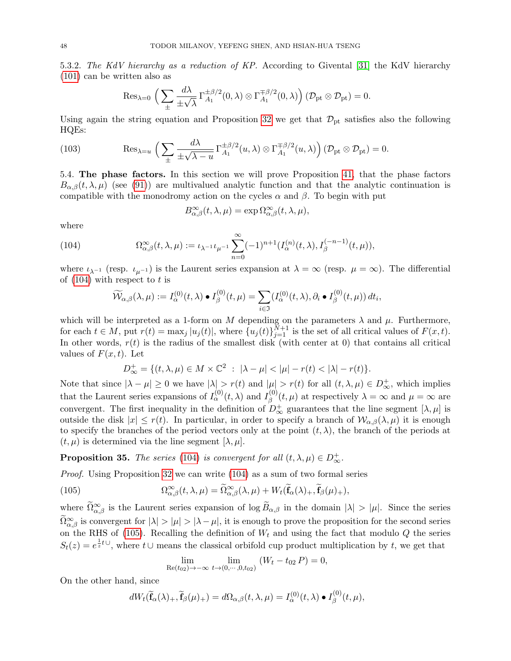5.3.2. The KdV hierarchy as a reduction of KP. According to Givental [\[31\]](#page-60-4) the KdV hierarchy [\(101\)](#page-46-2) can be written also as

<span id="page-47-4"></span>
$$
\mathrm{Res}_{\lambda=0}\,\,\Big(\sum_\pm\frac{d\lambda}{\pm\sqrt{\lambda}}\,\Gamma_{A_1}^{\pm\beta/2}(0,\lambda)\otimes\Gamma_{A_1}^{\mp\beta/2}(0,\lambda)\Big)\,(\mathcal{D}_\mathrm{pt}\otimes\mathcal{D}_\mathrm{pt})=0.
$$

Using again the string equation and Proposition [32](#page-44-1) we get that  $\mathcal{D}_{pt}$  satisfies also the following HQEs:

(103) 
$$
\operatorname{Res}_{\lambda=u}\left(\sum_{\pm}\frac{d\lambda}{\pm\sqrt{\lambda-u}}\Gamma_{A_1}^{\pm\beta/2}(u,\lambda)\otimes\Gamma_{A_1}^{\mp\beta/2}(u,\lambda)\right)(\mathcal{D}_{\mathrm{pt}}\otimes\mathcal{D}_{\mathrm{pt}})=0.
$$

<span id="page-47-0"></span>5.4. The phase factors. In this section we will prove Proposition [41,](#page-51-0) that the phase factors  $B_{\alpha,\beta}(t,\lambda,\mu)$  (see [\(91\)](#page-43-3)) are multivalued analytic function and that the analytic continuation is compatible with the monodromy action on the cycles  $\alpha$  and  $\beta$ . To begin with put

$$
B_{\alpha,\beta}^{\infty}(t,\lambda,\mu)=\exp\Omega_{\alpha,\beta}^{\infty}(t,\lambda,\mu),
$$

where

(104) 
$$
\Omega_{\alpha,\beta}^{\infty}(t,\lambda,\mu) := \iota_{\lambda^{-1}}\iota_{\mu^{-1}}\sum_{n=0}^{\infty}(-1)^{n+1}(I_{\alpha}^{(n)}(t,\lambda),I_{\beta}^{(-n-1)}(t,\mu)),
$$

where  $\iota_{\lambda^{-1}}$  (resp.  $\iota_{\mu^{-1}}$ ) is the Laurent series expansion at  $\lambda = \infty$  (resp.  $\mu = \infty$ ). The differential of  $(104)$  with respect to t is

<span id="page-47-1"></span>
$$
\widetilde{\mathcal{W}}_{\alpha,\beta}(\lambda,\mu) := I_{\alpha}^{(0)}(t,\lambda) \bullet I_{\beta}^{(0)}(t,\mu) = \sum_{i \in \mathfrak{I}} (I_{\alpha}^{(0)}(t,\lambda), \partial_i \bullet I_{\beta}^{(0)}(t,\mu)) dt_i,
$$

which will be interpreted as a 1-form on M depending on the parameters  $\lambda$  and  $\mu$ . Furthermore, for each  $t \in M$ , put  $r(t) = \max_j |u_j(t)|$ , where  $\{u_j(t)\}_{j=1}^{N+1}$  is the set of all critical values of  $F(x, t)$ . In other words,  $r(t)$  is the radius of the smallest disk (with center at 0) that contains all critical values of  $F(x, t)$ . Let

$$
D_{\infty}^{+} = \{ (t, \lambda, \mu) \in M \times \mathbb{C}^{2} : |\lambda - \mu| < |\mu| - r(t) < |\lambda| - r(t) \}.
$$

Note that since  $|\lambda - \mu| \ge 0$  we have  $|\lambda| > r(t)$  and  $|\mu| > r(t)$  for all  $(t, \lambda, \mu) \in D^+_{\infty}$ , which implies that the Laurent series expansions of  $I_{\alpha}^{(0)}(t,\lambda)$  and  $I_{\beta}^{(0)}$  $\chi_{\beta}^{(0)}(t,\mu)$  at respectively  $\lambda = \infty$  and  $\mu = \infty$  are convergent. The first inequality in the definition of  $D^{\dagger}_{\infty}$  guarantees that the line segment  $[\lambda, \mu]$  is outside the disk  $|x| \leq r(t)$ . In particular, in order to specify a branch of  $\mathcal{W}_{\alpha,\beta}(\lambda,\mu)$  it is enough to specify the branches of the period vectors only at the point  $(t, \lambda)$ , the branch of the periods at  $(t, \mu)$  is determined via the line segment  $[\lambda, \mu]$ .

<span id="page-47-3"></span>**Proposition 35.** The series [\(104\)](#page-47-1) is convergent for all  $(t, \lambda, \mu) \in D_{\infty}^+$ .

*Proof.* Using Proposition [32](#page-44-1) we can write  $(104)$  as a sum of two formal series

(105) 
$$
\Omega_{\alpha,\beta}^{\infty}(t,\lambda,\mu) = \widetilde{\Omega}_{\alpha,\beta}^{\infty}(\lambda,\mu) + W_t(\widetilde{\mathbf{f}}_{\alpha}(\lambda)_{+}, \widetilde{\mathbf{f}}_{\beta}(\mu)_{+}),
$$

where  $\Omega_{\alpha,\beta}^{\infty}$  is the Laurent series expansion of log  $B_{\alpha,\beta}$  in the domain  $|\lambda| > |\mu|$ . Since the series  $\Omega_{\alpha,\beta}^{\infty}$  is convergent for  $|\lambda| > |\mu| > |\lambda - \mu|$ , it is enough to prove the proposition for the second series on the RHS of [\(105\)](#page-47-2). Recalling the definition of  $W_t$  and using the fact that modulo Q the series  $S_t(z) = e^{\frac{1}{z}t \cup}$ , where  $t \cup$  means the classical orbifold cup product multiplication by t, we get that

<span id="page-47-2"></span>
$$
\lim_{\text{Re}(t_{02}) \to -\infty} \lim_{t \to (0, \cdots, 0, t_{02})} (W_t - t_{02} P) = 0,
$$

On the other hand, since

$$
dW_t(\widetilde{\mathbf{f}}_{\alpha}(\lambda)_+, \widetilde{\mathbf{f}}_{\beta}(\mu)_+) = d\Omega_{\alpha,\beta}(t,\lambda,\mu) = I_{\alpha}^{(0)}(t,\lambda) \bullet I_{\beta}^{(0)}(t,\mu),
$$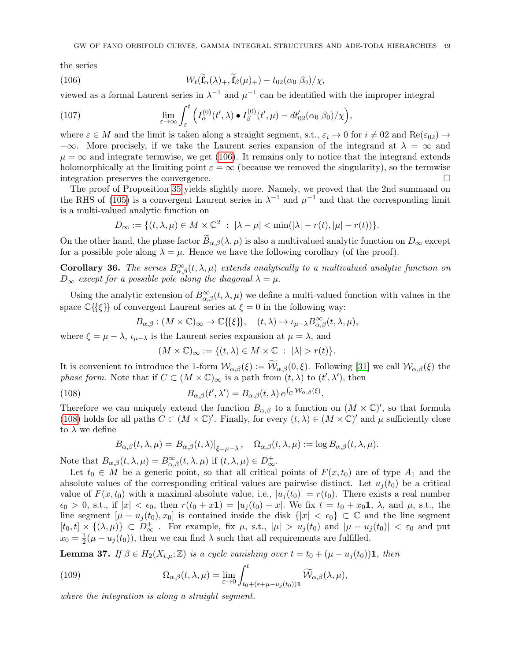the series

<span id="page-48-0"></span>(106) 
$$
W_t(\mathbf{f}_{\alpha}(\lambda)_+,\mathbf{f}_{\beta}(\mu)_+) - t_{02}(\alpha_0|\beta_0)/\chi,
$$

viewed as a formal Laurent series in  $\lambda^{-1}$  and  $\mu^{-1}$  can be identified with the improper integral

(107) 
$$
\lim_{\varepsilon \to \infty} \int_{\varepsilon}^{t} \left( I_{\alpha}^{(0)}(t', \lambda) \bullet I_{\beta}^{(0)}(t', \mu) - dt'_{02}(\alpha_0|\beta_0)/\chi \right),
$$

where  $\varepsilon \in M$  and the limit is taken along a straight segment, s.t.,  $\varepsilon_i \to 0$  for  $i \neq 0$ 2 and Re( $\varepsilon_{02}$ )  $\to$  $-\infty$ . More precisely, if we take the Laurent series expansion of the integrand at  $\lambda = \infty$  and  $\mu = \infty$  and integrate termwise, we get [\(106\)](#page-48-0). It remains only to notice that the integrand extends holomorphically at the limiting point  $\varepsilon = \infty$  (because we removed the singularity), so the termwise integration preserves the convergence. integration preserves the convergence.

The proof of Proposition [35](#page-47-3) yields slightly more. Namely, we proved that the 2nd summand on the RHS of [\(105\)](#page-47-2) is a convergent Laurent series in  $\lambda^{-1}$  and  $\mu^{-1}$  and that the corresponding limit is a multi-valued analytic function on

$$
D_{\infty} := \{ (t, \lambda, \mu) \in M \times \mathbb{C}^2 \ : \ |\lambda - \mu| < \min(|\lambda| - r(t), |\mu| - r(t)) \}.
$$

On the other hand, the phase factor  $\widetilde{B}_{\alpha,\beta}(\lambda,\mu)$  is also a multivalued analytic function on  $D_{\infty}$  except for a possible pole along  $\lambda = \mu$ . Hence we have the following corollary (of the proof).

<span id="page-48-3"></span>**Corollary 36.** The series  $B^{\infty}_{\alpha,\beta}(t,\lambda,\mu)$  extends analytically to a multivalued analytic function on  $D_{\infty}$  except for a possible pole along the diagonal  $\lambda = \mu$ .

Using the analytic extension of  $B^{\infty}_{\alpha,\beta}(t,\lambda,\mu)$  we define a multi-valued function with values in the space  $\mathbb{C}\{\{\xi\}\}\$  of convergent Laurent series at  $\xi = 0$  in the following way:

$$
B_{\alpha,\beta} : (M \times \mathbb{C})_{\infty} \to \mathbb{C}\{\{\xi\}\}, \quad (t,\lambda) \mapsto \iota_{\mu-\lambda} B_{\alpha,\beta}^{\infty}(t,\lambda,\mu),
$$

where  $\xi = \mu - \lambda$ ,  $\iota_{\mu-\lambda}$  is the Laurent series expansion at  $\mu = \lambda$ , and

<span id="page-48-1"></span>
$$
(M \times \mathbb{C})_{\infty} := \{ (t, \lambda) \in M \times \mathbb{C} \ : \ |\lambda| > r(t) \}.
$$

It is convenient to introduce the 1-form  $W_{\alpha,\beta}(\xi) := \widetilde{W}_{\alpha,\beta}(0,\xi)$ . Following [\[31\]](#page-60-4) we call  $W_{\alpha,\beta}(\xi)$  the phase form. Note that if  $C \subset (M \times \mathbb{C})_{\infty}$  is a path from  $(t, \lambda)$  to  $(t', \lambda')$ , then

(108) 
$$
B_{\alpha,\beta}(t',\lambda') = B_{\alpha,\beta}(t,\lambda) e^{\int_C \mathcal{W}_{\alpha,\beta}(\xi)}.
$$

Therefore we can uniquely extend the function  $B_{\alpha,\beta}$  to a function on  $(M \times \mathbb{C})'$ , so that formula [\(108\)](#page-48-1) holds for all paths  $C \subset (M \times \mathbb{C})'$ . Finally, for every  $(t, \lambda) \in (M \times \mathbb{C})'$  and  $\mu$  sufficiently close to  $\lambda$  we define

$$
B_{\alpha,\beta}(t,\lambda,\mu) = B_{\alpha,\beta}(t,\lambda)|_{\xi=\mu-\lambda}, \quad \Omega_{\alpha,\beta}(t,\lambda,\mu) := \log B_{\alpha,\beta}(t,\lambda,\mu).
$$

Note that  $B_{\alpha,\beta}(t,\lambda,\mu) = B_{\alpha,\beta}^{\infty}(t,\lambda,\mu)$  if  $(t,\lambda,\mu) \in D_{\infty}^+$ .

Let  $t_0 \in M$  be a generic point, so that all critical points of  $F(x, t_0)$  are of type  $A_1$  and the absolute values of the corresponding critical values are pairwise distinct. Let  $u_i(t_0)$  be a critical value of  $F(x, t_0)$  with a maximal absolute value, i.e.,  $|u_i(t_0)| = r(t_0)$ . There exists a real number  $\epsilon_0 > 0$ , s.t., if  $|x| < \epsilon_0$ , then  $r(t_0 + x\mathbf{1}) = |u_i(t_0) + x|$ . We fix  $t = t_0 + x_0\mathbf{1}$ ,  $\lambda$ , and  $\mu$ , s.t., the line segment  $[\mu - u_j(t_0), x_0]$  is contained inside the disk  $\{|x| < \epsilon_0\} \subset \mathbb{C}$  and the line segment  $[t_0, t] \times \{(\lambda, \mu)\} \subset D^+_{\infty}$ . For example, fix  $\mu$ , s.t.,  $|\mu| > u_j(t_0)$  and  $|\mu - u_j(t_0)| < \varepsilon_0$  and put  $x_0 = \frac{1}{2}$  $\frac{1}{2}(\mu - u_j(t_0))$ , then we can find  $\lambda$  such that all requirements are fulfilled.

<span id="page-48-4"></span>**Lemma 37.** If  $\beta \in H_2(X_{t,\mu}; \mathbb{Z})$  is a cycle vanishing over  $t = t_0 + (\mu - u_j(t_0))$ **1**, then

<span id="page-48-2"></span>(109) 
$$
\Omega_{\alpha,\beta}(t,\lambda,\mu) = \lim_{\varepsilon \to 0} \int_{t_0+(\varepsilon+\mu-u_j(t_0))}^t \widetilde{\mathcal{W}}_{\alpha,\beta}(\lambda,\mu),
$$

where the integration is along a straight segment.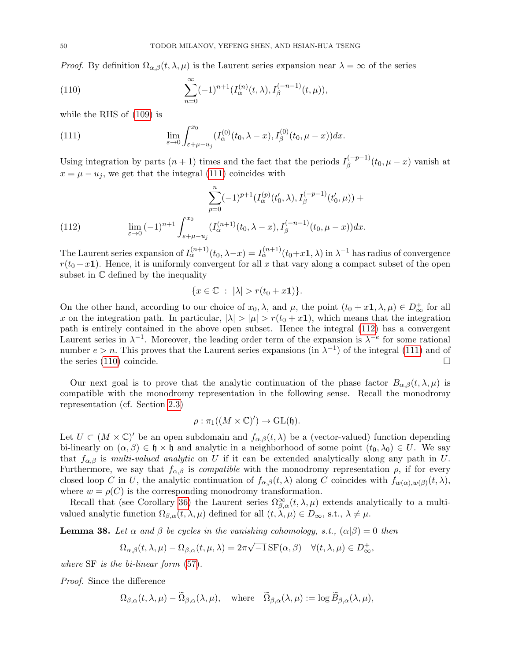*Proof.* By definition  $\Omega_{\alpha,\beta}(t,\lambda,\mu)$  is the Laurent series expansion near  $\lambda = \infty$  of the series

<span id="page-49-2"></span>(110) 
$$
\sum_{n=0}^{\infty} (-1)^{n+1} (I_{\alpha}^{(n)}(t,\lambda), I_{\beta}^{(-n-1)}(t,\mu)),
$$

while the RHS of [\(109\)](#page-48-2) is

<span id="page-49-0"></span>(111) 
$$
\lim_{\varepsilon \to 0} \int_{\varepsilon + \mu - u_j}^{x_0} (I_\alpha^{(0)}(t_0, \lambda - x), I_\beta^{(0)}(t_0, \mu - x)) dx.
$$

Using integration by parts  $(n + 1)$  times and the fact that the periods  $I_{\beta}^{(-p-1)}(t_0, \mu - x)$  vanish at  $x = \mu - u_i$ , we get that the integral [\(111\)](#page-49-0) coincides with

(112) 
$$
\sum_{p=0}^{n} (-1)^{p+1} (I_{\alpha}^{(p)}(t'_{0}, \lambda), I_{\beta}^{(-p-1)}(t'_{0}, \mu)) +
$$

$$
\lim_{\varepsilon \to 0} (-1)^{n+1} \int_{\varepsilon + \mu - u_{j}}^{x_{0}} (I_{\alpha}^{(n+1)}(t_{0}, \lambda - x), I_{\beta}^{(-n-1)}(t_{0}, \mu - x)) dx.
$$

The Laurent series expansion of  $I_{\alpha}^{(n+1)}(t_0, \lambda - x) = I_{\alpha}^{(n+1)}(t_0 + x\mathbf{1}, \lambda)$  in  $\lambda^{-1}$  has radius of convergence  $r(t_0 + x1)$ . Hence, it is uniformly convergent for all x that vary along a compact subset of the open subset in C defined by the inequality

<span id="page-49-1"></span>
$$
\{x\in\mathbb{C} \ : \ |\lambda|>r(t_0+x\mathbf{1})\}.
$$

On the other hand, according to our choice of  $x_0, \lambda$ , and  $\mu$ , the point  $(t_0 + x\mathbf{1}, \lambda, \mu) \in D^+_{\infty}$  for all x on the integration path. In particular,  $|\lambda| > |\mu| > r(t_0 + x_1)$ , which means that the integration path is entirely contained in the above open subset. Hence the integral [\(112\)](#page-49-1) has a convergent Laurent series in  $\lambda^{-1}$ . Moreover, the leading order term of the expansion is  $\lambda^{-e}$  for some rational number  $e > n$ . This proves that the Laurent series expansions (in  $\lambda^{-1}$ ) of the integral [\(111\)](#page-49-0) and of the series [\(110\)](#page-49-2) coincide.

Our next goal is to prove that the analytic continuation of the phase factor  $B_{\alpha,\beta}(t,\lambda,\mu)$  is compatible with the monodromy representation in the following sense. Recall the monodromy representation (cf. Section [2.3\)](#page-9-0)

$$
\rho : \pi_1((M \times \mathbb{C})') \to \mathrm{GL}(\mathfrak{h}).
$$

Let  $U \subset (M \times \mathbb{C})'$  be an open subdomain and  $f_{\alpha,\beta}(t,\lambda)$  be a (vector-valued) function depending bi-linearly on  $(\alpha, \beta) \in \mathfrak{h} \times \mathfrak{h}$  and analytic in a neighborhood of some point  $(t_0, \lambda_0) \in U$ . We say that  $f_{\alpha,\beta}$  is multi-valued analytic on U if it can be extended analytically along any path in U. Furthermore, we say that  $f_{\alpha,\beta}$  is *compatible* with the monodromy representation  $\rho$ , if for every closed loop C in U, the analytic continuation of  $f_{\alpha,\beta}(t,\lambda)$  along C coincides with  $f_{w(\alpha),w(\beta)}(t,\lambda)$ , where  $w = \rho(C)$  is the corresponding monodromy transformation.

Recall that (see Corollary [36\)](#page-48-3) the Laurent series  $\Omega^{\infty}_{\beta,\alpha}(t,\lambda,\mu)$  extends analytically to a multivalued analytic function  $\Omega_{\beta,\alpha}(t,\lambda,\mu)$  defined for all  $(t,\lambda,\mu) \in D_{\infty}$ , s.t.,  $\lambda \neq \mu$ .

<span id="page-49-3"></span>**Lemma 38.** Let  $\alpha$  and  $\beta$  be cycles in the vanishing cohomology, s.t.,  $(\alpha|\beta) = 0$  then

$$
\Omega_{\alpha,\beta}(t,\lambda,\mu) - \Omega_{\beta,\alpha}(t,\mu,\lambda) = 2\pi\sqrt{-1} \operatorname{SF}(\alpha,\beta) \quad \forall (t,\lambda,\mu) \in D_{\infty}^+,
$$

where SF is the bi-linear form [\(57\)](#page-33-0).

Proof. Since the difference

$$
\Omega_{\beta,\alpha}(t,\lambda,\mu) - \widetilde{\Omega}_{\beta,\alpha}(\lambda,\mu), \quad \text{where} \quad \widetilde{\Omega}_{\beta,\alpha}(\lambda,\mu) := \log \widetilde{B}_{\beta,\alpha}(\lambda,\mu),
$$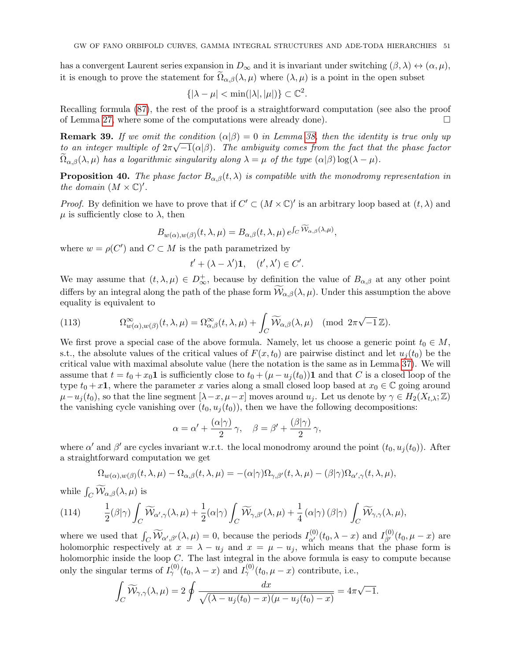has a convergent Laurent series expansion in  $D_{\infty}$  and it is invariant under switching  $(\beta, \lambda) \leftrightarrow (\alpha, \mu)$ , it is enough to prove the statement for  $\Omega_{\alpha,\beta}(\lambda,\mu)$  where  $(\lambda,\mu)$  is a point in the open subset

$$
\{|\lambda - \mu| < \min(|\lambda|, |\mu|)\} \subset \mathbb{C}^2.
$$

Recalling formula [\(87\)](#page-42-4), the rest of the proof is a straightforward computation (see also the proof of Lemma [27,](#page-37-5) where some of the computations were already done).  $\Box$ 

**Remark 39.** If we omit the condition  $(\alpha|\beta) = 0$  in Lemma [38,](#page-49-3) then the identity is true only up to an integer multiple of  $2\pi\sqrt{-1}(\alpha|\beta)$ . The ambiguity comes from the fact that the phase factor  $\Omega_{\alpha,\beta}(\lambda,\mu)$  has a logarithmic singularity along  $\lambda = \mu$  of the type  $(\alpha|\beta) \log(\lambda - \mu)$ .

<span id="page-50-2"></span>**Proposition 40.** The phase factor  $B_{\alpha,\beta}(t,\lambda)$  is compatible with the monodromy representation in the domain  $(M \times \mathbb{C})'$ .

*Proof.* By definition we have to prove that if  $C' \subset (M \times \mathbb{C})'$  is an arbitrary loop based at  $(t, \lambda)$  and  $\mu$  is sufficiently close to  $\lambda$ , then

$$
B_{w(\alpha),w(\beta)}(t,\lambda,\mu) = B_{\alpha,\beta}(t,\lambda,\mu) e^{\int_C \widetilde{\mathcal{W}}_{\alpha,\beta}(\lambda,\mu)},
$$

where  $w = \rho(C')$  and  $C \subset M$  is the path parametrized by

$$
t' + (\lambda - \lambda')\mathbf{1}, \quad (t', \lambda') \in C'.
$$

We may assume that  $(t, \lambda, \mu) \in D^+_{\infty}$ , because by definition the value of  $B_{\alpha,\beta}$  at any other point differs by an integral along the path of the phase form  $\mathcal{W}_{\alpha,\beta}(\lambda,\mu)$ . Under this assumption the above equality is equivalent to

<span id="page-50-1"></span>(113) 
$$
\Omega_{w(\alpha),w(\beta)}^{\infty}(t,\lambda,\mu) = \Omega_{\alpha,\beta}^{\infty}(t,\lambda,\mu) + \int_{C} \widetilde{\mathcal{W}}_{\alpha,\beta}(\lambda,\mu) \pmod{2\pi\sqrt{-1}\mathbb{Z}}.
$$

We first prove a special case of the above formula. Namely, let us choose a generic point  $t_0 \in M$ , s.t., the absolute values of the critical values of  $F(x, t_0)$  are pairwise distinct and let  $u_i(t_0)$  be the critical value with maximal absolute value (here the notation is the same as in Lemma [37\)](#page-48-4). We will assume that  $t = t_0 + x_0 \mathbf{1}$  is sufficiently close to  $t_0 + (\mu - u_j(t_0))\mathbf{1}$  and that C is a closed loop of the type  $t_0 + x\mathbf{1}$ , where the parameter x varies along a small closed loop based at  $x_0 \in \mathbb{C}$  going around  $\mu-u_i(t_0)$ , so that the line segment  $[\lambda-x,\mu-x]$  moves around  $u_i$ . Let us denote by  $\gamma \in H_2(X_{t,\lambda};\mathbb{Z})$ the vanishing cycle vanishing over  $(t_0, u_i(t_0))$ , then we have the following decompositions:

$$
\alpha = \alpha' + \frac{(\alpha|\gamma)}{2} \gamma, \quad \beta = \beta' + \frac{(\beta|\gamma)}{2} \gamma,
$$

where  $\alpha'$  and  $\beta'$  are cycles invariant w.r.t. the local monodromy around the point  $(t_0, u_j(t_0))$ . After a straightforward computation we get

<span id="page-50-0"></span>
$$
\Omega_{w(\alpha),w(\beta)}(t,\lambda,\mu) - \Omega_{\alpha,\beta}(t,\lambda,\mu) = -(\alpha|\gamma)\Omega_{\gamma,\beta'}(t,\lambda,\mu) - (\beta|\gamma)\Omega_{\alpha',\gamma}(t,\lambda,\mu),
$$

while  $\int_C \widetilde{\mathcal{W}}_{\alpha,\beta}(\lambda,\mu)$  is

(114) 
$$
\frac{1}{2}(\beta|\gamma)\int_C \widetilde{\mathcal{W}}_{\alpha',\gamma}(\lambda,\mu)+\frac{1}{2}(\alpha|\gamma)\int_C \widetilde{\mathcal{W}}_{\gamma,\beta'}(\lambda,\mu)+\frac{1}{4}(\alpha|\gamma)(\beta|\gamma)\int_C \widetilde{\mathcal{W}}_{\gamma,\gamma}(\lambda,\mu),
$$

where we used that  $\int_C \widetilde{\mathcal{W}}_{\alpha',\beta'}(\lambda,\mu) = 0$ , because the periods  $I_{\alpha'}^{(0)}(t_0,\lambda-x)$  and  $I_{\beta'}^{(0)}(t_0,\mu-x)$  are holomorphic respectively at  $x = \lambda - u_j$  and  $x = \mu - u_j$ , which means that the phase form is holomorphic inside the loop C. The last integral in the above formula is easy to compute because only the singular terms of  $I^{(0)}_{\gamma}(t_0, \lambda - x)$  and  $I^{(0)}_{\gamma}(t_0, \mu - x)$  contribute, i.e.,

$$
\int_C \widetilde{\mathcal{W}}_{\gamma,\gamma}(\lambda,\mu) = 2 \oint \frac{dx}{\sqrt{(\lambda - u_j(t_0) - x)(\mu - u_j(t_0) - x)}} = 4\pi\sqrt{-1}.
$$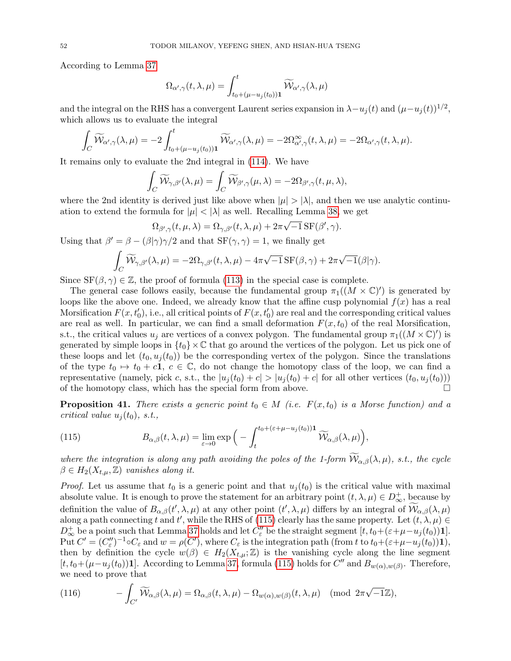According to Lemma [37](#page-48-4)

$$
\Omega_{\alpha',\gamma}(t,\lambda,\mu) = \int_{t_0 + (\mu - u_j(t_0))}^t \widetilde{\mathcal{W}}_{\alpha',\gamma}(\lambda,\mu)
$$

and the integral on the RHS has a convergent Laurent series expansion in  $\lambda - u_j(t)$  and  $(\mu - u_j(t))^{1/2}$ , which allows us to evaluate the integral

$$
\int_C \widetilde{\mathcal{W}}_{\alpha',\gamma}(\lambda,\mu) = -2 \int_{t_0+(\mu-u_j(t_0))}^t \widetilde{\mathcal{W}}_{\alpha',\gamma}(\lambda,\mu) = -2\Omega_{\alpha',\gamma}^{\infty}(t,\lambda,\mu) = -2\Omega_{\alpha',\gamma}(t,\lambda,\mu).
$$

It remains only to evaluate the 2nd integral in [\(114\)](#page-50-0). We have

$$
\int_C \widetilde{\mathcal{W}}_{\gamma,\beta'}(\lambda,\mu) = \int_C \widetilde{\mathcal{W}}_{\beta',\gamma}(\mu,\lambda) = -2\Omega_{\beta',\gamma}(t,\mu,\lambda),
$$

where the 2nd identity is derived just like above when  $|\mu| > |\lambda|$ , and then we use analytic continuation to extend the formula for  $|\mu| < |\lambda|$  as well. Recalling Lemma [38,](#page-49-3) we get

$$
\Omega_{\beta',\gamma}(t,\mu,\lambda) = \Omega_{\gamma,\beta'}(t,\lambda,\mu) + 2\pi\sqrt{-1} \,\text{SF}(\beta',\gamma).
$$

Using that  $\beta' = \beta - (\beta|\gamma)\gamma/2$  and that  $SF(\gamma, \gamma) = 1$ , we finally get

$$
\int_C \widetilde{\mathcal{W}}_{\gamma,\beta'}(\lambda,\mu) = -2\Omega_{\gamma,\beta'}(t,\lambda,\mu) - 4\pi\sqrt{-1} \,\mathrm{SF}(\beta,\gamma) + 2\pi\sqrt{-1}(\beta|\gamma).
$$

Since  $SF(\beta, \gamma) \in \mathbb{Z}$ , the proof of formula [\(113\)](#page-50-1) in the special case is complete.

The general case follows easily, because the fundamental group  $\pi_1((M \times \mathbb{C})')$  is generated by loops like the above one. Indeed, we already know that the affine cusp polynomial  $f(x)$  has a real Morsification  $F(x, t'_0)$ , i.e., all critical points of  $F(x, t'_0)$  are real and the corresponding critical values are real as well. In particular, we can find a small deformation  $F(x, t_0)$  of the real Morsification, s.t., the critical values  $u_j$  are vertices of a convex polygon. The fundamental group  $\pi_1((M \times \mathbb{C})')$  is generated by simple loops in  $\{t_0\}\times\mathbb{C}$  that go around the vertices of the polygon. Let us pick one of these loops and let  $(t_0, u_i(t_0))$  be the corresponding vertex of the polygon. Since the translations of the type  $t_0 \mapsto t_0 + c\mathbf{1}, c \in \mathbb{C}$ , do not change the homotopy class of the loop, we can find a representative (namely, pick c, s.t., the  $|u_j(t_0) + c| > |u_j(t_0) + c|$  for all other vertices  $(t_0, u_j(t_0))$ ) of the homotopy class, which has the special form from above. of the homotopy class, which has the special form from above.

<span id="page-51-0"></span>**Proposition 41.** There exists a generic point  $t_0 \in M$  (i.e.  $F(x, t_0)$  is a Morse function) and a critical value  $u_i(t_0)$ , s.t.,

<span id="page-51-1"></span>(115) 
$$
B_{\alpha,\beta}(t,\lambda,\mu) = \lim_{\varepsilon \to 0} \exp\Big(-\int_t^{t_0+(\varepsilon+\mu-u_j(t_0))1} \widetilde{\mathcal{W}}_{\alpha,\beta}(\lambda,\mu)\Big),
$$

where the integration is along any path avoiding the poles of the 1-form  $\widetilde{\mathcal{W}}_{\alpha,\beta}(\lambda,\mu)$ , s.t., the cycle  $\beta \in H_2(X_{t,\mu}, \mathbb{Z})$  vanishes along it.

*Proof.* Let us assume that  $t_0$  is a generic point and that  $u_i(t_0)$  is the critical value with maximal absolute value. It is enough to prove the statement for an arbitrary point  $(t, \lambda, \mu) \in D_{\infty}^{+}$ , because by definition the value of  $B_{\alpha,\beta}(t',\lambda,\mu)$  at any other point  $(t',\lambda,\mu)$  differs by an integral of  $\mathcal{W}_{\alpha,\beta}(\lambda,\mu)$ along a path connecting t and t', while the RHS of [\(115\)](#page-51-1) clearly has the same property. Let  $(t, \lambda, \mu) \in$  $D_{\infty}^+$  be a point such that Lemma [37](#page-48-4) holds and let  $C''_{\varepsilon}$  be the straight segment  $[t, t_0 + (\varepsilon + \mu - u_j(t_0))1]$ . Put  $C' = (C''_{\varepsilon})^{-1} \circ C_{\varepsilon}$  and  $w = \rho(C')$ , where  $C_{\varepsilon}$  is the integration path (from t to  $t_0 + (\varepsilon + \mu - u_j(t_0))\mathbf{1}$ ), then by definition the cycle  $w(\beta) \in H_2(X_{t,\mu}; \mathbb{Z})$  is the vanishing cycle along the line segment  $[t, t_0 + (\mu - u_j(t_0))1]$ . According to Lemma [37,](#page-48-4) formula [\(115\)](#page-51-1) holds for  $C''$  and  $B_{w(\alpha), w(\beta)}$ . Therefore, we need to prove that

(116) 
$$
- \int_{C'} \widetilde{\mathcal{W}}_{\alpha,\beta}(\lambda,\mu) = \Omega_{\alpha,\beta}(t,\lambda,\mu) - \Omega_{w(\alpha),w(\beta)}(t,\lambda,\mu) \pmod{2\pi\sqrt{-1}\mathbb{Z}},
$$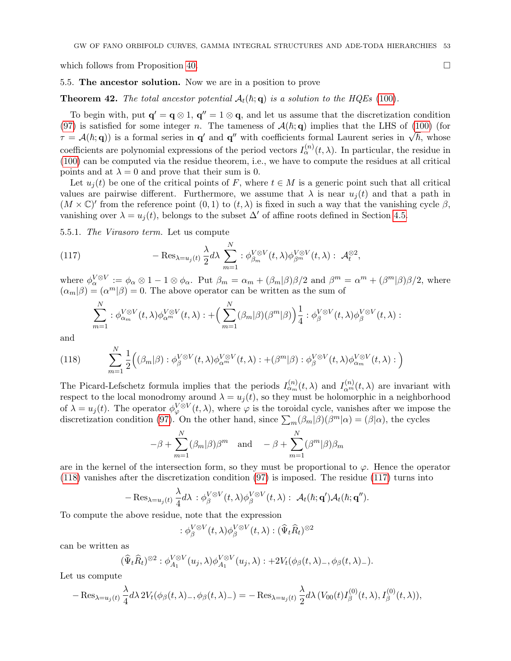which follows from Proposition [40.](#page-50-2)

#### <span id="page-52-0"></span>5.5. The ancestor solution. Now we are in a position to prove

<span id="page-52-1"></span>**Theorem 42.** The total ancestor potential  $A_t(h; \mathbf{q})$  is a solution to the HQEs [\(100\)](#page-45-1).

To begin with, put  $\mathbf{q}' = \mathbf{q} \otimes 1$ ,  $\mathbf{q}'' = 1 \otimes \mathbf{q}$ , and let us assume that the discretization condition [\(97\)](#page-45-5) is satisfied for some integer n. The tameness of  $\mathcal{A}(\hbar; \mathbf{q})$  implies that the LHS of [\(100\)](#page-45-1) (for  $\tau = A(\hbar; \mathbf{q})$  is a formal series in  $\mathbf{q}'$  and  $\mathbf{q}''$  with coefficients formal Laurent series in  $\sqrt{\hbar}$ , whose coefficients are polynomial expressions of the period vectors  $I_{\alpha}^{(n)}(t,\lambda)$ . In particular, the residue in [\(100\)](#page-45-1) can be computed via the residue theorem, i.e., we have to compute the residues at all critical points and at  $\lambda = 0$  and prove that their sum is 0.

Let  $u_i(t)$  be one of the critical points of F, where  $t \in M$  is a generic point such that all critical values are pairwise different. Furthermore, we assume that  $\lambda$  is near  $u_i(t)$  and that a path in  $(M \times \mathbb{C})'$  from the reference point  $(0,1)$  to  $(t,\lambda)$  is fixed in such a way that the vanishing cycle  $\beta$ , vanishing over  $\lambda = u_j(t)$ , belongs to the subset  $\Delta'$  of affine roots defined in Section [4.5.](#page-42-0)

<span id="page-52-4"></span>5.5.1. The Virasoro term. Let us compute

(117) 
$$
- \operatorname{Res}_{\lambda = u_j(t)} \frac{\lambda}{2} d\lambda \sum_{m=1}^N : \phi_{\beta_m}^{V \otimes V}(t, \lambda) \phi_{\beta_m}^{V \otimes V}(t, \lambda) : \mathcal{A}_t^{\otimes 2},
$$

where  $\phi_{\alpha}^{V\otimes V} := \phi_{\alpha} \otimes 1 - 1 \otimes \phi_{\alpha}$ . Put  $\beta_m = \alpha_m + (\beta_m|\beta)\beta/2$  and  $\beta^m = \alpha^m + (\beta^m|\beta)\beta/2$ , where  $(\alpha_m|\beta) = (\alpha^m|\beta) = 0$ . The above operator can be written as the sum of

<span id="page-52-3"></span>
$$
\sum_{m=1}^N : \phi_{\alpha_m}^{V \otimes V}(t,\lambda) \phi_{\alpha_m}^{V \otimes V}(t,\lambda) : + \Big(\sum_{m=1}^N (\beta_m|\beta)(\beta^m|\beta)\Big) \frac{1}{4} : \phi_{\beta}^{V \otimes V}(t,\lambda) \phi_{\beta}^{V \otimes V}(t,\lambda) : \Big(\phi_{\beta_m}^{V \otimes V \otimes V}(t,\lambda) \phi_{\beta_m}^{V \otimes V \otimes V \otimes V}(t,\lambda) \Big) \Big) \Big\}
$$

and

<span id="page-52-2"></span>(118) 
$$
\sum_{m=1}^{N} \frac{1}{2} \Big( (\beta_m | \beta) : \phi_{\beta}^{V \otimes V}(t, \lambda) \phi_{\alpha^m}^{V \otimes V}(t, \lambda) : + (\beta^m | \beta) : \phi_{\beta}^{V \otimes V}(t, \lambda) \phi_{\alpha_m}^{V \otimes V}(t, \lambda) : \Big)
$$

The Picard-Lefschetz formula implies that the periods  $I_{\alpha_m}^{(n)}(t,\lambda)$  and  $I_{\alpha_m}^{(n)}(t,\lambda)$  are invariant with respect to the local monodromy around  $\lambda = u_j(t)$ , so they must be holomorphic in a neighborhood of  $\lambda = u_j(t)$ . The operator  $\phi_{\varphi}^{V \otimes V}(t,\lambda)$ , where  $\varphi$  is the toroidal cycle, vanishes after we impose the discretization condition [\(97\)](#page-45-5). On the other hand, since  $\sum_m(\beta_m|\beta)(\beta^m|\alpha)=(\beta|\alpha)$ , the cycles

$$
-\beta + \sum_{m=1}^{N} (\beta_m | \beta ) \beta^m \quad \text{and} \quad -\beta + \sum_{m=1}^{N} (\beta^m | \beta ) \beta_m
$$

are in the kernel of the intersection form, so they must be proportional to  $\varphi$ . Hence the operator [\(118\)](#page-52-2) vanishes after the discretization condition [\(97\)](#page-45-5) is imposed. The residue [\(117\)](#page-52-3) turns into

$$
-\operatorname{Res}_{\lambda=u_j(t)}\frac{\lambda}{4}d\lambda\,:\phi_{\beta}^{V\otimes V}(t,\lambda)\phi_{\beta}^{V\otimes V}(t,\lambda):\,\,\mathcal{A}_t(\hbar;{\bf q}')\mathcal{A}_t(\hbar;{\bf q}'').
$$

To compute the above residue, note that the expression

$$
:\phi_{\beta}^{V \otimes V}(t,\lambda)\phi_{\beta}^{V \otimes V}(t,\lambda):(\widehat{\Psi}_t \widehat{R}_t)^{\otimes 2}
$$

can be written as

$$
(\widehat{\Psi}_t \widehat{R}_t)^{\otimes 2} : \phi_{A_1}^{V \otimes V}(u_j, \lambda) \phi_{A_1}^{V \otimes V}(u_j, \lambda) : + 2V_t(\phi_{\beta}(t, \lambda)_{-}, \phi_{\beta}(t, \lambda)_{-}).
$$

Let us compute

$$
-\operatorname{Res}_{\lambda=u_j(t)}\frac{\lambda}{4}d\lambda \, 2V_t(\phi_\beta(t,\lambda)_-,\phi_\beta(t,\lambda)_-) = -\operatorname{Res}_{\lambda=u_j(t)}\frac{\lambda}{2}d\lambda \, (V_{00}(t)I_\beta^{(0)}(t,\lambda),I_\beta^{(0)}(t,\lambda)),
$$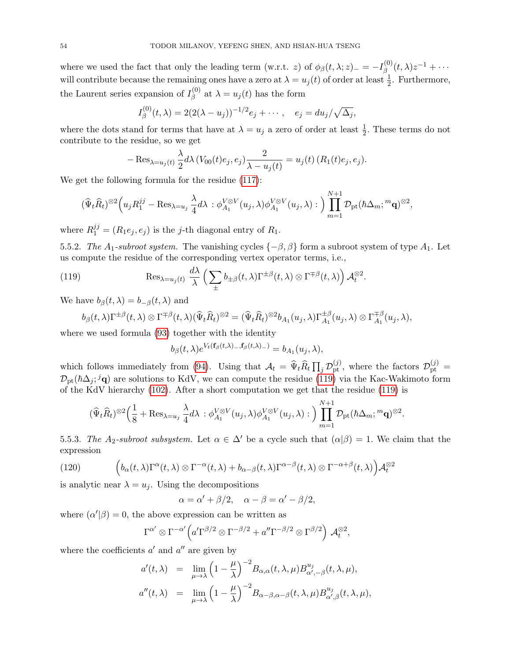where we used the fact that only the leading term (w.r.t. z) of  $\phi_{\beta}(t,\lambda;z)_{-} = -I_{\beta}^{(0)}$  $\beta^{(0)}_{\beta}(t,\lambda)z^{-1}+\cdots$ will contribute because the remaining ones have a zero at  $\lambda = u_j(t)$  of order at least  $\frac{1}{2}$ . Furthermore, the Laurent series expansion of  $I_{\beta}^{(0)}$  $\beta_{\beta}^{(0)}$  at  $\lambda = u_j(t)$  has the form

$$
I_{\beta}^{(0)}(t,\lambda) = 2(2(\lambda - u_j))^{-1/2}e_j + \cdots, \quad e_j = du_j/\sqrt{\Delta_j},
$$

where the dots stand for terms that have at  $\lambda = u_j$  a zero of order at least  $\frac{1}{2}$ . These terms do not contribute to the residue, so we get

$$
-\operatorname{Res}_{\lambda=u_j(t)}\frac{\lambda}{2}d\lambda(V_{00}(t)e_j,e_j)\frac{2}{\lambda-u_j(t)}=u_j(t)(R_1(t)e_j,e_j).
$$

We get the following formula for the residue [\(117\)](#page-52-3):

$$
(\widehat{\Psi}_t \widehat{R}_t)^{\otimes 2} \Big( u_j R_1^{jj} - \text{Res}_{\lambda = u_j} \frac{\lambda}{4} d\lambda \, : \phi_{A_1}^{V \otimes V}(u_j, \lambda) \phi_{A_1}^{V \otimes V}(u_j, \lambda) : \Big) \prod_{m=1}^{N+1} \mathcal{D}_{\text{pt}}(\hbar \Delta_m; {}^m \mathbf{q})^{\otimes 2},
$$

where  $R_1^{jj} = (R_1e_j, e_j)$  is the j-th diagonal entry of  $R_1$ .

<span id="page-53-2"></span>5.5.2. The A<sub>1</sub>-subroot system. The vanishing cycles  $\{-\beta, \beta\}$  form a subroot system of type A<sub>1</sub>. Let us compute the residue of the corresponding vertex operator terms, i.e.,

(119) 
$$
\operatorname{Res}_{\lambda=u_j(t)} \frac{d\lambda}{\lambda} \left( \sum_{\pm} b_{\pm\beta}(t,\lambda) \Gamma^{\pm\beta}(t,\lambda) \otimes \Gamma^{\mp\beta}(t,\lambda) \right) \mathcal{A}_t^{\otimes 2}.
$$

We have  $b_{\beta}(t, \lambda) = b_{-\beta}(t, \lambda)$  and

<span id="page-53-0"></span>
$$
b_{\beta}(t,\lambda)\Gamma^{\pm\beta}(t,\lambda)\otimes \Gamma^{\mp\beta}(t,\lambda)(\widehat{\Psi}_t\widehat{R}_t)^{\otimes 2}=(\widehat{\Psi}_t\widehat{R}_t)^{\otimes 2}b_{A_1}(u_j,\lambda)\Gamma_{A_1}^{\pm\beta}(u_j,\lambda)\otimes \Gamma_{A_1}^{\mp\beta}(u_j,\lambda),
$$

where we used formula [\(93\)](#page-44-2) together with the identity

$$
b_{\beta}(t,\lambda)e^{V_t(\mathbf{f}_{\beta}(t,\lambda)-,\mathbf{f}_{\beta}(t,\lambda)-)}=b_{A_1}(u_j,\lambda),
$$

which follows immediately from [\(94\)](#page-44-3). Using that  $\mathcal{A}_t = \widehat{\Psi}_t \widehat{R}_t \prod_j \mathcal{D}_{pt}^{(j)}$ , where the factors  $\mathcal{D}_{pt}^{(j)}$  $\mathcal{D}_{pt}(\hbar\Delta_j; \mathbf{q})$  are solutions to KdV, we can compute the residue [\(119\)](#page-53-0) via the Kac-Wakimoto form of the KdV hierarchy [\(102\)](#page-46-3). After a short computation we get that the residue [\(119\)](#page-53-0) is

$$
(\widehat{\Psi}_t \widehat{R}_t)^{\otimes 2} \Big( \frac{1}{8} + \text{Res}_{\lambda = u_j} \frac{\lambda}{4} d\lambda \, : \phi_{A_1}^{V \otimes V}(u_j, \lambda) \phi_{A_1}^{V \otimes V}(u_j, \lambda) : \Big) \prod_{m=1}^{N+1} \mathcal{D}_{\text{pt}}(\hbar \Delta_m; {}^m \mathbf{q})^{\otimes 2}.
$$

<span id="page-53-3"></span>5.5.3. The A<sub>2</sub>-subroot subsystem. Let  $\alpha \in \Delta'$  be a cycle such that  $(\alpha|\beta) = 1$ . We claim that the expression

<span id="page-53-1"></span>(120) 
$$
\left(b_{\alpha}(t,\lambda)\Gamma^{\alpha}(t,\lambda)\otimes\Gamma^{-\alpha}(t,\lambda)+b_{\alpha-\beta}(t,\lambda)\Gamma^{\alpha-\beta}(t,\lambda)\otimes\Gamma^{-\alpha+\beta}(t,\lambda)\right)\mathcal{A}_{t}^{\otimes 2}
$$

is analytic near  $\lambda = u_j$ . Using the decompositions

$$
\alpha = \alpha' + \beta/2, \quad \alpha - \beta = \alpha' - \beta/2,
$$

where  $(\alpha'|\beta) = 0$ , the above expression can be written as

$$
\Gamma^{\alpha'}\otimes \Gamma^{-\alpha'}\Big(a'\Gamma^{\beta/2}\otimes \Gamma^{-\beta/2} + a''\Gamma^{-\beta/2}\otimes \Gamma^{\beta/2}\Big) \mathcal{A}_t^{\otimes 2},
$$

where the coefficients  $a'$  and  $a''$  are given by

$$
a'(t,\lambda) = \lim_{\mu \to \lambda} \left(1 - \frac{\mu}{\lambda}\right)^{-2} B_{\alpha,\alpha}(t,\lambda,\mu) B^{u_j}_{\alpha',-\beta}(t,\lambda,\mu),
$$
  

$$
a''(t,\lambda) = \lim_{\mu \to \lambda} \left(1 - \frac{\mu}{\lambda}\right)^{-2} B_{\alpha-\beta,\alpha-\beta}(t,\lambda,\mu) B^{u_j}_{\alpha',\beta}(t,\lambda,\mu),
$$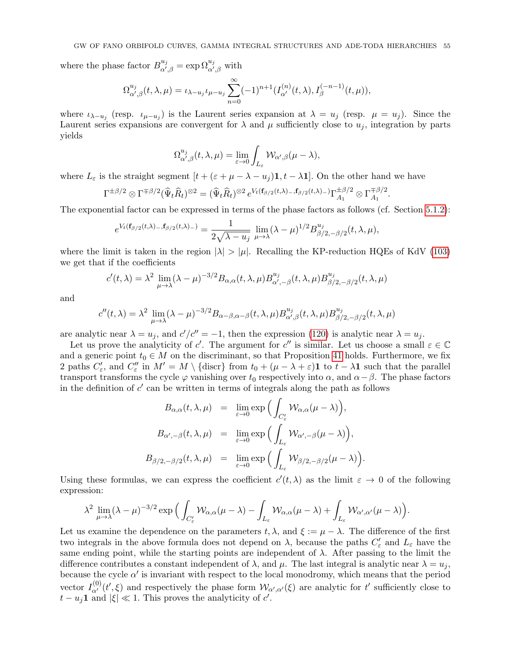where the phase factor  $B_{\alpha'}^{u_j}$  $\alpha'_{\alpha',\beta} = \exp \Omega^{u_j}_{\alpha',\beta}$  with

$$
\Omega_{\alpha',\beta}^{u_j}(t,\lambda,\mu) = \iota_{\lambda-u_j}\iota_{\mu-u_j} \sum_{n=0}^{\infty} (-1)^{n+1} (I_{\alpha'}^{(n)}(t,\lambda), I_{\beta}^{(-n-1)}(t,\mu)),
$$

where  $\iota_{\lambda-u_j}$  (resp.  $\iota_{\mu-u_j}$ ) is the Laurent series expansion at  $\lambda = u_j$  (resp.  $\mu = u_j$ ). Since the Laurent series expansions are convergent for  $\lambda$  and  $\mu$  sufficiently close to  $u_j$ , integration by parts yields

$$
\Omega^{u_j}_{\alpha',\beta}(t,\lambda,\mu)=\lim_{\varepsilon\to 0}\int_{L_\varepsilon}\mathcal{W}_{\alpha',\beta}(\mu-\lambda),
$$

where  $L_{\varepsilon}$  is the straight segment  $[t + (\varepsilon + \mu - \lambda - u_i) \mathbf{1}, t - \lambda \mathbf{1}]$ . On the other hand we have

$$
\Gamma^{\pm\beta/2}\otimes\Gamma^{\mp\beta/2}(\widehat{\Psi}_t\widehat{R}_t)^{\otimes 2}=(\widehat{\Psi}_t\widehat{R}_t)^{\otimes 2}e^{V_t(\mathbf{f}_{\beta/2}(t,\lambda)-,\mathbf{f}_{\beta/2}(t,\lambda)-)}\Gamma_{A_1}^{\pm\beta/2}\otimes\Gamma_{A_1}^{\mp\beta/2}.
$$

The exponential factor can be expressed in terms of the phase factors as follows (cf. Section [5.1.2\)](#page-44-4):

$$
e^{V_t(\mathbf{f}_{\beta/2}(t,\lambda)_{-},\mathbf{f}_{\beta/2}(t,\lambda)_{-})} = \frac{1}{2\sqrt{\lambda - u_j}} \lim_{\mu \to \lambda} (\lambda - \mu)^{1/2} B^{u_j}_{\beta/2,-\beta/2}(t,\lambda,\mu),
$$

where the limit is taken in the region  $|\lambda| > |\mu|$ . Recalling the KP-reduction HQEs of KdV [\(103\)](#page-47-4) we get that if the coefficients

$$
c'(t,\lambda) = \lambda^2 \lim_{\mu \to \lambda} (\lambda - \mu)^{-3/2} B_{\alpha,\alpha}(t,\lambda,\mu) B^{u_j}_{\alpha',-\beta}(t,\lambda,\mu) B^{u_j}_{\beta/2,-\beta/2}(t,\lambda,\mu)
$$

and

$$
c''(t,\lambda) = \lambda^2 \lim_{\mu \to \lambda} (\lambda - \mu)^{-3/2} B_{\alpha-\beta,\alpha-\beta}(t,\lambda,\mu) B^{u_j}_{\alpha',\beta}(t,\lambda,\mu) B^{u_j}_{\beta/2,-\beta/2}(t,\lambda,\mu)
$$

are analytic near  $\lambda = u_j$ , and  $c'/c'' = -1$ , then the expression [\(120\)](#page-53-1) is analytic near  $\lambda = u_j$ .

Let us prove the analyticity of c'. The argument for c'' is similar. Let us choose a small  $\varepsilon \in \mathbb{C}$ and a generic point  $t_0 \in M$  on the discriminant, so that Proposition [41](#page-51-0) holds. Furthermore, we fix 2 paths  $C'_{\varepsilon}$ , and  $C''_{\varepsilon}$  in  $M' = M \setminus \{\text{discr}\}\)$  from  $t_0 + (\mu - \lambda + \varepsilon)\mathbf{1}$  to  $t - \lambda\mathbf{1}$  such that the parallel transport transforms the cycle  $\varphi$  vanishing over  $t_0$  respectively into  $\alpha$ , and  $\alpha-\beta$ . The phase factors in the definition of  $c'$  can be written in terms of integrals along the path as follows

$$
B_{\alpha,\alpha}(t,\lambda,\mu) = \lim_{\varepsilon \to 0} \exp\Big(\int_{C'_{\varepsilon}} \mathcal{W}_{\alpha,\alpha}(\mu - \lambda)\Big),
$$
  

$$
B_{\alpha',-\beta}(t,\lambda,\mu) = \lim_{\varepsilon \to 0} \exp\Big(\int_{L_{\varepsilon}} \mathcal{W}_{\alpha',-\beta}(\mu - \lambda)\Big),
$$
  

$$
B_{\beta/2,-\beta/2}(t,\lambda,\mu) = \lim_{\varepsilon \to 0} \exp\Big(\int_{L_{\varepsilon}} \mathcal{W}_{\beta/2,-\beta/2}(\mu - \lambda)\Big).
$$

Using these formulas, we can express the coefficient  $c'(t, \lambda)$  as the limit  $\varepsilon \to 0$  of the following expression:

$$
\lambda^2 \lim_{\mu \to \lambda} (\lambda - \mu)^{-3/2} \exp \Big( \int_{C'_\varepsilon} \mathcal{W}_{\alpha,\alpha}(\mu - \lambda) - \int_{L_\varepsilon} \mathcal{W}_{\alpha,\alpha}(\mu - \lambda) + \int_{L_\varepsilon} \mathcal{W}_{\alpha',\alpha'}(\mu - \lambda) \Big).
$$

Let us examine the dependence on the parameters  $t, \lambda$ , and  $\xi := \mu - \lambda$ . The difference of the first two integrals in the above formula does not depend on  $\lambda$ , because the paths  $C'_{\varepsilon}$  and  $L_{\varepsilon}$  have the same ending point, while the starting points are independent of  $\lambda$ . After passing to the limit the difference contributes a constant independent of  $\lambda$ , and  $\mu$ . The last integral is analytic near  $\lambda = u_j$ , because the cycle  $\alpha'$  is invariant with respect to the local monodromy, which means that the period vector  $I_{\alpha'}^{(0)}(t',\xi)$  and respectively the phase form  $\mathcal{W}_{\alpha',\alpha'}(\xi)$  are analytic for t' sufficiently close to  $t - u_j \mathbf{1}$  and  $|\xi| \ll 1$ . This proves the analyticity of  $c'$ .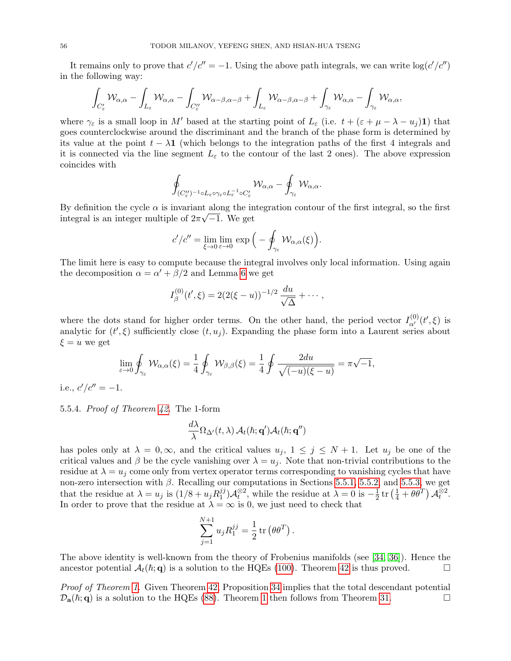It remains only to prove that  $c'/c'' = -1$ . Using the above path integrals, we can write  $\log(c'/c'')$ in the following way:

$$
\int_{C'_\varepsilon} \mathcal{W}_{\alpha,\alpha} - \int_{L_\varepsilon} \mathcal{W}_{\alpha,\alpha} - \int_{C''_\varepsilon} \mathcal{W}_{\alpha-\beta,\alpha-\beta} + \int_{L_\varepsilon} \mathcal{W}_{\alpha-\beta,\alpha-\beta} + \int_{\gamma_\varepsilon} \mathcal{W}_{\alpha,\alpha} - \int_{\gamma_\varepsilon} \mathcal{W}_{\alpha,\alpha},
$$

where  $\gamma_{\varepsilon}$  is a small loop in M' based at the starting point of  $L_{\varepsilon}$  (i.e.  $t + (\varepsilon + \mu - \lambda - u_i)$ 1) that goes counterclockwise around the discriminant and the branch of the phase form is determined by its value at the point  $t - \lambda \mathbf{1}$  (which belongs to the integration paths of the first 4 integrals and it is connected via the line segment  $L_{\varepsilon}$  to the contour of the last 2 ones). The above expression coincides with

$$
\oint_{(C''_{\varepsilon})^{-1}\circ L_{\varepsilon}\circ\gamma_{\varepsilon}\circ L_{\varepsilon}^{-1}\circ C'_{\varepsilon}}\mathcal{W}_{\alpha,\alpha}-\oint_{\gamma_{\varepsilon}}\mathcal{W}_{\alpha,\alpha}.
$$

By definition the cycle  $\alpha$  is invariant along the integration contour of the first integral, so the first integral is an integer multiple of  $2\pi\sqrt{-1}$ . We get

$$
c'/c'' = \lim_{\xi \to 0} \lim_{\varepsilon \to 0} \exp\Big(-\oint_{\gamma_{\varepsilon}} \mathcal{W}_{\alpha,\alpha}(\xi)\Big).
$$

The limit here is easy to compute because the integral involves only local information. Using again the decomposition  $\alpha = \alpha' + \beta/2$  and Lemma [6](#page-11-1) we get

$$
I_{\beta}^{(0)}(t',\xi) = 2(2(\xi-u))^{-1/2}\frac{du}{\sqrt{\Delta}} + \cdots,
$$

where the dots stand for higher order terms. On the other hand, the period vector  $I_{\alpha'}^{(0)}(t',\xi)$  is analytic for  $(t',\xi)$  sufficiently close  $(t,u_j)$ . Expanding the phase form into a Laurent series about  $\xi = u$  we get

$$
\lim_{\varepsilon \to 0} \oint_{\gamma_{\varepsilon}} \mathcal{W}_{\alpha,\alpha}(\xi) = \frac{1}{4} \oint_{\gamma_{\varepsilon}} \mathcal{W}_{\beta,\beta}(\xi) = \frac{1}{4} \oint \frac{2du}{\sqrt{(-u)(\xi - u)}} = \pi \sqrt{-1},
$$

i.e.,  $c'/c'' = -1$ .

5.5.4. Proof of Theorem [42.](#page-52-1) The 1-form

$$
\frac{d\lambda}{\lambda} \Omega_{\Delta'}(t,\lambda) \mathcal{A}_t(\hbar;{\bf q}') \mathcal{A}_t(\hbar;{\bf q}'')
$$

has poles only at  $\lambda = 0, \infty$ , and the critical values  $u_j$ ,  $1 \leq j \leq N+1$ . Let  $u_j$  be one of the critical values and  $\beta$  be the cycle vanishing over  $\lambda = u_i$ . Note that non-trivial contributions to the residue at  $\lambda = u_i$  come only from vertex operator terms corresponding to vanishing cycles that have non-zero intersection with  $\beta$ . Recalling our computations in Sections [5.5.1,](#page-52-4) [5.5.2,](#page-53-2) and [5.5.3,](#page-53-3) we get that the residue at  $\lambda = u_j$  is  $(1/8 + u_j R_1^{jj})$  $j_j^{(j)}\mathcal{A}_t^{\otimes 2}$ , while the residue at  $\lambda = 0$  is  $-\frac{1}{2}$  $\frac{1}{2}$  tr  $\left(\frac{1}{4} + \theta \theta^T\right) A_t^{\otimes 2}$ . In order to prove that the residue at  $\lambda = \infty$  is 0, we just need to check that

$$
\sum_{j=1}^{N+1} u_j R_1^{jj} = \frac{1}{2} \operatorname{tr} (\theta \theta^T).
$$

The above identity is well-known from the theory of Frobenius manifolds (see [\[34,](#page-60-5) [36\]](#page-60-30)). Hence the ancestor potential  $\mathcal{A}_t(\hbar; \mathbf{q})$  is a solution to the HQEs [\(100\)](#page-45-1). Theorem [42](#page-52-1) is thus proved.

Proof of Theorem [1.](#page-4-2) Given Theorem [42,](#page-52-1) Proposition [34](#page-46-1) implies that the total descendant potential  $\mathcal{D}_a(\hbar; q)$  is a solution to the HQEs [\(88\)](#page-42-1). Theorem [1](#page-4-2) then follows from Theorem [31.](#page-43-2)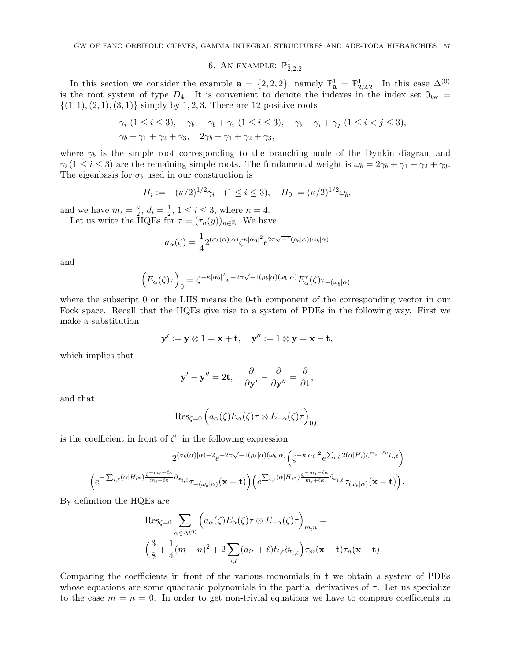## 6. AN EXAMPLE:  $\mathbb{P}^1_{2,2,2}$

<span id="page-56-0"></span>In this section we consider the example  $\mathbf{a} = \{2, 2, 2\}$ , namely  $\mathbb{P}^1_{\mathbf{a}} = \mathbb{P}^1_{2,2,2}$ . In this case  $\Delta^{(0)}$ is the root system of type  $D_4$ . It is convenient to denote the indexes in the index set  $\mathfrak{I}_{\text{tw}} =$  $\{(1, 1), (2, 1), (3, 1)\}\$  simply by 1, 2, 3. There are 12 positive roots

$$
\gamma_i \ (1 \leq i \leq 3), \quad \gamma_b, \quad \gamma_b + \gamma_i \ (1 \leq i \leq 3), \quad \gamma_b + \gamma_i + \gamma_j \ (1 \leq i < j \leq 3),
$$
\n
$$
\gamma_b + \gamma_1 + \gamma_2 + \gamma_3, \quad 2\gamma_b + \gamma_1 + \gamma_2 + \gamma_3,
$$

where  $\gamma_b$  is the simple root corresponding to the branching node of the Dynkin diagram and  $\gamma_i$  (1  $\leq$  *i*  $\leq$  3) are the remaining simple roots. The fundamental weight is  $\omega_b = 2\gamma_b + \gamma_1 + \gamma_2 + \gamma_3$ . The eigenbasis for  $\sigma_b$  used in our construction is

$$
H_i := -(\kappa/2)^{1/2} \gamma_i \quad (1 \le i \le 3), \quad H_0 := (\kappa/2)^{1/2} \omega_b,
$$

and we have  $m_i = \frac{\kappa}{2}$  $\frac{\kappa}{2}, d_i = \frac{1}{2}$  $\frac{1}{2}$ ,  $1 \leq i \leq 3$ , where  $\kappa = 4$ .

Let us write the HQEs for  $\tau = (\tau_n(y))_{n \in \mathbb{Z}}$ . We have

$$
a_{\alpha}(\zeta) = \frac{1}{4} 2^{(\sigma_b(\alpha)|\alpha)} \zeta^{\kappa|\alpha_0|^2} e^{2\pi\sqrt{-1}(\rho_b|\alpha)(\omega_b|\alpha)}
$$

and

$$
\Big( E_\alpha(\zeta) \tau \Big)_0 = \zeta^{-\kappa |\alpha_0|^2} e^{-2\pi \sqrt{-1} (\rho_b|\alpha)(\omega_b|\alpha)} E_\alpha^*(\zeta) \tau_{-(\omega_b|\alpha)},
$$

where the subscript 0 on the LHS means the 0-th component of the corresponding vector in our Fock space. Recall that the HQEs give rise to a system of PDEs in the following way. First we make a substitution

$$
\mathbf{y}' := \mathbf{y} \otimes 1 = \mathbf{x} + \mathbf{t}, \quad \mathbf{y}'' := 1 \otimes \mathbf{y} = \mathbf{x} - \mathbf{t},
$$

which implies that

$$
\mathbf{y}' - \mathbf{y}'' = 2\mathbf{t}, \quad \frac{\partial}{\partial \mathbf{y}'} - \frac{\partial}{\partial \mathbf{y}''} = \frac{\partial}{\partial \mathbf{t}},
$$

and that

$$
\mathrm{Res}_{\zeta=0} \left( a_{\alpha}(\zeta) E_{\alpha}(\zeta) \tau \otimes E_{-\alpha}(\zeta) \tau \right)_{0,0}
$$

is the coefficient in front of  $\zeta^0$  in the following expression

$$
2^{(\sigma_b(\alpha)|\alpha)-2}e^{-2\pi\sqrt{-1}(\rho_b|\alpha)(\omega_b|\alpha)}\Big(\zeta^{-\kappa|\alpha_0|^2}e^{\sum_{i,\ell}2(\alpha|H_i)\zeta^{m_i+\ell\kappa}t_{i,\ell}}\Big)\\ \Big(e^{-\sum_{i,\ell}(\alpha|H_{i^*})\frac{\zeta^{-m_i-\ell\kappa}}{m_i+\ell\kappa}\partial_{x_{i,\ell}}}\sigma_{x_{i,\ell}}\tau_{-(\omega_b|\alpha)}(\mathbf{x}+\mathbf{t})\Big)\Big(e^{\sum_{i,\ell}(\alpha|H_{i^*})\frac{\zeta^{-m_i-\ell\kappa}}{m_i+\ell\kappa}\partial_{x_{i,\ell}}}\sigma_{x_{i,\ell}}\tau_{(\omega_b|\alpha)}(\mathbf{x}-\mathbf{t})\Big).
$$

By definition the HQEs are

$$
\operatorname{Res}_{\zeta=0} \sum_{\alpha \in \Delta^{(0)}} \left( a_{\alpha}(\zeta) E_{\alpha}(\zeta) \tau \otimes E_{-\alpha}(\zeta) \tau \right)_{m,n} =
$$
  

$$
\left( \frac{3}{8} + \frac{1}{4} (m-n)^2 + 2 \sum_{i,\ell} (d_{i^*} + \ell) t_{i,\ell} \partial_{t_{i,\ell}} \right) \tau_m(\mathbf{x} + \mathbf{t}) \tau_n(\mathbf{x} - \mathbf{t}).
$$

Comparing the coefficients in front of the various monomials in t we obtain a system of PDEs whose equations are some quadratic polynomials in the partial derivatives of  $\tau$ . Let us specialize to the case  $m = n = 0$ . In order to get non-trivial equations we have to compare coefficients in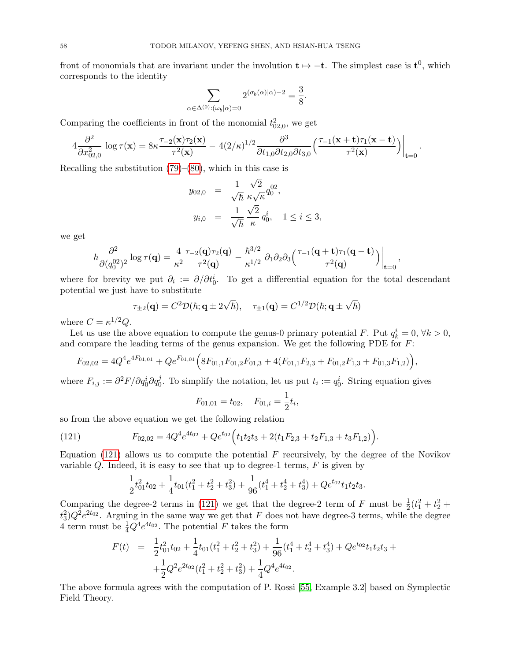front of monomials that are invariant under the involution  $t \mapsto -t$ . The simplest case is  $t^0$ , which corresponds to the identity

$$
\sum_{\alpha \in \Delta^{(0)}: (\omega_b|\alpha) = 0} 2^{(\sigma_b(\alpha)|\alpha) - 2} = \frac{3}{8}.
$$

Comparing the coefficients in front of the monomial  $t_{02,0}^2$ , we get

$$
4\frac{\partial^2}{\partial x_{02,0}^2}\log\tau(\mathbf{x})=8\kappa\frac{\tau_{-2}(\mathbf{x})\tau_2(\mathbf{x})}{\tau^2(\mathbf{x})}-4(2/\kappa)^{1/2}\frac{\partial^3}{\partial t_{1,0}\partial t_{2,0}\partial t_{3,0}}\Big(\frac{\tau_{-1}(\mathbf{x}+\mathbf{t})\tau_1(\mathbf{x}-\mathbf{t})}{\tau^2(\mathbf{x})}\Big)\Big|_{\mathbf{t}=0}.
$$

Recalling the substitution  $(79)$ – $(80)$ , which in this case is

$$
y_{02,0} = \frac{1}{\sqrt{\hbar}} \frac{\sqrt{2}}{\kappa \sqrt{\kappa}} q_0^{02},
$$
  

$$
y_{i,0} = \frac{1}{\sqrt{\hbar}} \frac{\sqrt{2}}{\kappa} q_0^i, \quad 1 \le i \le 3,
$$

we get

$$
\hbar \frac{\partial^2}{\partial (q_0^{02})^2} \log \tau(\mathbf{q}) = \frac{4}{\kappa^2} \frac{\tau_{-2}(\mathbf{q}) \tau_2(\mathbf{q})}{\tau^2(\mathbf{q})} - \frac{\hbar^{3/2}}{\kappa^{1/2}} \, \partial_1 \partial_2 \partial_3 \left( \frac{\tau_{-1}(\mathbf{q}+\mathbf{t}) \tau_1(\mathbf{q}-\mathbf{t})}{\tau^2(\mathbf{q})} \right) \Big|_{\mathbf{t}=\mathbf{0}},
$$

where for brevity we put  $\partial_i := \partial/\partial t_0^i$ . To get a differential equation for the total descendant potential we just have to substitute

$$
\tau_{\pm 2}(\mathbf{q}) = C^2 \mathcal{D}(\hbar; \mathbf{q} \pm 2\sqrt{\hbar}), \quad \tau_{\pm 1}(\mathbf{q}) = C^{1/2} \mathcal{D}(\hbar; \mathbf{q} \pm \sqrt{\hbar})
$$

where  $C = \kappa^{1/2} Q$ .

Let us use the above equation to compute the genus-0 primary potential F. Put  $q_k^i = 0, \forall k > 0$ , and compare the leading terms of the genus expansion. We get the following PDE for F:

$$
F_{02,02} = 4Q^4e^{4F_{01,01}} + Qe^{F_{01,01}}\Big(8F_{01,1}F_{01,2}F_{01,3} + 4(F_{01,1}F_{2,3} + F_{01,2}F_{1,3} + F_{01,3}F_{1,2})\Big),
$$

where  $F_{i,j} := \partial^2 F / \partial q_0^i \partial q_0^j$ . To simplify the notation, let us put  $t_i := q_0^i$ . String equation gives

$$
F_{01,01} = t_{02}, \quad F_{01,i} = \frac{1}{2}t_i,
$$

so from the above equation we get the following relation

(121) 
$$
F_{02,02} = 4Q^4e^{4t_{02}} + Qe^{t_{02}}\Big(t_1t_2t_3 + 2(t_1F_{2,3} + t_2F_{1,3} + t_3F_{1,2})\Big).
$$

Equation  $(121)$  allows us to compute the potential F recursively, by the degree of the Novikov variable  $Q$ . Indeed, it is easy to see that up to degree-1 terms,  $F$  is given by

<span id="page-57-0"></span>
$$
\frac{1}{2}t_{01}^2 t_{02} + \frac{1}{4}t_{01}(t_1^2 + t_2^2 + t_3^2) + \frac{1}{96}(t_1^4 + t_2^4 + t_3^4) + Qe^{t_{02}}t_1t_2t_3.
$$

Comparing the degree-2 terms in [\(121\)](#page-57-0) we get that the degree-2 term of F must be  $\frac{1}{2}(t_1^2 + t_2^2 +$  $(t_3^2)Q^2e^{2t_{02}}$ . Arguing in the same way we get that F does not have degree-3 terms, while the degree 4 term must be  $\frac{1}{4}Q^4e^{4t_{02}}$ . The potential F takes the form

$$
F(t) = \frac{1}{2}t_{01}^2 t_{02} + \frac{1}{4}t_{01}(t_1^2 + t_2^2 + t_3^2) + \frac{1}{96}(t_1^4 + t_2^4 + t_3^4) + Qe^{t_{02}}t_1t_2t_3 +
$$
  
+ 
$$
\frac{1}{2}Q^2 e^{2t_{02}}(t_1^2 + t_2^2 + t_3^2) + \frac{1}{4}Q^4 e^{4t_{02}}.
$$

The above formula agrees with the computation of P. Rossi [\[55,](#page-61-9) Example 3.2] based on Symplectic Field Theory.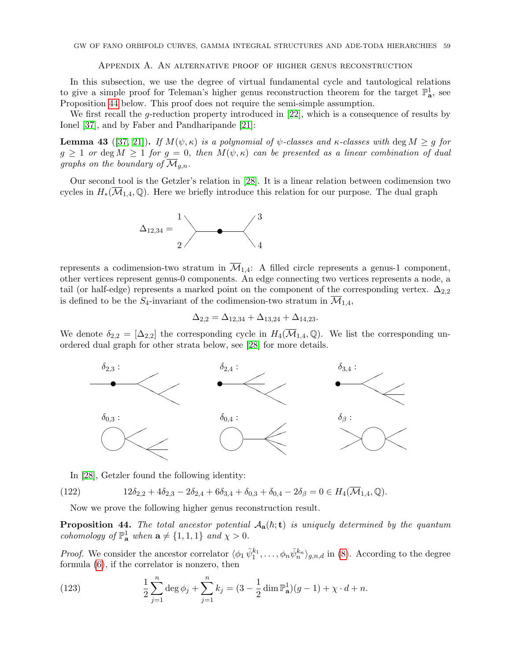#### Appendix A. An alternative proof of higher genus reconstruction

<span id="page-58-0"></span>In this subsection, we use the degree of virtual fundamental cycle and tautological relations to give a simple proof for Teleman's higher genus reconstruction theorem for the target  $\mathbb{P}^1_{\mathbf{a}}$ , see Proposition [44](#page-58-1) below. This proof does not require the semi-simple assumption.

We first recall the g-reduction property introduced in [\[22\]](#page-60-6), which is a consequence of results by Ionel [\[37\]](#page-60-31), and by Faber and Pandharipande [\[21\]](#page-60-32):

<span id="page-58-2"></span>**Lemma 43** ([\[37,](#page-60-31) [21\]](#page-60-32)). If  $M(\psi, \kappa)$  is a polynomial of  $\psi$ -classes and  $\kappa$ -classes with deg  $M \geq g$  for  $g \geq 1$  or deg  $M \geq 1$  for  $g = 0$ , then  $M(\psi, \kappa)$  can be presented as a linear combination of dual graphs on the boundary of  $\mathcal{M}_{q,n}$ .

Our second tool is the Getzler's relation in [\[28\]](#page-60-33). It is a linear relation between codimension two cycles in  $H_*(\overline{\mathcal{M}}_{1,4}, \mathbb{Q})$ . Here we briefly introduce this relation for our purpose. The dual graph



represents a codimension-two stratum in  $\overline{\mathcal{M}}_{1,4}$ : A filled circle represents a genus-1 component, other vertices represent genus-0 components. An edge connecting two vertices represents a node, a tail (or half-edge) represents a marked point on the component of the corresponding vertex.  $\Delta_{2,2}$ is defined to be the  $S_4$ -invariant of the codimension-two stratum in  $\mathcal{M}_{1,4}$ ,

$$
\Delta_{2,2} = \Delta_{12,34} + \Delta_{13,24} + \Delta_{14,23}.
$$

We denote  $\delta_{2,2} = [\Delta_{2,2}]$  the corresponding cycle in  $H_4(\overline{\mathcal{M}}_{1,4}, \mathbb{Q})$ . We list the corresponding unordered dual graph for other strata below, see [\[28\]](#page-60-33) for more details.



<span id="page-58-4"></span>In [\[28\]](#page-60-33), Getzler found the following identity:

(122) 
$$
12\delta_{2,2} + 4\delta_{2,3} - 2\delta_{2,4} + 6\delta_{3,4} + \delta_{0,3} + \delta_{0,4} - 2\delta_{\beta} = 0 \in H_4(\overline{\mathcal{M}}_{1,4}, \mathbb{Q}).
$$

Now we prove the following higher genus reconstruction result.

<span id="page-58-1"></span>**Proposition 44.** The total ancestor potential  $A_{a}(\hbar; t)$  is uniquely determined by the quantum cohomology of  $\mathbb{P}^1_{\mathbf{a}}$  when  $\mathbf{a} \neq \{1, 1, 1\}$  and  $\chi > 0$ .

*Proof.* We consider the ancestor correlator  $\langle \phi_1 \,\overline{\psi}_1^{k_1}, \ldots, \phi_n \overline{\psi}_n^{k_n} \rangle_{g,n,d}$  in [\(8\)](#page-7-2). According to the degree formula [\(6\)](#page-6-2), if the correlator is nonzero, then

<span id="page-58-3"></span>(123) 
$$
\frac{1}{2}\sum_{j=1}^{n}\deg\phi_j+\sum_{j=1}^{n}k_j=(3-\frac{1}{2}\dim\mathbb{P}_{\mathbf{a}}^1)(g-1)+\chi\cdot d+n.
$$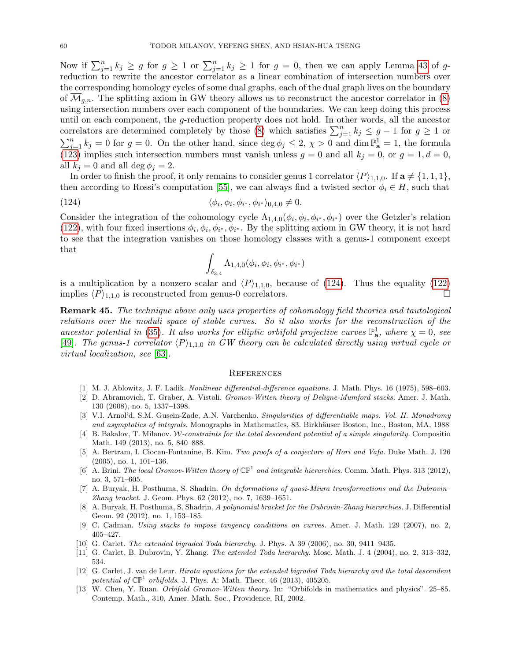Now if  $\sum_{j=1}^n k_j \geq g$  for  $g \geq 1$  or  $\sum_{j=1}^n k_j \geq 1$  for  $g = 0$ , then we can apply Lemma [43](#page-58-2) of greduction to rewrite the ancestor correlator as a linear combination of intersection numbers over the corresponding homology cycles of some dual graphs, each of the dual graph lives on the boundary of  $\mathcal{M}_{g,n}$ . The splitting axiom in GW theory allows us to reconstruct the ancestor correlator in [\(8\)](#page-7-2) using intersection numbers over each component of the boundaries. We can keep doing this process until on each component, the g-reduction property does not hold. In other words, all the ancestor correlators are determined completely by those [\(8\)](#page-7-2) which satisfies  $\sum_{j=1}^{n} k_j \leq g-1$  for  $g \geq 1$  or  $\sum_{j=1}^{n} k_j = 0$  for  $g = 0$ . On the other hand, since  $\deg \phi_j \leq 2$ ,  $\chi > 0$  and  $\dim \mathbb{P}_{\mathbf{a}}^1 = 1$ , the formula [\(123\)](#page-58-3) implies such intersection numbers must vanish unless  $g = 0$  and all  $k_j = 0$ , or  $g = 1, d = 0$ , all  $k_i = 0$  and all deg  $\phi_i = 2$ .

In order to finish the proof, it only remains to consider genus 1 correlator  $\langle P \rangle_{1,1,0}$ . If  $\mathbf{a} \neq \{1,1,1\}$ , then according to Rossi's computation [\[55\]](#page-61-9), we can always find a twisted sector  $\phi_i \in H$ , such that

(124) 
$$
\langle \phi_i, \phi_i, \phi_{i^*}, \phi_{i^*} \rangle_{0,4,0} \neq 0.
$$

Consider the integration of the cohomology cycle  $\Lambda_{1,4,0}(\phi_i,\phi_i,\phi_{i^*},\phi_{i^*})$  over the Getzler's relation [\(122\)](#page-58-4), with four fixed insertions  $\phi_i, \phi_i, \phi_{i^*}, \phi_{i^*}$ . By the splitting axiom in GW theory, it is not hard to see that the integration vanishes on those homology classes with a genus-1 component except that

<span id="page-59-13"></span>
$$
\int_{\delta_{3,4}}\Lambda_{1,4,0}(\phi_i,\phi_i,\phi_{i^*},\phi_{i^*})
$$

is a multiplication by a nonzero scalar and  $\langle P \rangle_{1,1,0}$ , because of [\(124\)](#page-59-13). Thus the equality [\(122\)](#page-58-4)<br>implies  $\langle P \rangle_{1,1,0}$  is reconstructed from genus-0 correlators implies  $\langle P \rangle_{1,1,0}$  is reconstructed from genus-0 correlators.

Remark 45. The technique above only uses properties of cohomology field theories and tautological relations over the moduli space of stable curves. So it also works for the reconstruction of the ancestor potential in [\(35\)](#page-14-1). It also works for elliptic orbifold projective curves  $\mathbb{P}^1_{\mathbf{a}}$ , where  $\chi = 0$ , see [\[49\]](#page-61-16). The genus-1 correlator  $\langle P \rangle_{1,1,0}$  in GW theory can be calculated directly using virtual cycle or virtual localization, see [\[63\]](#page-61-17).

#### <span id="page-59-0"></span>**REFERENCES**

- [1] M. J. Ablowitz, J. F. Ladik. Nonlinear differential-difference equations. J. Math. Phys. 16 (1975), 598–603.
- <span id="page-59-9"></span>[2] D. Abramovich, T. Graber, A. Vistoli. Gromov-Witten theory of Deligne-Mumford stacks. Amer. J. Math. 130 (2008), no. 5, 1337–1398.
- <span id="page-59-11"></span>[3] V.I. Arnol'd, S.M. Gusein-Zade, A.N. Varchenko. Singularities of differentiable maps. Vol. II. Monodromy and asymptotics of integrals. Monographs in Mathematics, 83. Birkhäuser Boston, Inc., Boston, MA, 1988
- <span id="page-59-12"></span>[4] B. Bakalov, T. Milanov. W-constraints for the total descendant potential of a simple singularity. Compositio Math. 149 (2013), no. 5, 840–888.
- <span id="page-59-6"></span>[5] A. Bertram, I. Ciocan-Fontanine, B. Kim. Two proofs of a conjecture of Hori and Vafa. Duke Math. J. 126 (2005), no. 1, 101–136.
- <span id="page-59-7"></span>[6] A. Brini. The local Gromov-Witten theory of  $\mathbb{CP}^1$  and integrable hierarchies. Comm. Math. Phys. 313 (2012), no. 3, 571–605.
- <span id="page-59-4"></span>[7] A. Buryak, H. Posthuma, S. Shadrin. On deformations of quasi-Miura transformations and the Dubrovin– Zhang bracket. J. Geom. Phys. 62 (2012), no. 7, 1639–1651.
- <span id="page-59-5"></span>[8] A. Buryak, H. Posthuma, S. Shadrin. A polynomial bracket for the Dubrovin-Zhang hierarchies. J. Differential Geom. 92 (2012), no. 1, 153–185.
- <span id="page-59-10"></span>[9] C. Cadman. Using stacks to impose tangency conditions on curves. Amer. J. Math. 129 (2007), no. 2, 405–427.
- <span id="page-59-3"></span>[10] G. Carlet. The extended bigraded Toda hierarchy. J. Phys. A 39 (2006), no. 30, 9411–9435.
- <span id="page-59-1"></span>[11] G. Carlet, B. Dubrovin, Y. Zhang. The extended Toda hierarchy. Mosc. Math. J. 4 (2004), no. 2, 313–332, 534.
- <span id="page-59-2"></span>[12] G. Carlet, J. van de Leur. Hirota equations for the extended bigraded Toda hierarchy and the total descendent potential of  $\mathbb{CP}^1$  orbifolds. J. Phys. A: Math. Theor. 46 (2013), 405205.
- <span id="page-59-8"></span>[13] W. Chen, Y. Ruan. Orbifold Gromov-Witten theory. In: "Orbifolds in mathematics and physics". 25–85. Contemp. Math., 310, Amer. Math. Soc., Providence, RI, 2002.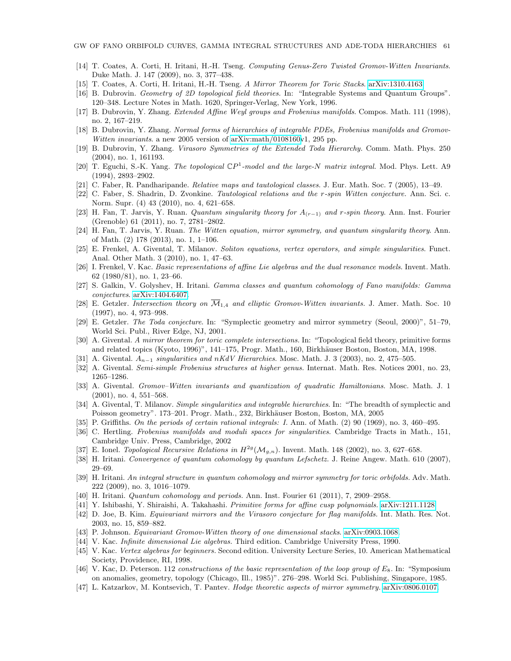- <span id="page-60-24"></span>[14] T. Coates, A. Corti, H. Iritani, H.-H. Tseng. Computing Genus-Zero Twisted Gromov-Witten Invariants. Duke Math. J. 147 (2009), no. 3, 377–438.
- <span id="page-60-23"></span>[15] T. Coates, A. Corti, H. Iritani, H.-H. Tseng. A Mirror Theorem for Toric Stacks. [arXiv:1310.4163.](http://arxiv.org/abs/1310.4163)
- <span id="page-60-19"></span>[16] B. Dubrovin. Geometry of 2D topological field theories. In: "Integrable Systems and Quantum Groups". 120–348. Lecture Notes in Math. 1620, Springer-Verlag, New York, 1996.
- <span id="page-60-9"></span>[17] B. Dubrovin, Y. Zhang. Extended Affine Weyl groups and Frobenius manifolds. Compos. Math. 111 (1998), no. 2, 167–219.
- <span id="page-60-18"></span>[18] B. Dubrovin, Y. Zhang. Normal forms of hierarchies of integrable PDEs, Frobenius manifolds and GromovWitten invariants. a new 2005 version of [arXiv:math/0108160v](http://arxiv.org/abs/math/0108160)1, 295 pp.
- <span id="page-60-2"></span>[19] B. Dubrovin, Y. Zhang. Virasoro Symmetries of the Extended Toda Hierarchy. Comm. Math. Phys. 250 (2004), no. 1, 161193.
- <span id="page-60-0"></span>[20] T. Eguchi, S.-K. Yang. The topological  $\mathbb{C}P^1$ -model and the large-N matrix integral. Mod. Phys. Lett. A9 (1994), 2893–2902.
- <span id="page-60-32"></span>[21] C. Faber, R. Pandharipande. Relative maps and tautological classes. J. Eur. Math. Soc. 7 (2005), 13–49.
- <span id="page-60-6"></span>[22] C. Faber, S. Shadrin, D. Zvonkine. Tautological relations and the r-spin Witten conjecture. Ann. Sci. c. Norm. Supr. (4) 43 (2010), no. 4, 621–658.
- <span id="page-60-7"></span>[23] H. Fan, T. Jarvis, Y. Ruan. Quantum singularity theory for  $A_{(r-1)}$  and r-spin theory. Ann. Inst. Fourier (Grenoble) 61 (2011), no. 7, 2781–2802.
- <span id="page-60-8"></span>[24] H. Fan, T. Jarvis, Y. Ruan. The Witten equation, mirror symmetry, and quantum singularity theory. Ann. of Math. (2) 178 (2013), no. 1, 1–106.
- <span id="page-60-14"></span>[25] E. Frenkel, A. Givental, T. Milanov. Soliton equations, vertex operators, and simple singularities. Funct. Anal. Other Math. 3 (2010), no. 1, 47–63.
- <span id="page-60-27"></span>[26] I. Frenkel, V. Kac. Basic representations of affine Lie algebras and the dual resonance models. Invent. Math. 62 (1980/81), no. 1, 23–66.
- <span id="page-60-20"></span>[27] S. Galkin, V. Golyshev, H. Iritani. Gamma classes and quantum cohomology of Fano manifolds: Gamma conjectures. [arXiv:1404.6407.](http://arxiv.org/abs/1404.6407)
- <span id="page-60-33"></span>[28] E. Getzler. Intersection theory on  $\overline{\mathcal{M}}_{1,4}$  and elliptic Gromov-Witten invariants. J. Amer. Math. Soc. 10 (1997), no. 4, 973–998.
- <span id="page-60-1"></span>[29] E. Getzler. The Toda conjecture. In: "Symplectic geometry and mirror symmetry (Seoul, 2000)", 51–79, World Sci. Publ., River Edge, NJ, 2001.
- <span id="page-60-22"></span>[30] A. Givental. A mirror theorem for toric complete intersections. In: "Topological field theory, primitive forms and related topics (Kyoto, 1996)", 141–175, Progr. Math., 160, Birkhäuser Boston, Boston, MA, 1998.
- <span id="page-60-4"></span>[31] A. Givental.  $A_{n-1}$  singularities and nKdV Hierarchies. Mosc. Math. J. 3 (2003), no. 2, 475–505.
- <span id="page-60-10"></span>[32] A. Givental. Semi-simple Frobenius structures at higher genus. Internat. Math. Res. Notices 2001, no. 23, 1265–1286.
- <span id="page-60-11"></span>[33] A. Givental. Gromov–Witten invariants and quantization of quadratic Hamiltonians. Mosc. Math. J. 1 (2001), no. 4, 551–568.
- <span id="page-60-5"></span>[34] A. Givental, T. Milanov. Simple singularities and integrable hierarchies. In: "The breadth of symplectic and Poisson geometry". 173–201. Progr. Math., 232, Birkhäuser Boston, Boston, MA, 2005
- <span id="page-60-25"></span>[35] P. Griffiths. On the periods of certain rational integrals: I. Ann. of Math. (2) 90 (1969), no. 3, 460–495.
- <span id="page-60-30"></span>[36] C. Hertling. Frobenius manifolds and moduli spaces for singularities. Cambridge Tracts in Math., 151, Cambridge Univ. Press, Cambridge, 2002
- <span id="page-60-31"></span>[37] E. Ionel. Topological Recursive Relations in  $H^{2g}(\mathcal{M}_{g,n})$ . Invent. Math. 148 (2002), no. 3, 627–658.
- <span id="page-60-13"></span>[38] H. Iritani. Convergence of quantum cohomology by quantum Lefschetz. J. Reine Angew. Math. 610 (2007). 29–69.
- <span id="page-60-16"></span>[39] H. Iritani. An integral structure in quantum cohomology and mirror symmetry for toric orbifolds. Adv. Math. 222 (2009), no. 3, 1016–1079.
- <span id="page-60-21"></span>[40] H. Iritani. Quantum cohomology and periods. Ann. Inst. Fourier 61 (2011), 7, 2909–2958.
- <span id="page-60-15"></span>[41] Y. Ishibashi, Y. Shiraishi, A. Takahashi. Primitive forms for affine cusp polynomials. [arXiv:1211.1128.](http://arxiv.org/abs/1211.1128)
- <span id="page-60-12"></span>[42] D. Joe, B. Kim. Equivariant mirrors and the Virasoro conjecture for flag manifolds. Int. Math. Res. Not. 2003, no. 15, 859–882.
- <span id="page-60-3"></span>[43] P. Johnson. Equivariant Gromov-Witten theory of one dimensional stacks. [arXiv:0903.1068.](http://arxiv.org/abs/0903.1068)
- <span id="page-60-26"></span>[44] V. Kac. Infinite dimensional Lie algebras. Third edition. Cambridge University Press, 1990.
- <span id="page-60-28"></span>[45] V. Kac. Vertex algebras for beginners. Second edition. University Lecture Series, 10. American Mathematical Society, Providence, RI, 1998.
- <span id="page-60-29"></span>[46] V. Kac, D. Peterson. 112 constructions of the basic representation of the loop group of  $E_8$ . In: "Symposium" on anomalies, geometry, topology (Chicago, Ill., 1985)". 276–298. World Sci. Publishing, Singapore, 1985.
- <span id="page-60-17"></span>[47] L. Katzarkov, M. Kontsevich, T. Pantev. Hodge theoretic aspects of mirror symmetry. [arXiv:0806.0107.](http://arxiv.org/abs/0806.0107)